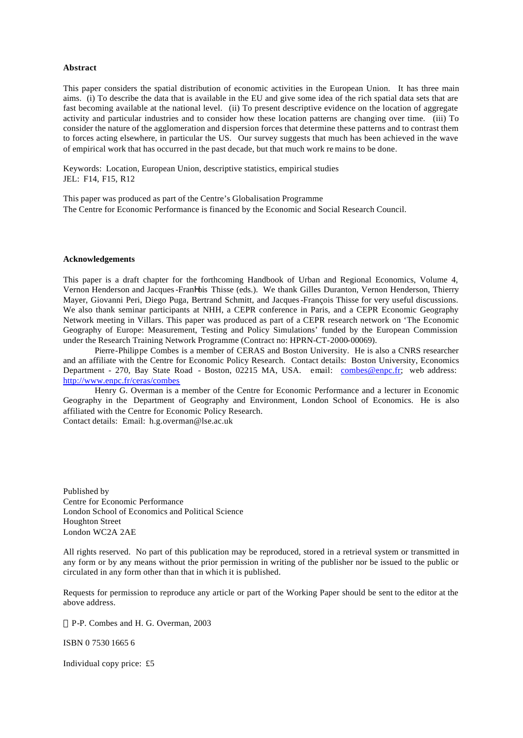#### **Abstract**

This paper considers the spatial distribution of economic activities in the European Union. It has three main aims. (i) To describe the data that is available in the EU and give some idea of the rich spatial data sets that are fast becoming available at the national level. (ii) To present descriptive evidence on the location of aggregate activity and particular industries and to consider how these location patterns are changing over time. (iii) To consider the nature of the agglomeration and dispersion forces that determine these patterns and to contrast them to forces acting elsewhere, in particular the US. Our survey suggests that much has been achieved in the wave of empirical work that has occurred in the past decade, but that much work re mains to be done.

Keywords: Location, European Union, descriptive statistics, empirical studies JEL: F14, F15, R12

This paper was produced as part of the Centre's Globalisation Programme The Centre for Economic Performance is financed by the Economic and Social Research Council.

#### **Acknowledgements**

This paper is a draft chapter for the forthcoming Handbook of Urban and Regional Economics, Volume 4, Vernon Henderson and Jacques-FranHois Thisse (eds.). We thank Gilles Duranton, Vernon Henderson, Thierry Mayer, Giovanni Peri, Diego Puga, Bertrand Schmitt, and Jacques-François Thisse for very useful discussions. We also thank seminar participants at NHH, a CEPR conference in Paris, and a CEPR Economic Geography Network meeting in Villars. This paper was produced as part of a CEPR research network on 'The Economic Geography of Europe: Measurement, Testing and Policy Simulations' funded by the European Commission under the Research Training Network Programme (Contract no: HPRN-CT-2000-00069).

Pierre-Philippe Combes is a member of CERAS and Boston University. He is also a CNRS researcher and an affiliate with the Centre for Economic Policy Research. Contact details: Boston University, Economics Department - 270, Bay State Road - Boston, 02215 MA, USA. email: combes@enpc.fr; web address: http://www.enpc.fr/ceras/combes

Henry G. Overman is a member of the Centre for Economic Performance and a lecturer in Economic Geography in the Department of Geography and Environment, London School of Economics. He is also affiliated with the Centre for Economic Policy Research. Contact details: Email: h.g.overman@lse.ac.uk

Published by Centre for Economic Performance London School of Economics and Political Science Houghton Street London WC2A 2AE

All rights reserved. No part of this publication may be reproduced, stored in a retrieval system or transmitted in any form or by any means without the prior permission in writing of the publisher nor be issued to the public or circulated in any form other than that in which it is published.

Requests for permission to reproduce any article or part of the Working Paper should be sent to the editor at the above address.

P-P. Combes and H. G. Overman, 2003

ISBN 0 7530 1665 6

Individual copy price: £5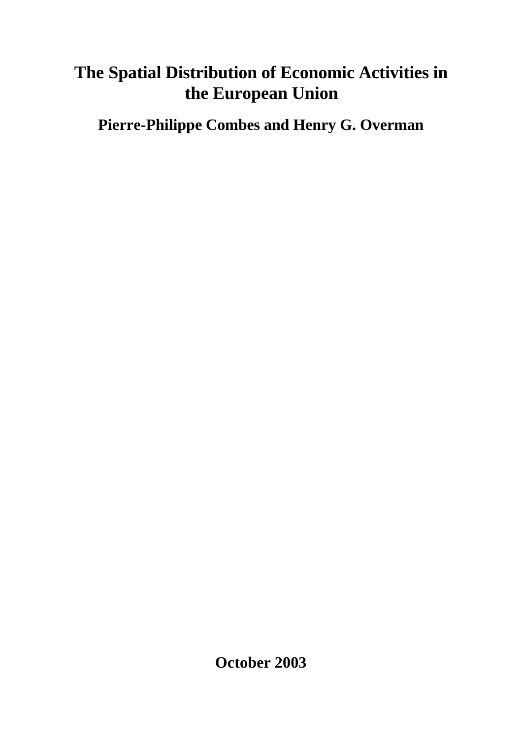# **The Spatial Distribution of Economic Activities in the European Union**

**Pierre-Philippe Combes and Henry G. Overman**

**October 2003**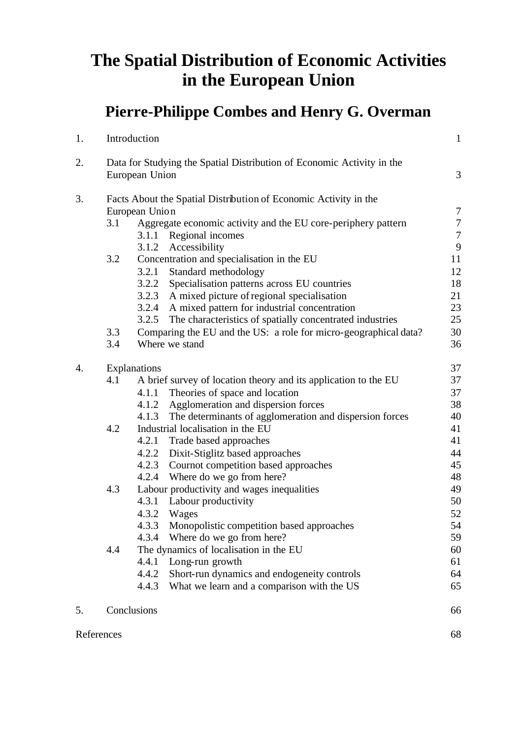# **The Spatial Distribution of Economic Activities in the European Union**

## **Pierre-Philippe Combes and Henry G. Overman**

| 1. |                                                                                          | Introduction                                                      | $\mathbf{1}$   |  |  |  |
|----|------------------------------------------------------------------------------------------|-------------------------------------------------------------------|----------------|--|--|--|
| 2. | Data for Studying the Spatial Distribution of Economic Activity in the<br>European Union |                                                                   |                |  |  |  |
| 3. | Facts About the Spatial Distribution of Economic Activity in the                         |                                                                   |                |  |  |  |
|    | European Union                                                                           |                                                                   |                |  |  |  |
|    | 3.1                                                                                      | Aggregate economic activity and the EU core-periphery pattern     | $\overline{7}$ |  |  |  |
|    |                                                                                          | Regional incomes<br>3.1.1                                         | $\overline{7}$ |  |  |  |
|    |                                                                                          | 3.1.2 Accessibility                                               | 9              |  |  |  |
|    | 3.2                                                                                      | Concentration and specialisation in the EU                        | 11             |  |  |  |
|    |                                                                                          | 3.2.1<br>Standard methodology                                     | 12             |  |  |  |
|    |                                                                                          | 3.2.2<br>Specialisation patterns across EU countries              | 18             |  |  |  |
|    |                                                                                          | A mixed picture of regional specialisation<br>3.2.3               | 21             |  |  |  |
|    |                                                                                          | A mixed pattern for industrial concentration<br>3.2.4             | 23             |  |  |  |
|    |                                                                                          | The characteristics of spatially concentrated industries<br>3.2.5 | 25             |  |  |  |
|    | 3.3                                                                                      | Comparing the EU and the US: a role for micro-geographical data?  | 30             |  |  |  |
|    | 3.4                                                                                      | Where we stand                                                    | 36             |  |  |  |
| 4. |                                                                                          | <b>Explanations</b>                                               | 37             |  |  |  |
|    | 4.1                                                                                      | A brief survey of location theory and its application to the EU   | 37             |  |  |  |
|    |                                                                                          | Theories of space and location<br>4.1.1                           | 37             |  |  |  |
|    |                                                                                          | 4.1.2 Agglomeration and dispersion forces                         | 38             |  |  |  |
|    |                                                                                          | The determinants of agglomeration and dispersion forces<br>4.1.3  | 40             |  |  |  |
|    | 4.2                                                                                      | Industrial localisation in the EU                                 | 41             |  |  |  |
|    |                                                                                          | Trade based approaches<br>4.2.1                                   | 41             |  |  |  |
|    |                                                                                          | 4.2.2 Dixit-Stiglitz based approaches                             | 44             |  |  |  |
|    |                                                                                          | Cournot competition based approaches<br>4.2.3                     | 45             |  |  |  |
|    |                                                                                          | 4.2.4 Where do we go from here?                                   | 48             |  |  |  |
|    | 4.3                                                                                      | Labour productivity and wages inequalities                        | 49             |  |  |  |
|    |                                                                                          | 4.3.1<br>Labour productivity                                      | 50             |  |  |  |
|    |                                                                                          | 4.3.2<br>Wages                                                    | 52             |  |  |  |
|    |                                                                                          | 4.3.3 Monopolistic competition based approaches                   | 54             |  |  |  |
|    |                                                                                          | Where do we go from here?<br>4.3.4                                | 59             |  |  |  |
|    | 4.4                                                                                      | The dynamics of localisation in the EU                            | 60             |  |  |  |
|    |                                                                                          | Long-run growth<br>4.4.1                                          | 61             |  |  |  |
|    |                                                                                          | 4.4.2<br>Short-run dynamics and endogeneity controls              | 64             |  |  |  |
|    |                                                                                          | What we learn and a comparison with the US<br>4.4.3               | 65             |  |  |  |
| 5. |                                                                                          | Conclusions                                                       | 66             |  |  |  |
|    |                                                                                          |                                                                   |                |  |  |  |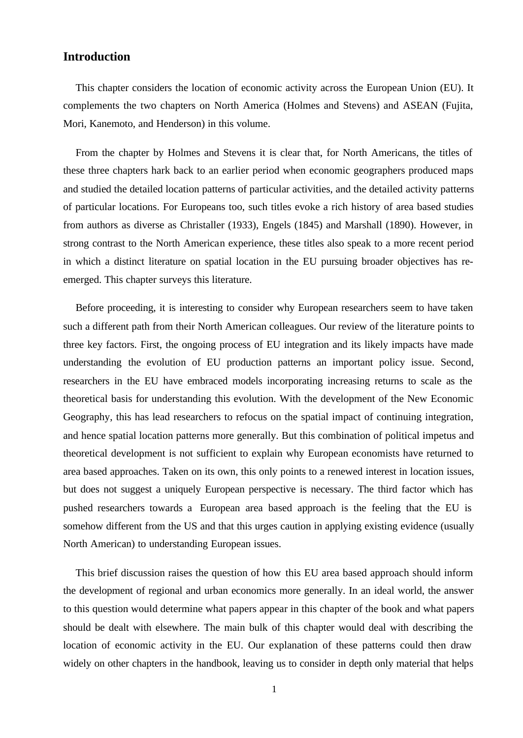### **Introduction**

This chapter considers the location of economic activity across the European Union (EU). It complements the two chapters on North America (Holmes and Stevens) and ASEAN (Fujita, Mori, Kanemoto, and Henderson) in this volume.

From the chapter by Holmes and Stevens it is clear that, for North Americans, the titles of these three chapters hark back to an earlier period when economic geographers produced maps and studied the detailed location patterns of particular activities, and the detailed activity patterns of particular locations. For Europeans too, such titles evoke a rich history of area based studies from authors as diverse as Christaller (1933), Engels (1845) and Marshall (1890). However, in strong contrast to the North American experience, these titles also speak to a more recent period in which a distinct literature on spatial location in the EU pursuing broader objectives has reemerged. This chapter surveys this literature.

Before proceeding, it is interesting to consider why European researchers seem to have taken such a different path from their North American colleagues. Our review of the literature points to three key factors. First, the ongoing process of EU integration and its likely impacts have made understanding the evolution of EU production patterns an important policy issue. Second, researchers in the EU have embraced models incorporating increasing returns to scale as the theoretical basis for understanding this evolution. With the development of the New Economic Geography, this has lead researchers to refocus on the spatial impact of continuing integration, and hence spatial location patterns more generally. But this combination of political impetus and theoretical development is not sufficient to explain why European economists have returned to area based approaches. Taken on its own, this only points to a renewed interest in location issues, but does not suggest a uniquely European perspective is necessary. The third factor which has pushed researchers towards a European area based approach is the feeling that the EU is somehow different from the US and that this urges caution in applying existing evidence (usually North American) to understanding European issues.

This brief discussion raises the question of how this EU area based approach should inform the development of regional and urban economics more generally. In an ideal world, the answer to this question would determine what papers appear in this chapter of the book and what papers should be dealt with elsewhere. The main bulk of this chapter would deal with describing the location of economic activity in the EU. Our explanation of these patterns could then draw widely on other chapters in the handbook, leaving us to consider in depth only material that helps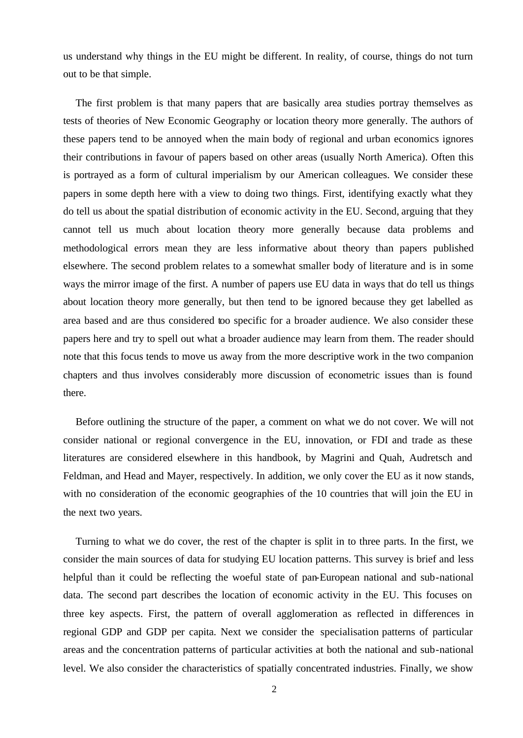us understand why things in the EU might be different. In reality, of course, things do not turn out to be that simple.

The first problem is that many papers that are basically area studies portray themselves as tests of theories of New Economic Geography or location theory more generally. The authors of these papers tend to be annoyed when the main body of regional and urban economics ignores their contributions in favour of papers based on other areas (usually North America). Often this is portrayed as a form of cultural imperialism by our American colleagues. We consider these papers in some depth here with a view to doing two things. First, identifying exactly what they do tell us about the spatial distribution of economic activity in the EU. Second, arguing that they cannot tell us much about location theory more generally because data problems and methodological errors mean they are less informative about theory than papers published elsewhere. The second problem relates to a somewhat smaller body of literature and is in some ways the mirror image of the first. A number of papers use EU data in ways that do tell us things about location theory more generally, but then tend to be ignored because they get labelled as area based and are thus considered too specific for a broader audience. We also consider these papers here and try to spell out what a broader audience may learn from them. The reader should note that this focus tends to move us away from the more descriptive work in the two companion chapters and thus involves considerably more discussion of econometric issues than is found there.

Before outlining the structure of the paper, a comment on what we do not cover. We will not consider national or regional convergence in the EU, innovation, or FDI and trade as these literatures are considered elsewhere in this handbook, by Magrini and Quah, Audretsch and Feldman, and Head and Mayer, respectively. In addition, we only cover the EU as it now stands, with no consideration of the economic geographies of the 10 countries that will join the EU in the next two years.

Turning to what we do cover, the rest of the chapter is split in to three parts. In the first, we consider the main sources of data for studying EU location patterns. This survey is brief and less helpful than it could be reflecting the woeful state of pan-European national and sub-national data. The second part describes the location of economic activity in the EU. This focuses on three key aspects. First, the pattern of overall agglomeration as reflected in differences in regional GDP and GDP per capita. Next we consider the specialisation patterns of particular areas and the concentration patterns of particular activities at both the national and sub-national level. We also consider the characteristics of spatially concentrated industries. Finally, we show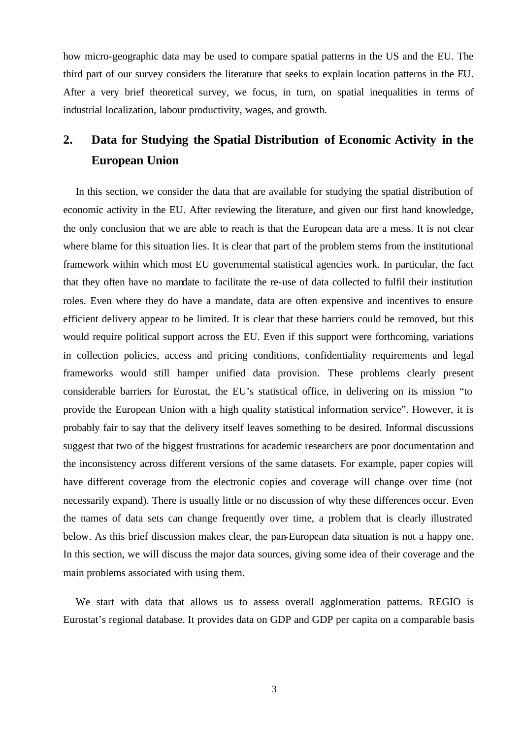how micro-geographic data may be used to compare spatial patterns in the US and the EU. The third part of our survey considers the literature that seeks to explain location patterns in the EU. After a very brief theoretical survey, we focus, in turn, on spatial inequalities in terms of industrial localization, labour productivity, wages, and growth.

### **2. Data for Studying the Spatial Distribution of Economic Activity in the European Union**

In this section, we consider the data that are available for studying the spatial distribution of economic activity in the EU. After reviewing the literature, and given our first hand knowledge, the only conclusion that we are able to reach is that the European data are a mess. It is not clear where blame for this situation lies. It is clear that part of the problem stems from the institutional framework within which most EU governmental statistical agencies work. In particular, the fact that they often have no mandate to facilitate the re-use of data collected to fulfil their institution roles. Even where they do have a mandate, data are often expensive and incentives to ensure efficient delivery appear to be limited. It is clear that these barriers could be removed, but this would require political support across the EU. Even if this support were forthcoming, variations in collection policies, access and pricing conditions, confidentiality requirements and legal frameworks would still hamper unified data provision. These problems clearly present considerable barriers for Eurostat, the EU's statistical office, in delivering on its mission "to provide the European Union with a high quality statistical information service". However, it is probably fair to say that the delivery itself leaves something to be desired. Informal discussions suggest that two of the biggest frustrations for academic researchers are poor documentation and the inconsistency across different versions of the same datasets. For example, paper copies will have different coverage from the electronic copies and coverage will change over time (not necessarily expand). There is usually little or no discussion of why these differences occur. Even the names of data sets can change frequently over time, a problem that is clearly illustrated below. As this brief discussion makes clear, the pan-European data situation is not a happy one. In this section, we will discuss the major data sources, giving some idea of their coverage and the main problems associated with using them.

We start with data that allows us to assess overall agglomeration patterns. REGIO is Eurostat's regional database. It provides data on GDP and GDP per capita on a comparable basis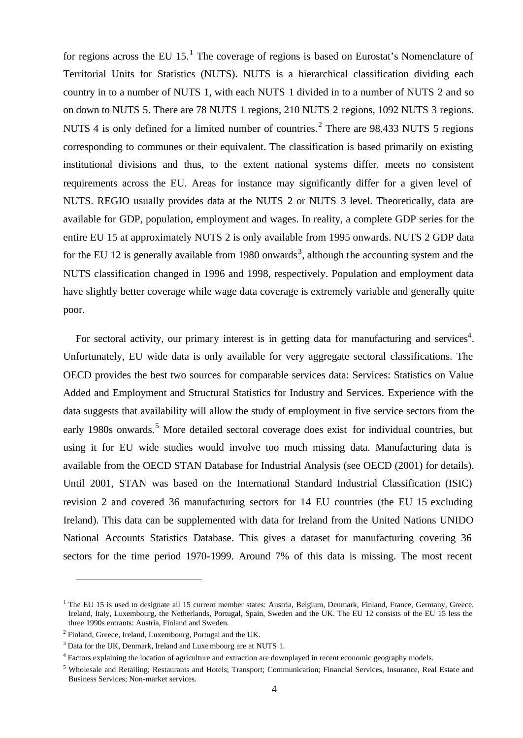for regions across the EU  $15$ .<sup>1</sup> The coverage of regions is based on Eurostat's Nomenclature of Territorial Units for Statistics (NUTS). NUTS is a hierarchical classification dividing each country in to a number of NUTS 1, with each NUTS 1 divided in to a number of NUTS 2 and so on down to NUTS 5. There are 78 NUTS 1 regions, 210 NUTS 2 regions, 1092 NUTS 3 regions. NUTS 4 is only defined for a limited number of countries.<sup>2</sup> There are 98,433 NUTS 5 regions corresponding to communes or their equivalent. The classification is based primarily on existing institutional divisions and thus, to the extent national systems differ, meets no consistent requirements across the EU. Areas for instance may significantly differ for a given level of NUTS. REGIO usually provides data at the NUTS 2 or NUTS 3 level. Theoretically, data are available for GDP, population, employment and wages. In reality, a complete GDP series for the entire EU 15 at approximately NUTS 2 is only available from 1995 onwards. NUTS 2 GDP data for the EU 12 is generally available from 1980 onwards<sup>3</sup>, although the accounting system and the NUTS classification changed in 1996 and 1998, respectively. Population and employment data have slightly better coverage while wage data coverage is extremely variable and generally quite poor.

For sectoral activity, our primary interest is in getting data for manufacturing and services<sup>4</sup>. Unfortunately, EU wide data is only available for very aggregate sectoral classifications. The OECD provides the best two sources for comparable services data: Services: Statistics on Value Added and Employment and Structural Statistics for Industry and Services. Experience with the data suggests that availability will allow the study of employment in five service sectors from the early 1980s onwards.<sup>5</sup> More detailed sectoral coverage does exist for individual countries, but using it for EU wide studies would involve too much missing data. Manufacturing data is available from the OECD STAN Database for Industrial Analysis (see OECD (2001) for details). Until 2001, STAN was based on the International Standard Industrial Classification (ISIC) revision 2 and covered 36 manufacturing sectors for 14 EU countries (the EU 15 excluding Ireland). This data can be supplemented with data for Ireland from the United Nations UNIDO National Accounts Statistics Database. This gives a dataset for manufacturing covering 36 sectors for the time period 1970-1999. Around 7% of this data is missing. The most recent

<sup>&</sup>lt;sup>1</sup> The EU 15 is used to designate all 15 current member states: Austria, Belgium, Denmark, Finland, France, Germany, Greece, Ireland, Italy, Luxembourg, the Netherlands, Portugal, Spain, Sweden and the UK. The EU 12 consists of the EU 15 less the three 1990s entrants: Austria, Finland and Sweden.

 $2$  Finland, Greece, Ireland, Luxembourg, Portugal and the UK.

<sup>&</sup>lt;sup>3</sup> Data for the UK, Denmark, Ireland and Luxe mbourg are at NUTS 1.

<sup>&</sup>lt;sup>4</sup> Factors explaining the location of agriculture and extraction are downplayed in recent economic geography models.

<sup>&</sup>lt;sup>5</sup> Wholesale and Retailing; Restaurants and Hotels; Transport; Communication; Financial Services, Insurance, Real Estate and Business Services; Non-market services.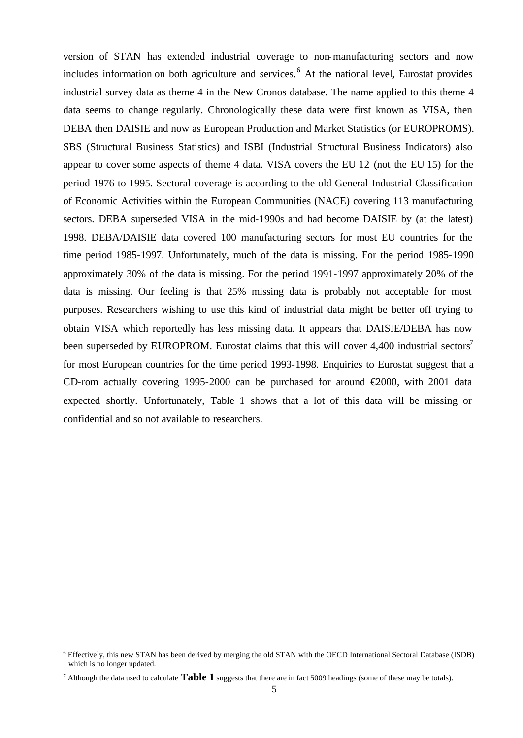version of STAN has extended industrial coverage to non-manufacturing sectors and now includes information on both agriculture and services.<sup>6</sup> At the national level, Eurostat provides industrial survey data as theme 4 in the New Cronos database. The name applied to this theme 4 data seems to change regularly. Chronologically these data were first known as VISA, then DEBA then DAISIE and now as European Production and Market Statistics (or EUROPROMS). SBS (Structural Business Statistics) and ISBI (Industrial Structural Business Indicators) also appear to cover some aspects of theme 4 data. VISA covers the EU 12 (not the EU 15) for the period 1976 to 1995. Sectoral coverage is according to the old General Industrial Classification of Economic Activities within the European Communities (NACE) covering 113 manufacturing sectors. DEBA superseded VISA in the mid-1990s and had become DAISIE by (at the latest) 1998. DEBA/DAISIE data covered 100 manufacturing sectors for most EU countries for the time period 1985-1997. Unfortunately, much of the data is missing. For the period 1985-1990 approximately 30% of the data is missing. For the period 1991-1997 approximately 20% of the data is missing. Our feeling is that 25% missing data is probably not acceptable for most purposes. Researchers wishing to use this kind of industrial data might be better off trying to obtain VISA which reportedly has less missing data. It appears that DAISIE/DEBA has now been superseded by EUROPROM. Eurostat claims that this will cover  $4,400$  industrial sectors<sup>7</sup> for most European countries for the time period 1993-1998. Enquiries to Eurostat suggest that a CD-rom actually covering 1995-2000 can be purchased for around  $\epsilon$ 2000, with 2001 data expected shortly. Unfortunately, Table 1 shows that a lot of this data will be missing or confidential and so not available to researchers.

<sup>&</sup>lt;sup>6</sup> Effectively, this new STAN has been derived by merging the old STAN with the OECD International Sectoral Database (ISDB) which is no longer updated.

 $^7$  Although the data used to calculate  $Table 1$  suggests that there are in fact 5009 headings (some of these may be totals).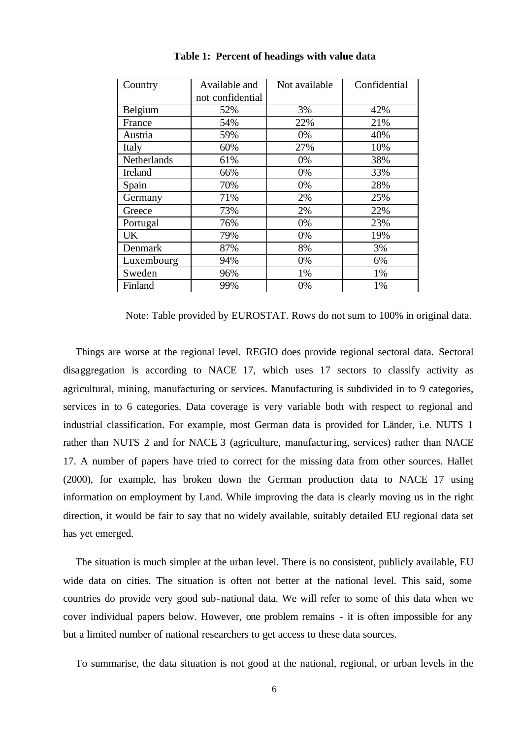| Country     | Available and    | Not available | Confidential |  |
|-------------|------------------|---------------|--------------|--|
|             | not confidential |               |              |  |
| Belgium     | 52%              | 3%            | 42%          |  |
| France      | 54%              | 22%           | 21%          |  |
| Austria     | 59%              | 0%            | 40%          |  |
| Italy       | 60%              | 27%           | 10%          |  |
| Netherlands | 61%              | 0%            | 38%          |  |
| Ireland     | 66%              | 0%            | 33%          |  |
| Spain       | 70%              | 0%            | 28%          |  |
| Germany     | 71%              | 2%            | 25%          |  |
| Greece      | 73%              | 2%            | 22%          |  |
| Portugal    | 76%              | 0%            | 23%          |  |
| <b>UK</b>   | 79%              | 0%            | 19%          |  |
| Denmark     | 87%              | 8%            | 3%           |  |
| Luxembourg  | 94%              | 0%            | 6%           |  |
| Sweden      | 96%              | 1%            | 1%           |  |
| Finland     | 99%              | 0%            | 1%           |  |

**Table 1: Percent of headings with value data**

Note: Table provided by EUROSTAT. Rows do not sum to 100% in original data.

Things are worse at the regional level. REGIO does provide regional sectoral data. Sectoral disaggregation is according to NACE 17, which uses 17 sectors to classify activity as agricultural, mining, manufacturing or services. Manufacturing is subdivided in to 9 categories, services in to 6 categories. Data coverage is very variable both with respect to regional and industrial classification. For example, most German data is provided for Länder, i.e. NUTS 1 rather than NUTS 2 and for NACE 3 (agriculture, manufacturing, services) rather than NACE 17. A number of papers have tried to correct for the missing data from other sources. Hallet (2000), for example, has broken down the German production data to NACE 17 using information on employment by Land. While improving the data is clearly moving us in the right direction, it would be fair to say that no widely available, suitably detailed EU regional data set has yet emerged.

The situation is much simpler at the urban level. There is no consistent, publicly available, EU wide data on cities. The situation is often not better at the national level. This said, some countries do provide very good sub-national data. We will refer to some of this data when we cover individual papers below. However, one problem remains - it is often impossible for any but a limited number of national researchers to get access to these data sources.

To summarise, the data situation is not good at the national, regional, or urban levels in the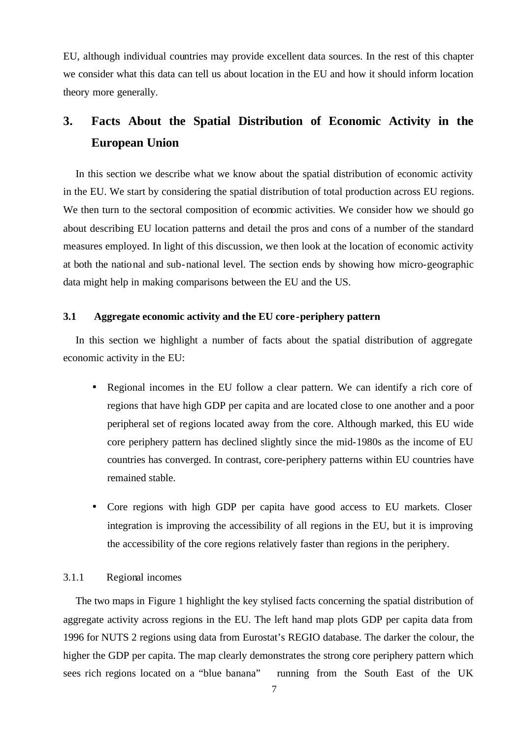EU, although individual countries may provide excellent data sources. In the rest of this chapter we consider what this data can tell us about location in the EU and how it should inform location theory more generally.

## **3. Facts About the Spatial Distribution of Economic Activity in the European Union**

In this section we describe what we know about the spatial distribution of economic activity in the EU. We start by considering the spatial distribution of total production across EU regions. We then turn to the sectoral composition of economic activities. We consider how we should go about describing EU location patterns and detail the pros and cons of a number of the standard measures employed. In light of this discussion, we then look at the location of economic activity at both the national and sub-national level. The section ends by showing how micro-geographic data might help in making comparisons between the EU and the US.

#### **3.1 Aggregate economic activity and the EU core -periphery pattern**

In this section we highlight a number of facts about the spatial distribution of aggregate economic activity in the EU:

- Regional incomes in the EU follow a clear pattern. We can identify a rich core of regions that have high GDP per capita and are located close to one another and a poor peripheral set of regions located away from the core. Although marked, this EU wide core periphery pattern has declined slightly since the mid-1980s as the income of EU countries has converged. In contrast, core-periphery patterns within EU countries have remained stable.
- Core regions with high GDP per capita have good access to EU markets. Closer integration is improving the accessibility of all regions in the EU, but it is improving the accessibility of the core regions relatively faster than regions in the periphery.

#### 3.1.1 Regional incomes

The two maps in Figure 1 highlight the key stylised facts concerning the spatial distribution of aggregate activity across regions in the EU. The left hand map plots GDP per capita data from 1996 for NUTS 2 regions using data from Eurostat's REGIO database. The darker the colour, the higher the GDP per capita. The map clearly demonstrates the strong core periphery pattern which sees rich regions located on a "blue banana" running from the South East of the UK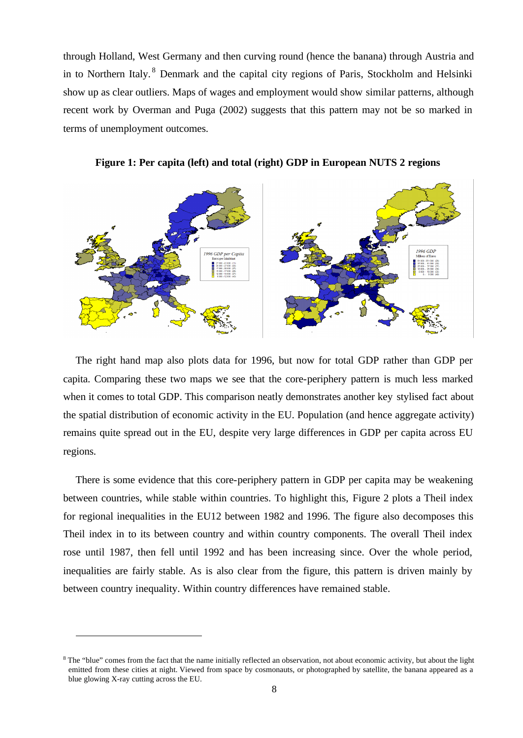through Holland, West Germany and then curving round (hence the banana) through Austria and in to Northern Italy.<sup>8</sup> Denmark and the capital city regions of Paris, Stockholm and Helsinki show up as clear outliers. Maps of wages and employment would show similar patterns, although recent work by Overman and Puga (2002) suggests that this pattern may not be so marked in terms of unemployment outcomes.



**Figure 1: Per capita (left) and total (right) GDP in European NUTS 2 regions**

The right hand map also plots data for 1996, but now for total GDP rather than GDP per capita. Comparing these two maps we see that the core-periphery pattern is much less marked when it comes to total GDP. This comparison neatly demonstrates another key stylised fact about the spatial distribution of economic activity in the EU. Population (and hence aggregate activity) remains quite spread out in the EU, despite very large differences in GDP per capita across EU regions.

There is some evidence that this core-periphery pattern in GDP per capita may be weakening between countries, while stable within countries. To highlight this, Figure 2 plots a Theil index for regional inequalities in the EU12 between 1982 and 1996. The figure also decomposes this Theil index in to its between country and within country components. The overall Theil index rose until 1987, then fell until 1992 and has been increasing since. Over the whole period, inequalities are fairly stable. As is also clear from the figure, this pattern is driven mainly by between country inequality. Within country differences have remained stable.

 $8$  The "blue" comes from the fact that the name initially reflected an observation, not about economic activity, but about the light emitted from these cities at night. Viewed from space by cosmonauts, or photographed by satellite, the banana appeared as a blue glowing X-ray cutting across the EU.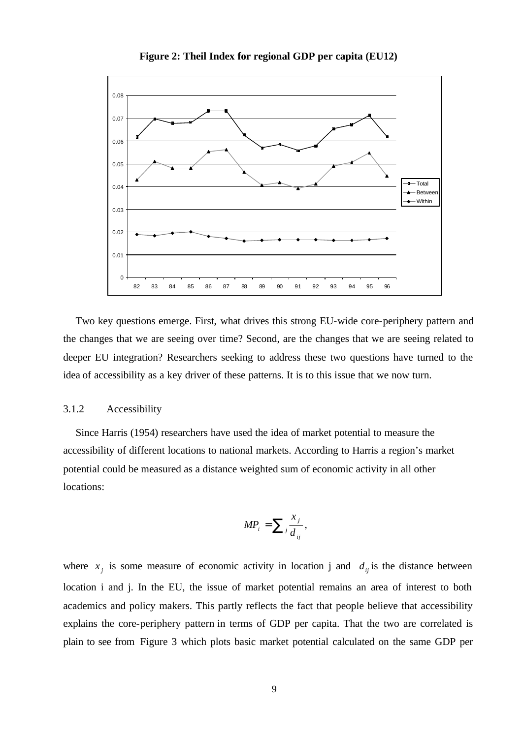

**Figure 2: Theil Index for regional GDP per capita (EU12)**

Two key questions emerge. First, what drives this strong EU-wide core-periphery pattern and the changes that we are seeing over time? Second, are the changes that we are seeing related to deeper EU integration? Researchers seeking to address these two questions have turned to the idea of accessibility as a key driver of these patterns. It is to this issue that we now turn.

#### 3.1.2 Accessibility

Since Harris (1954) researchers have used the idea of market potential to measure the accessibility of different locations to national markets. According to Harris a region's market potential could be measured as a distance weighted sum of economic activity in all other locations:

$$
MP_i = \sum_j \frac{x_j}{d_{ij}},
$$

where  $x_j$  is some measure of economic activity in location j and  $d_{ij}$  is the distance between location i and j. In the EU, the issue of market potential remains an area of interest to both academics and policy makers. This partly reflects the fact that people believe that accessibility explains the core-periphery pattern in terms of GDP per capita. That the two are correlated is plain to see from Figure 3 which plots basic market potential calculated on the same GDP per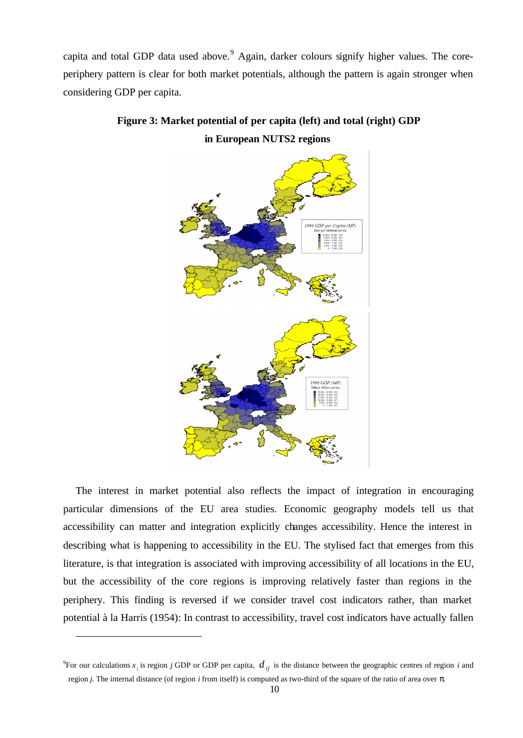capita and total GDP data used above.<sup>9</sup> Again, darker colours signify higher values. The coreperiphery pattern is clear for both market potentials, although the pattern is again stronger when considering GDP per capita.



**Figure 3: Market potential of per capita (left) and total (right) GDP in European NUTS2 regions**

The interest in market potential also reflects the impact of integration in encouraging particular dimensions of the EU area studies. Economic geography models tell us that accessibility can matter and integration explicitly changes accessibility. Hence the interest in describing what is happening to accessibility in the EU. The stylised fact that emerges from this literature, is that integration is associated with improving accessibility of all locations in the EU, but the accessibility of the core regions is improving relatively faster than regions in the periphery. This finding is reversed if we consider travel cost indicators rather, than market potential à la Harris (1954): In contrast to accessibility, travel cost indicators have actually fallen

<sup>&</sup>lt;sup>9</sup>For our calculations  $x_j$  is region *j* GDP or GDP per capita,  $d_{ij}$  is the distance between the geographic centres of region *i* and region *j.* The internal distance (of region *i* from itself) is computed as two-third of the square of the ratio of area over π.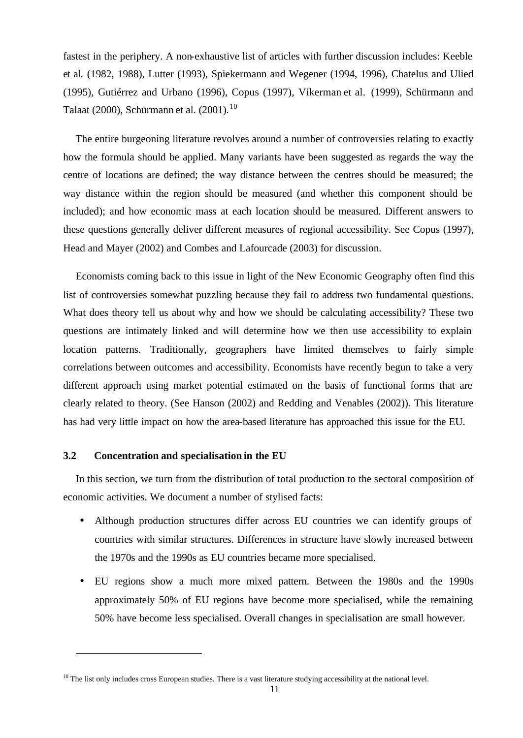fastest in the periphery. A non-exhaustive list of articles with further discussion includes: Keeble et al. (1982, 1988), Lutter (1993), Spiekermann and Wegener (1994, 1996), Chatelus and Ulied (1995), Gutiérrez and Urbano (1996), Copus (1997), Vikerman et al. (1999), Schürmann and Talaat (2000), Schürmann et al.  $(2001)$ .<sup>10</sup>

The entire burgeoning literature revolves around a number of controversies relating to exactly how the formula should be applied. Many variants have been suggested as regards the way the centre of locations are defined; the way distance between the centres should be measured; the way distance within the region should be measured (and whether this component should be included); and how economic mass at each location should be measured. Different answers to these questions generally deliver different measures of regional accessibility. See Copus (1997), Head and Mayer (2002) and Combes and Lafourcade (2003) for discussion.

Economists coming back to this issue in light of the New Economic Geography often find this list of controversies somewhat puzzling because they fail to address two fundamental questions. What does theory tell us about why and how we should be calculating accessibility? These two questions are intimately linked and will determine how we then use accessibility to explain location patterns. Traditionally, geographers have limited themselves to fairly simple correlations between outcomes and accessibility. Economists have recently begun to take a very different approach using market potential estimated on the basis of functional forms that are clearly related to theory. (See Hanson (2002) and Redding and Venables (2002)). This literature has had very little impact on how the area-based literature has approached this issue for the EU.

#### **3.2 Concentration and specialisation in the EU**

l

In this section, we turn from the distribution of total production to the sectoral composition of economic activities. We document a number of stylised facts:

- Although production structures differ across EU countries we can identify groups of countries with similar structures. Differences in structure have slowly increased between the 1970s and the 1990s as EU countries became more specialised.
- EU regions show a much more mixed pattern. Between the 1980s and the 1990s approximately 50% of EU regions have become more specialised, while the remaining 50% have become less specialised. Overall changes in specialisation are small however.

 $10$  The list only includes cross European studies. There is a vast literature studying accessibility at the national level.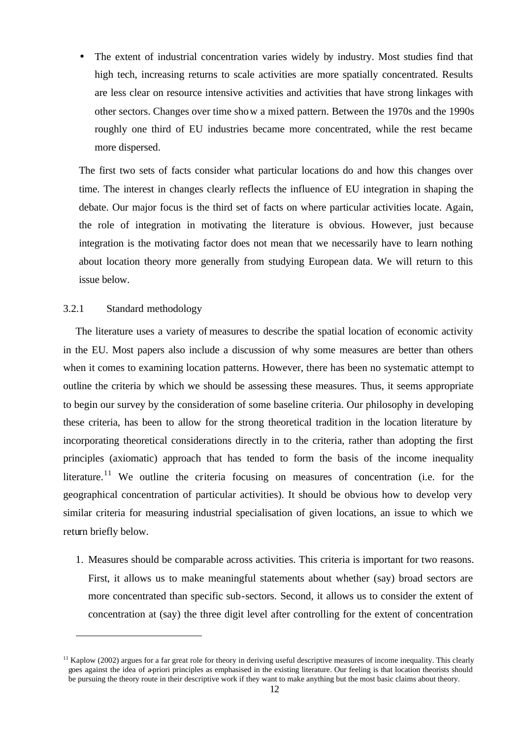• The extent of industrial concentration varies widely by industry. Most studies find that high tech, increasing returns to scale activities are more spatially concentrated. Results are less clear on resource intensive activities and activities that have strong linkages with other sectors. Changes over time show a mixed pattern. Between the 1970s and the 1990s roughly one third of EU industries became more concentrated, while the rest became more dispersed.

The first two sets of facts consider what particular locations do and how this changes over time. The interest in changes clearly reflects the influence of EU integration in shaping the debate. Our major focus is the third set of facts on where particular activities locate. Again, the role of integration in motivating the literature is obvious. However, just because integration is the motivating factor does not mean that we necessarily have to learn nothing about location theory more generally from studying European data. We will return to this issue below.

#### 3.2.1 Standard methodology

l

The literature uses a variety of measures to describe the spatial location of economic activity in the EU. Most papers also include a discussion of why some measures are better than others when it comes to examining location patterns. However, there has been no systematic attempt to outline the criteria by which we should be assessing these measures. Thus, it seems appropriate to begin our survey by the consideration of some baseline criteria. Our philosophy in developing these criteria, has been to allow for the strong theoretical tradition in the location literature by incorporating theoretical considerations directly in to the criteria, rather than adopting the first principles (axiomatic) approach that has tended to form the basis of the income inequality literature.<sup>11</sup> We outline the criteria focusing on measures of concentration (i.e. for the geographical concentration of particular activities). It should be obvious how to develop very similar criteria for measuring industrial specialisation of given locations, an issue to which we return briefly below.

1. Measures should be comparable across activities. This criteria is important for two reasons. First, it allows us to make meaningful statements about whether (say) broad sectors are more concentrated than specific sub-sectors. Second, it allows us to consider the extent of concentration at (say) the three digit level after controlling for the extent of concentration

 $11$  Kaplow (2002) argues for a far great role for theory in deriving useful descriptive measures of income inequality. This clearly goes against the idea of a-priori principles as emphasised in the existing literature. Our feeling is that location theorists should be pursuing the theory route in their descriptive work if they want to make anything but the most basic claims about theory.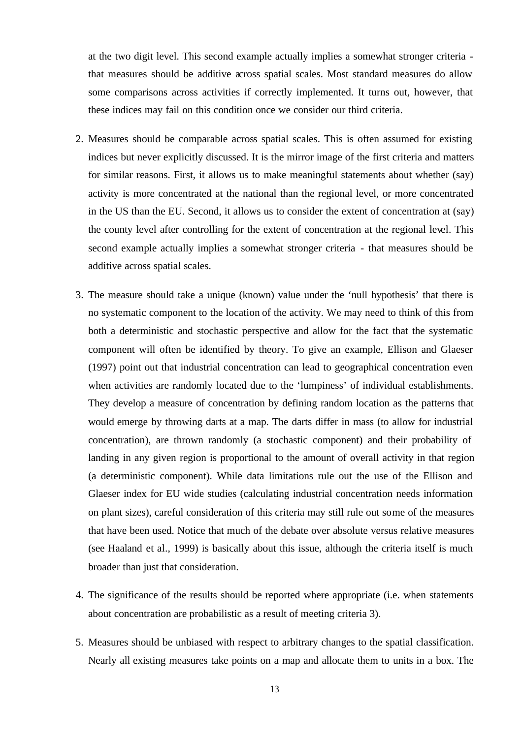at the two digit level. This second example actually implies a somewhat stronger criteria that measures should be additive across spatial scales. Most standard measures do allow some comparisons across activities if correctly implemented. It turns out, however, that these indices may fail on this condition once we consider our third criteria.

- 2. Measures should be comparable across spatial scales. This is often assumed for existing indices but never explicitly discussed. It is the mirror image of the first criteria and matters for similar reasons. First, it allows us to make meaningful statements about whether (say) activity is more concentrated at the national than the regional level, or more concentrated in the US than the EU. Second, it allows us to consider the extent of concentration at (say) the county level after controlling for the extent of concentration at the regional level. This second example actually implies a somewhat stronger criteria - that measures should be additive across spatial scales.
- 3. The measure should take a unique (known) value under the 'null hypothesis' that there is no systematic component to the location of the activity. We may need to think of this from both a deterministic and stochastic perspective and allow for the fact that the systematic component will often be identified by theory. To give an example, Ellison and Glaeser (1997) point out that industrial concentration can lead to geographical concentration even when activities are randomly located due to the 'lumpiness' of individual establishments. They develop a measure of concentration by defining random location as the patterns that would emerge by throwing darts at a map. The darts differ in mass (to allow for industrial concentration), are thrown randomly (a stochastic component) and their probability of landing in any given region is proportional to the amount of overall activity in that region (a deterministic component). While data limitations rule out the use of the Ellison and Glaeser index for EU wide studies (calculating industrial concentration needs information on plant sizes), careful consideration of this criteria may still rule out some of the measures that have been used. Notice that much of the debate over absolute versus relative measures (see Haaland et al., 1999) is basically about this issue, although the criteria itself is much broader than just that consideration.
- 4. The significance of the results should be reported where appropriate (i.e. when statements about concentration are probabilistic as a result of meeting criteria 3).
- 5. Measures should be unbiased with respect to arbitrary changes to the spatial classification. Nearly all existing measures take points on a map and allocate them to units in a box. The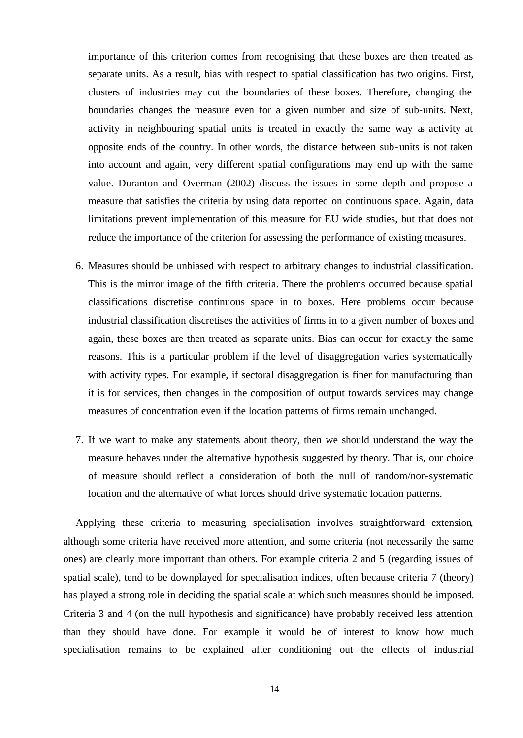importance of this criterion comes from recognising that these boxes are then treated as separate units. As a result, bias with respect to spatial classification has two origins. First, clusters of industries may cut the boundaries of these boxes. Therefore, changing the boundaries changes the measure even for a given number and size of sub-units. Next, activity in neighbouring spatial units is treated in exactly the same way as activity at opposite ends of the country. In other words, the distance between sub-units is not taken into account and again, very different spatial configurations may end up with the same value. Duranton and Overman (2002) discuss the issues in some depth and propose a measure that satisfies the criteria by using data reported on continuous space. Again, data limitations prevent implementation of this measure for EU wide studies, but that does not reduce the importance of the criterion for assessing the performance of existing measures.

- 6. Measures should be unbiased with respect to arbitrary changes to industrial classification. This is the mirror image of the fifth criteria. There the problems occurred because spatial classifications discretise continuous space in to boxes. Here problems occur because industrial classification discretises the activities of firms in to a given number of boxes and again, these boxes are then treated as separate units. Bias can occur for exactly the same reasons. This is a particular problem if the level of disaggregation varies systematically with activity types. For example, if sectoral disaggregation is finer for manufacturing than it is for services, then changes in the composition of output towards services may change measures of concentration even if the location patterns of firms remain unchanged.
- 7. If we want to make any statements about theory, then we should understand the way the measure behaves under the alternative hypothesis suggested by theory. That is, our choice of measure should reflect a consideration of both the null of random/non-systematic location and the alternative of what forces should drive systematic location patterns.

Applying these criteria to measuring specialisation involves straightforward extension, although some criteria have received more attention, and some criteria (not necessarily the same ones) are clearly more important than others. For example criteria 2 and 5 (regarding issues of spatial scale), tend to be downplayed for specialisation indices, often because criteria 7 (theory) has played a strong role in deciding the spatial scale at which such measures should be imposed. Criteria 3 and 4 (on the null hypothesis and significance) have probably received less attention than they should have done. For example it would be of interest to know how much specialisation remains to be explained after conditioning out the effects of industrial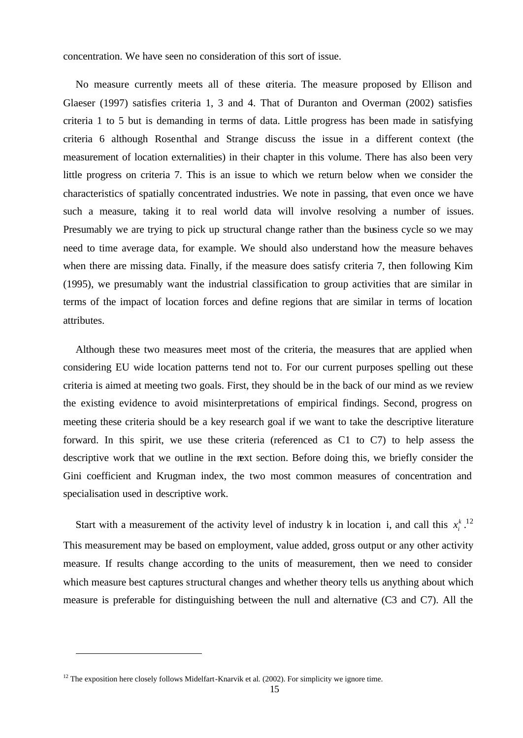concentration. We have seen no consideration of this sort of issue.

No measure currently meets all of these criteria. The measure proposed by Ellison and Glaeser (1997) satisfies criteria 1, 3 and 4. That of Duranton and Overman (2002) satisfies criteria 1 to 5 but is demanding in terms of data. Little progress has been made in satisfying criteria 6 although Rosenthal and Strange discuss the issue in a different context (the measurement of location externalities) in their chapter in this volume. There has also been very little progress on criteria 7. This is an issue to which we return below when we consider the characteristics of spatially concentrated industries. We note in passing, that even once we have such a measure, taking it to real world data will involve resolving a number of issues. Presumably we are trying to pick up structural change rather than the business cycle so we may need to time average data, for example. We should also understand how the measure behaves when there are missing data. Finally, if the measure does satisfy criteria 7, then following Kim (1995), we presumably want the industrial classification to group activities that are similar in terms of the impact of location forces and define regions that are similar in terms of location attributes.

Although these two measures meet most of the criteria, the measures that are applied when considering EU wide location patterns tend not to. For our current purposes spelling out these criteria is aimed at meeting two goals. First, they should be in the back of our mind as we review the existing evidence to avoid misinterpretations of empirical findings. Second, progress on meeting these criteria should be a key research goal if we want to take the descriptive literature forward. In this spirit, we use these criteria (referenced as C1 to C7) to help assess the descriptive work that we outline in the next section. Before doing this, we briefly consider the Gini coefficient and Krugman index, the two most common measures of concentration and specialisation used in descriptive work.

Start with a measurement of the activity level of industry k in location i, and call this  $x_i^k$ .<sup>12</sup> This measurement may be based on employment, value added, gross output or any other activity measure. If results change according to the units of measurement, then we need to consider which measure best captures structural changes and whether theory tells us anything about which measure is preferable for distinguishing between the null and alternative (C3 and C7). All the

<sup>&</sup>lt;sup>12</sup> The exposition here closely follows Midelfart-Knarvik et al. (2002). For simplicity we ignore time.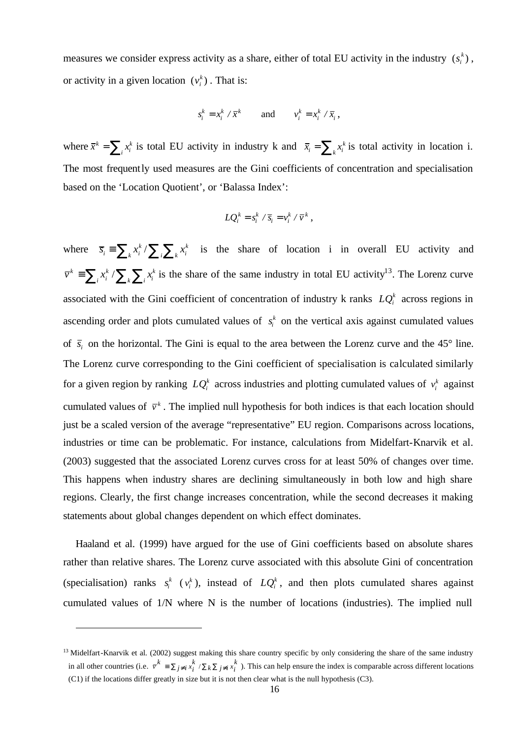measures we consider express activity as a share, either of total EU activity in the industry  $(s_i^k)$  $s_i^k)$ , or activity in a given location  $(v_i^k)$  $v_i^k$ ). That is:

$$
s_i^k = x_i^k / \overline{x}^k \quad \text{and} \quad v_i^k = x_i^k / \overline{x}_i \,,
$$

where  $\bar{x}^k = \sum_i x_i^k$  is total EU activity in industry k and  $\bar{x}_i = \sum_k x_i^k$  is total activity in location i. The most frequently used measures are the Gini coefficients of concentration and specialisation based on the 'Location Quotient', or 'Balassa Index':

$$
LQ_i^k = s_i^k / \overline{s}_i = v_i^k / \overline{v}^k,
$$

where  $\overline{s}_i \equiv \sum_k x_i^k / \sum_i \sum_k x_i^k$  $\mathbf{A}_i^{\mathcal{A}_i}$   $\mathcal{L}_i \mathcal{L}_k^{\mathcal{A}_i}$ *k*  $\overline{s}_i = \sum_k x_i^k / \sum_i \sum_k x_i^k$  is the share of location i in overall EU activity and  $\equiv \sum_i x_i^k / \sum_k \sum_i x_i^k$  $i^{\lambda_i}$ <sup>'</sup>  $\angle$ <sub>k</sub> $\angle$ <sub>i</sub> $\lambda_i$ *k i*  $\overline{v}^k = \sum_{i} x_i^k / \sum_{i} x_i^k$  is the share of the same industry in total EU activity<sup>13</sup>. The Lorenz curve associated with the Gini coefficient of concentration of industry k ranks  $LQ_i^k$  across regions in ascending order and plots cumulated values of  $s_i^k$  on the vertical axis against cumulated values of  $\bar{s}_i$  on the horizontal. The Gini is equal to the area between the Lorenz curve and the 45° line. The Lorenz curve corresponding to the Gini coefficient of specialisation is calculated similarly for a given region by ranking  $LQ_i^k$  across industries and plotting cumulated values of  $v_i^k$  against cumulated values of  $\bar{v}^k$ . The implied null hypothesis for both indices is that each location should just be a scaled version of the average "representative" EU region. Comparisons across locations, industries or time can be problematic. For instance, calculations from Midelfart-Knarvik et al. (2003) suggested that the associated Lorenz curves cross for at least 50% of changes over time. This happens when industry shares are declining simultaneously in both low and high share regions. Clearly, the first change increases concentration, while the second decreases it making statements about global changes dependent on which effect dominates.

Haaland et al. (1999) have argued for the use of Gini coefficients based on absolute shares rather than relative shares. The Lorenz curve associated with this absolute Gini of concentration (specialisation) ranks  $s_i^k$  ( $v_i^k$ ), instead of  $LQ_i^k$ , and then plots cumulated shares against cumulated values of 1/N where N is the number of locations (industries). The implied null

<sup>&</sup>lt;sup>13</sup> Midelfart-Knarvik et al. (2002) suggest making this share country specific by only considering the share of the same industry in all other countries (i.e.  $\overline{v}^k \equiv \sum_{j \neq i} x_i^k / \sum_k \sum_{j \neq i} x_i^k$  $\int f \neq i$   $\int f' \geq k \sum_{j \neq i} f' \neq i$  $\overline{v}^k = \sum_{j \neq i} x_i^k / \sum_k \sum_{j \neq i} x_i^k$ . This can help ensure the index is comparable across different locations (C1) if the locations differ greatly in size but it is not then clear what is the null hypothesis (C3).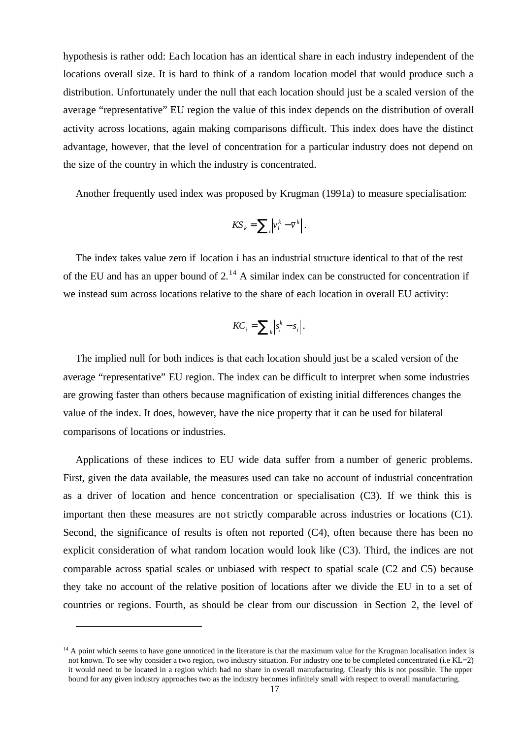hypothesis is rather odd: Each location has an identical share in each industry independent of the locations overall size. It is hard to think of a random location model that would produce such a distribution. Unfortunately under the null that each location should just be a scaled version of the average "representative" EU region the value of this index depends on the distribution of overall activity across locations, again making comparisons difficult. This index does have the distinct advantage, however, that the level of concentration for a particular industry does not depend on the size of the country in which the industry is concentrated.

Another frequently used index was proposed by Krugman (1991a) to measure specialisation:

$$
KS_{k} = \sum_{i} \left| v_{i}^{k} - \overline{v}^{k} \right|.
$$

The index takes value zero if location i has an industrial structure identical to that of the rest of the EU and has an upper bound of  $2<sup>14</sup>$  A similar index can be constructed for concentration if we instead sum across locations relative to the share of each location in overall EU activity:

$$
KC_i = \sum_{k} \left| s_i^k - \overline{s}_i \right|.
$$

The implied null for both indices is that each location should just be a scaled version of the average "representative" EU region. The index can be difficult to interpret when some industries are growing faster than others because magnification of existing initial differences changes the value of the index. It does, however, have the nice property that it can be used for bilateral comparisons of locations or industries.

Applications of these indices to EU wide data suffer from a number of generic problems. First, given the data available, the measures used can take no account of industrial concentration as a driver of location and hence concentration or specialisation (C3). If we think this is important then these measures are not strictly comparable across industries or locations (C1). Second, the significance of results is often not reported (C4), often because there has been no explicit consideration of what random location would look like (C3). Third, the indices are not comparable across spatial scales or unbiased with respect to spatial scale (C2 and C5) because they take no account of the relative position of locations after we divide the EU in to a set of countries or regions. Fourth, as should be clear from our discussion in Section 2, the level of

 $14$  A point which seems to have gone unnoticed in the literature is that the maximum value for the Krugman localisation index is not known. To see why consider a two region, two industry situation. For industry one to be completed concentrated (i.e KL=2) it would need to be located in a region which had no share in overall manufacturing. Clearly this is not possible. The upper bound for any given industry approaches two as the industry becomes infinitely small with respect to overall manufacturing.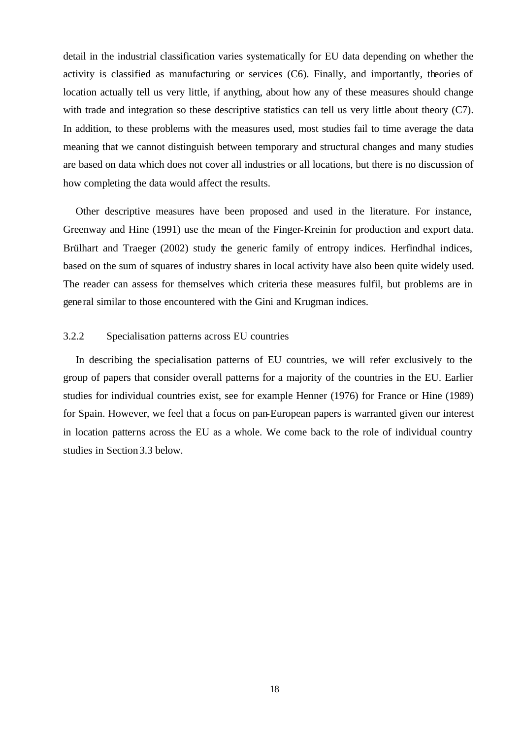detail in the industrial classification varies systematically for EU data depending on whether the activity is classified as manufacturing or services (C6). Finally, and importantly, theories of location actually tell us very little, if anything, about how any of these measures should change with trade and integration so these descriptive statistics can tell us very little about theory (C7). In addition, to these problems with the measures used, most studies fail to time average the data meaning that we cannot distinguish between temporary and structural changes and many studies are based on data which does not cover all industries or all locations, but there is no discussion of how completing the data would affect the results.

Other descriptive measures have been proposed and used in the literature. For instance, Greenway and Hine (1991) use the mean of the Finger-Kreinin for production and export data. Brülhart and Traeger (2002) study the generic family of entropy indices. Herfindhal indices, based on the sum of squares of industry shares in local activity have also been quite widely used. The reader can assess for themselves which criteria these measures fulfil, but problems are in general similar to those encountered with the Gini and Krugman indices.

#### 3.2.2 Specialisation patterns across EU countries

In describing the specialisation patterns of EU countries, we will refer exclusively to the group of papers that consider overall patterns for a majority of the countries in the EU. Earlier studies for individual countries exist, see for example Henner (1976) for France or Hine (1989) for Spain. However, we feel that a focus on pan-European papers is warranted given our interest in location patterns across the EU as a whole. We come back to the role of individual country studies in Section 3.3 below.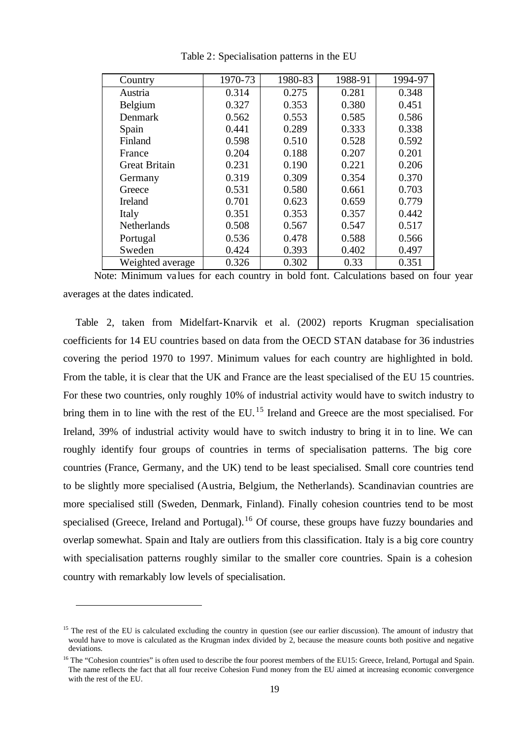| Country              | 1970-73 | 1980-83 | 1988-91 | 1994-97 |
|----------------------|---------|---------|---------|---------|
| Austria              | 0.314   | 0.275   | 0.281   | 0.348   |
| Belgium              | 0.327   | 0.353   | 0.380   | 0.451   |
| Denmark              | 0.562   | 0.553   | 0.585   | 0.586   |
| Spain                | 0.441   | 0.289   | 0.333   | 0.338   |
| Finland              | 0.598   | 0.510   | 0.528   | 0.592   |
| France               | 0.204   | 0.188   | 0.207   | 0.201   |
| <b>Great Britain</b> | 0.231   | 0.190   | 0.221   | 0.206   |
| Germany              | 0.319   | 0.309   | 0.354   | 0.370   |
| Greece               | 0.531   | 0.580   | 0.661   | 0.703   |
| Ireland              | 0.701   | 0.623   | 0.659   | 0.779   |
| Italy                | 0.351   | 0.353   | 0.357   | 0.442   |
| <b>Netherlands</b>   | 0.508   | 0.567   | 0.547   | 0.517   |
| Portugal             | 0.536   | 0.478   | 0.588   | 0.566   |
| Sweden               | 0.424   | 0.393   | 0.402   | 0.497   |
| Weighted average     | 0.326   | 0.302   | 0.33    | 0.351   |

Table 2: Specialisation patterns in the EU

Note: Minimum va lues for each country in bold font. Calculations based on four year averages at the dates indicated.

Table 2, taken from Midelfart-Knarvik et al. (2002) reports Krugman specialisation coefficients for 14 EU countries based on data from the OECD STAN database for 36 industries covering the period 1970 to 1997. Minimum values for each country are highlighted in bold. From the table, it is clear that the UK and France are the least specialised of the EU 15 countries. For these two countries, only roughly 10% of industrial activity would have to switch industry to bring them in to line with the rest of the EU.<sup>15</sup> Ireland and Greece are the most specialised. For Ireland, 39% of industrial activity would have to switch industry to bring it in to line. We can roughly identify four groups of countries in terms of specialisation patterns. The big core countries (France, Germany, and the UK) tend to be least specialised. Small core countries tend to be slightly more specialised (Austria, Belgium, the Netherlands). Scandinavian countries are more specialised still (Sweden, Denmark, Finland). Finally cohesion countries tend to be most specialised (Greece, Ireland and Portugal).<sup>16</sup> Of course, these groups have fuzzy boundaries and overlap somewhat. Spain and Italy are outliers from this classification. Italy is a big core country with specialisation patterns roughly similar to the smaller core countries. Spain is a cohesion country with remarkably low levels of specialisation.

<sup>&</sup>lt;sup>15</sup> The rest of the EU is calculated excluding the country in question (see our earlier discussion). The amount of industry that would have to move is calculated as the Krugman index divided by 2, because the measure counts both positive and negative deviations.

<sup>&</sup>lt;sup>16</sup> The "Cohesion countries" is often used to describe the four poorest members of the EU15: Greece, Ireland, Portugal and Spain. The name reflects the fact that all four receive Cohesion Fund money from the EU aimed at increasing economic convergence with the rest of the EU.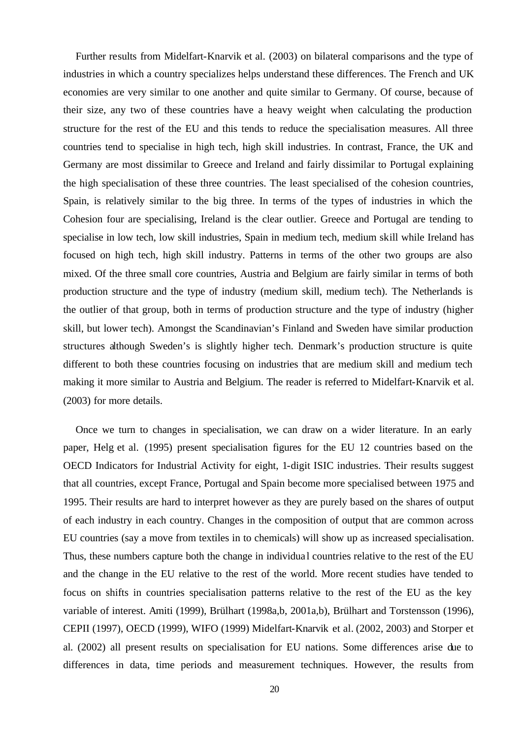Further results from Midelfart-Knarvik et al. (2003) on bilateral comparisons and the type of industries in which a country specializes helps understand these differences. The French and UK economies are very similar to one another and quite similar to Germany. Of course, because of their size, any two of these countries have a heavy weight when calculating the production structure for the rest of the EU and this tends to reduce the specialisation measures. All three countries tend to specialise in high tech, high skill industries. In contrast, France, the UK and Germany are most dissimilar to Greece and Ireland and fairly dissimilar to Portugal explaining the high specialisation of these three countries. The least specialised of the cohesion countries, Spain, is relatively similar to the big three. In terms of the types of industries in which the Cohesion four are specialising, Ireland is the clear outlier. Greece and Portugal are tending to specialise in low tech, low skill industries, Spain in medium tech, medium skill while Ireland has focused on high tech, high skill industry. Patterns in terms of the other two groups are also mixed. Of the three small core countries, Austria and Belgium are fairly similar in terms of both production structure and the type of industry (medium skill, medium tech). The Netherlands is the outlier of that group, both in terms of production structure and the type of industry (higher skill, but lower tech). Amongst the Scandinavian's Finland and Sweden have similar production structures although Sweden's is slightly higher tech. Denmark's production structure is quite different to both these countries focusing on industries that are medium skill and medium tech making it more similar to Austria and Belgium. The reader is referred to Midelfart-Knarvik et al. (2003) for more details.

Once we turn to changes in specialisation, we can draw on a wider literature. In an early paper, Helg et al. (1995) present specialisation figures for the EU 12 countries based on the OECD Indicators for Industrial Activity for eight, 1-digit ISIC industries. Their results suggest that all countries, except France, Portugal and Spain become more specialised between 1975 and 1995. Their results are hard to interpret however as they are purely based on the shares of output of each industry in each country. Changes in the composition of output that are common across EU countries (say a move from textiles in to chemicals) will show up as increased specialisation. Thus, these numbers capture both the change in individua l countries relative to the rest of the EU and the change in the EU relative to the rest of the world. More recent studies have tended to focus on shifts in countries specialisation patterns relative to the rest of the EU as the key variable of interest. Amiti (1999), Brülhart (1998a,b, 2001a,b), Brülhart and Torstensson (1996), CEPII (1997), OECD (1999), WIFO (1999) Midelfart-Knarvik et al. (2002, 2003) and Storper et al. (2002) all present results on specialisation for EU nations. Some differences arise due to differences in data, time periods and measurement techniques. However, the results from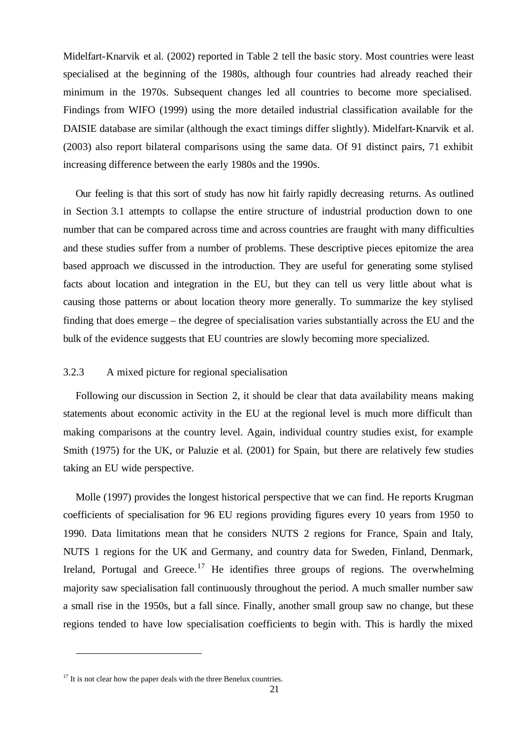Midelfart-Knarvik et al. (2002) reported in Table 2 tell the basic story. Most countries were least specialised at the beginning of the 1980s, although four countries had already reached their minimum in the 1970s. Subsequent changes led all countries to become more specialised. Findings from WIFO (1999) using the more detailed industrial classification available for the DAISIE database are similar (although the exact timings differ slightly). Midelfart-Knarvik et al. (2003) also report bilateral comparisons using the same data. Of 91 distinct pairs, 71 exhibit increasing difference between the early 1980s and the 1990s.

Our feeling is that this sort of study has now hit fairly rapidly decreasing returns. As outlined in Section 3.1 attempts to collapse the entire structure of industrial production down to one number that can be compared across time and across countries are fraught with many difficulties and these studies suffer from a number of problems. These descriptive pieces epitomize the area based approach we discussed in the introduction. They are useful for generating some stylised facts about location and integration in the EU, but they can tell us very little about what is causing those patterns or about location theory more generally. To summarize the key stylised finding that does emerge – the degree of specialisation varies substantially across the EU and the bulk of the evidence suggests that EU countries are slowly becoming more specialized.

### 3.2.3 A mixed picture for regional specialisation

Following our discussion in Section 2, it should be clear that data availability means making statements about economic activity in the EU at the regional level is much more difficult than making comparisons at the country level. Again, individual country studies exist, for example Smith (1975) for the UK, or Paluzie et al. (2001) for Spain, but there are relatively few studies taking an EU wide perspective.

Molle (1997) provides the longest historical perspective that we can find. He reports Krugman coefficients of specialisation for 96 EU regions providing figures every 10 years from 1950 to 1990. Data limitations mean that he considers NUTS 2 regions for France, Spain and Italy, NUTS 1 regions for the UK and Germany, and country data for Sweden, Finland, Denmark, Ireland, Portugal and Greece.<sup>17</sup> He identifies three groups of regions. The overwhelming majority saw specialisation fall continuously throughout the period. A much smaller number saw a small rise in the 1950s, but a fall since. Finally, another small group saw no change, but these regions tended to have low specialisation coefficients to begin with. This is hardly the mixed

 $17$  It is not clear how the paper deals with the three Benelux countries.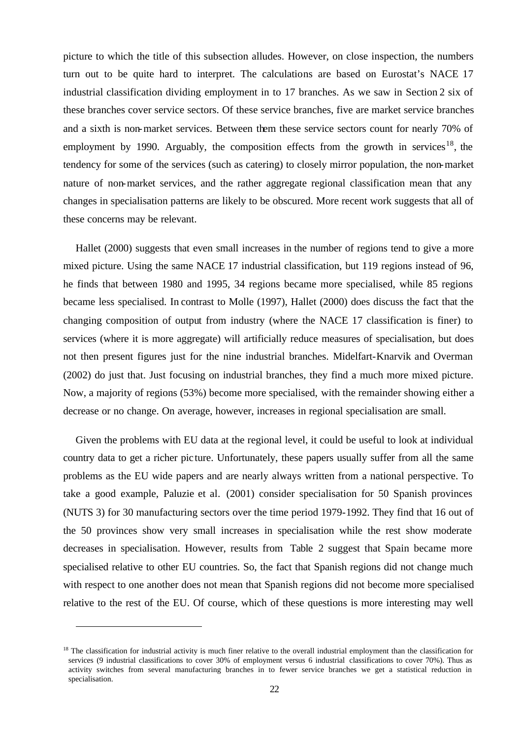picture to which the title of this subsection alludes. However, on close inspection, the numbers turn out to be quite hard to interpret. The calculations are based on Eurostat's NACE 17 industrial classification dividing employment in to 17 branches. As we saw in Section 2 six of these branches cover service sectors. Of these service branches, five are market service branches and a sixth is non-market services. Between them these service sectors count for nearly 70% of employment by 1990. Arguably, the composition effects from the growth in services<sup>18</sup>, the tendency for some of the services (such as catering) to closely mirror population, the non-market nature of non-market services, and the rather aggregate regional classification mean that any changes in specialisation patterns are likely to be obscured. More recent work suggests that all of these concerns may be relevant.

Hallet (2000) suggests that even small increases in the number of regions tend to give a more mixed picture. Using the same NACE 17 industrial classification, but 119 regions instead of 96, he finds that between 1980 and 1995, 34 regions became more specialised, while 85 regions became less specialised. In contrast to Molle (1997), Hallet (2000) does discuss the fact that the changing composition of output from industry (where the NACE 17 classification is finer) to services (where it is more aggregate) will artificially reduce measures of specialisation, but does not then present figures just for the nine industrial branches. Midelfart-Knarvik and Overman (2002) do just that. Just focusing on industrial branches, they find a much more mixed picture. Now, a majority of regions (53%) become more specialised, with the remainder showing either a decrease or no change. On average, however, increases in regional specialisation are small.

Given the problems with EU data at the regional level, it could be useful to look at individual country data to get a richer pic ture. Unfortunately, these papers usually suffer from all the same problems as the EU wide papers and are nearly always written from a national perspective. To take a good example, Paluzie et al. (2001) consider specialisation for 50 Spanish provinces (NUTS 3) for 30 manufacturing sectors over the time period 1979-1992. They find that 16 out of the 50 provinces show very small increases in specialisation while the rest show moderate decreases in specialisation. However, results from Table 2 suggest that Spain became more specialised relative to other EU countries. So, the fact that Spanish regions did not change much with respect to one another does not mean that Spanish regions did not become more specialised relative to the rest of the EU. Of course, which of these questions is more interesting may well

<sup>&</sup>lt;sup>18</sup> The classification for industrial activity is much finer relative to the overall industrial employment than the classification for services (9 industrial classifications to cover 30% of employment versus 6 industrial classifications to cover 70%). Thus as activity switches from several manufacturing branches in to fewer service branches we get a statistical reduction in specialisation.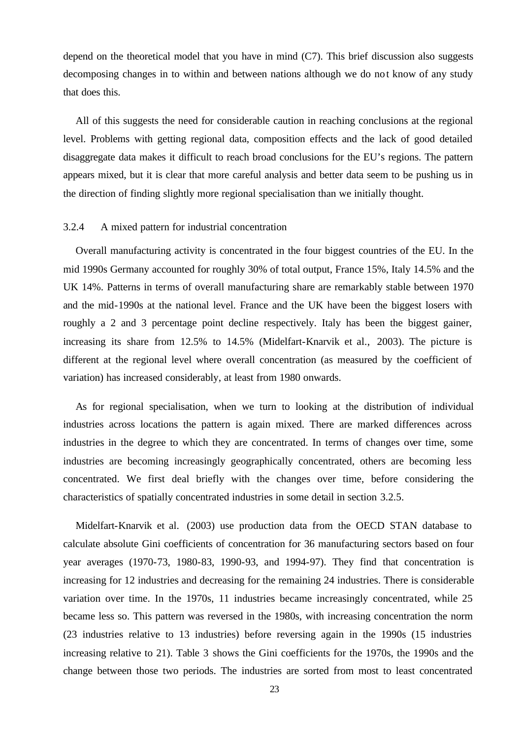depend on the theoretical model that you have in mind (C7). This brief discussion also suggests decomposing changes in to within and between nations although we do not know of any study that does this.

All of this suggests the need for considerable caution in reaching conclusions at the regional level. Problems with getting regional data, composition effects and the lack of good detailed disaggregate data makes it difficult to reach broad conclusions for the EU's regions. The pattern appears mixed, but it is clear that more careful analysis and better data seem to be pushing us in the direction of finding slightly more regional specialisation than we initially thought.

#### 3.2.4 A mixed pattern for industrial concentration

Overall manufacturing activity is concentrated in the four biggest countries of the EU. In the mid 1990s Germany accounted for roughly 30% of total output, France 15%, Italy 14.5% and the UK 14%. Patterns in terms of overall manufacturing share are remarkably stable between 1970 and the mid-1990s at the national level. France and the UK have been the biggest losers with roughly a 2 and 3 percentage point decline respectively. Italy has been the biggest gainer, increasing its share from 12.5% to 14.5% (Midelfart-Knarvik et al., 2003). The picture is different at the regional level where overall concentration (as measured by the coefficient of variation) has increased considerably, at least from 1980 onwards.

As for regional specialisation, when we turn to looking at the distribution of individual industries across locations the pattern is again mixed. There are marked differences across industries in the degree to which they are concentrated. In terms of changes over time, some industries are becoming increasingly geographically concentrated, others are becoming less concentrated. We first deal briefly with the changes over time, before considering the characteristics of spatially concentrated industries in some detail in section 3.2.5.

Midelfart-Knarvik et al. (2003) use production data from the OECD STAN database to calculate absolute Gini coefficients of concentration for 36 manufacturing sectors based on four year averages (1970-73, 1980-83, 1990-93, and 1994-97). They find that concentration is increasing for 12 industries and decreasing for the remaining 24 industries. There is considerable variation over time. In the 1970s, 11 industries became increasingly concentrated, while 25 became less so. This pattern was reversed in the 1980s, with increasing concentration the norm (23 industries relative to 13 industries) before reversing again in the 1990s (15 industries increasing relative to 21). Table 3 shows the Gini coefficients for the 1970s, the 1990s and the change between those two periods. The industries are sorted from most to least concentrated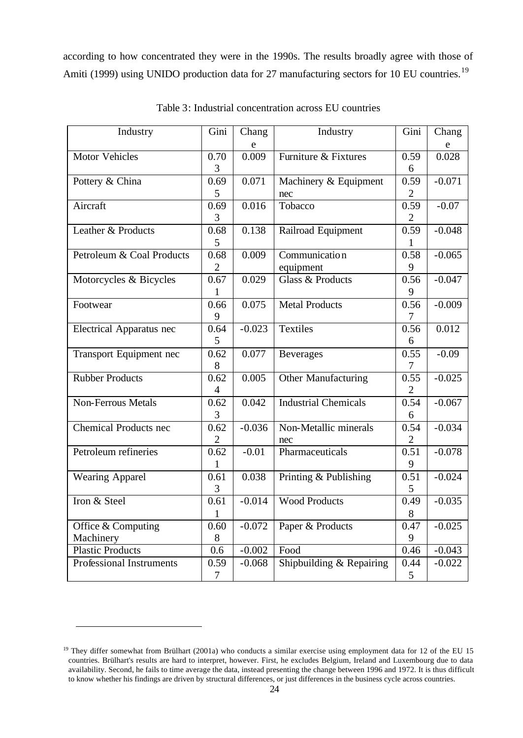according to how concentrated they were in the 1990s. The results broadly agree with those of Amiti (1999) using UNIDO production data for 27 manufacturing sectors for 10 EU countries.<sup>19</sup>

| Industry                        | Gini              | Chang    | Industry                    | Gini           | Chang    |
|---------------------------------|-------------------|----------|-----------------------------|----------------|----------|
|                                 |                   | e        |                             |                | e        |
| <b>Motor Vehicles</b>           | 0.70              | 0.009    | Furniture & Fixtures        | 0.59           | 0.028    |
|                                 | 3                 |          |                             | 6              |          |
| Pottery & China                 | 0.69              | 0.071    | Machinery & Equipment       | 0.59           | $-0.071$ |
|                                 | 5                 |          | nec                         | $\overline{2}$ |          |
| Aircraft                        | $\overline{0.69}$ | 0.016    | Tobacco                     | 0.59           | $-0.07$  |
|                                 | 3                 |          |                             | $\overline{2}$ |          |
| Leather & Products              | 0.68              | 0.138    | Railroad Equipment          | 0.59           | $-0.048$ |
|                                 | 5                 |          |                             | 1              |          |
| Petroleum & Coal Products       | 0.68              | 0.009    | Communication               | 0.58           | $-0.065$ |
|                                 | $\overline{2}$    |          | equipment                   | 9              |          |
| Motorcycles & Bicycles          | 0.67              | 0.029    | Glass & Products            | 0.56           | $-0.047$ |
|                                 | 1                 |          |                             | 9              |          |
| Footwear                        | 0.66              | 0.075    | <b>Metal Products</b>       | 0.56           | $-0.009$ |
|                                 | 9                 |          |                             | 7              |          |
| <b>Electrical Apparatus nec</b> | 0.64<br>5         | $-0.023$ | Textiles                    | 0.56<br>6      | 0.012    |
|                                 |                   |          |                             |                |          |
| Transport Equipment nec         | 0.62<br>8         | 0.077    | <b>Beverages</b>            | 0.55<br>7      | $-0.09$  |
| <b>Rubber Products</b>          | 0.62              | 0.005    |                             | 0.55           | $-0.025$ |
|                                 | 4                 |          | Other Manufacturing         | $\overline{2}$ |          |
| <b>Non-Ferrous Metals</b>       | 0.62              | 0.042    | <b>Industrial Chemicals</b> | 0.54           | $-0.067$ |
|                                 | 3                 |          |                             | 6              |          |
| Chemical Products nec           | 0.62              | $-0.036$ | Non-Metallic minerals       | 0.54           | $-0.034$ |
|                                 | $\overline{2}$    |          | nec                         | $\overline{2}$ |          |
| Petroleum refineries            | 0.62              | $-0.01$  | Pharmaceuticals             | 0.51           | $-0.078$ |
|                                 | 1                 |          |                             | 9              |          |
| <b>Wearing Apparel</b>          | 0.61              | 0.038    | Printing & Publishing       | 0.51           | $-0.024$ |
|                                 | 3                 |          |                             | 5              |          |
| Iron & Steel                    | 0.61              | $-0.014$ | <b>Wood Products</b>        | 0.49           | $-0.035$ |
|                                 | 1                 |          |                             | 8              |          |
| Office & Computing              | 0.60              | $-0.072$ | Paper & Products            | 0.47           | $-0.025$ |
| Machinery                       | 8                 |          |                             | 9              |          |
| <b>Plastic Products</b>         | 0.6               | $-0.002$ | Food                        | 0.46           | $-0.043$ |
| Professional Instruments        | 0.59              | $-0.068$ | Shipbuilding & Repairing    | 0.44           | $-0.022$ |
|                                 | 7                 |          |                             | 5              |          |

Table 3: Industrial concentration across EU countries

<sup>&</sup>lt;sup>19</sup> They differ somewhat from Brülhart (2001a) who conducts a similar exercise using employment data for 12 of the EU 15 countries. Brülhart's results are hard to interpret, however. First, he excludes Belgium, Ireland and Luxembourg due to data availability. Second, he fails to time average the data, instead presenting the change between 1996 and 1972. It is thus difficult to know whether his findings are driven by structural differences, or just differences in the business cycle across countries.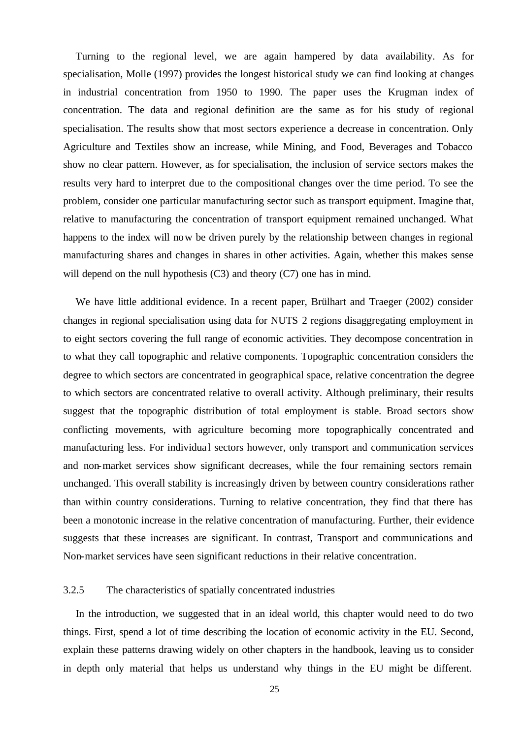Turning to the regional level, we are again hampered by data availability. As for specialisation, Molle (1997) provides the longest historical study we can find looking at changes in industrial concentration from 1950 to 1990. The paper uses the Krugman index of concentration. The data and regional definition are the same as for his study of regional specialisation. The results show that most sectors experience a decrease in concentration. Only Agriculture and Textiles show an increase, while Mining, and Food, Beverages and Tobacco show no clear pattern. However, as for specialisation, the inclusion of service sectors makes the results very hard to interpret due to the compositional changes over the time period. To see the problem, consider one particular manufacturing sector such as transport equipment. Imagine that, relative to manufacturing the concentration of transport equipment remained unchanged. What happens to the index will now be driven purely by the relationship between changes in regional manufacturing shares and changes in shares in other activities. Again, whether this makes sense will depend on the null hypothesis (C3) and theory (C7) one has in mind.

We have little additional evidence. In a recent paper, Brülhart and Traeger (2002) consider changes in regional specialisation using data for NUTS 2 regions disaggregating employment in to eight sectors covering the full range of economic activities. They decompose concentration in to what they call topographic and relative components. Topographic concentration considers the degree to which sectors are concentrated in geographical space, relative concentration the degree to which sectors are concentrated relative to overall activity. Although preliminary, their results suggest that the topographic distribution of total employment is stable. Broad sectors show conflicting movements, with agriculture becoming more topographically concentrated and manufacturing less. For individua l sectors however, only transport and communication services and non-market services show significant decreases, while the four remaining sectors remain unchanged. This overall stability is increasingly driven by between country considerations rather than within country considerations. Turning to relative concentration, they find that there has been a monotonic increase in the relative concentration of manufacturing. Further, their evidence suggests that these increases are significant. In contrast, Transport and communications and Non-market services have seen significant reductions in their relative concentration.

#### 3.2.5 The characteristics of spatially concentrated industries

In the introduction, we suggested that in an ideal world, this chapter would need to do two things. First, spend a lot of time describing the location of economic activity in the EU. Second, explain these patterns drawing widely on other chapters in the handbook, leaving us to consider in depth only material that helps us understand why things in the EU might be different.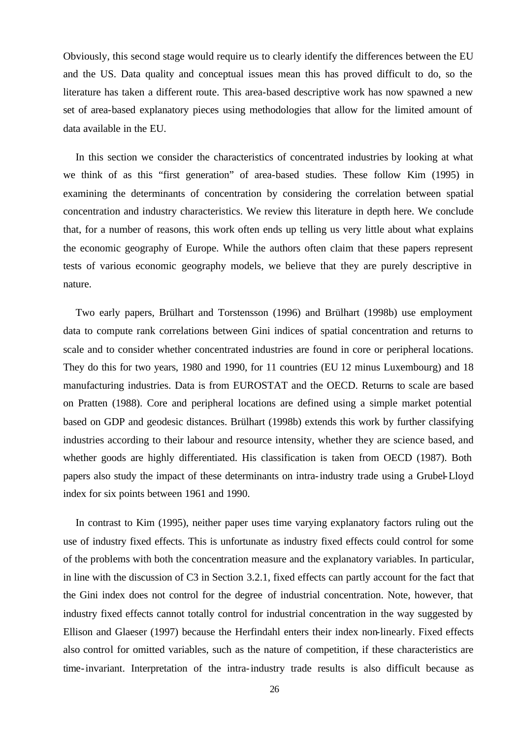Obviously, this second stage would require us to clearly identify the differences between the EU and the US. Data quality and conceptual issues mean this has proved difficult to do, so the literature has taken a different route. This area-based descriptive work has now spawned a new set of area-based explanatory pieces using methodologies that allow for the limited amount of data available in the EU.

In this section we consider the characteristics of concentrated industries by looking at what we think of as this "first generation" of area-based studies. These follow Kim (1995) in examining the determinants of concentration by considering the correlation between spatial concentration and industry characteristics. We review this literature in depth here. We conclude that, for a number of reasons, this work often ends up telling us very little about what explains the economic geography of Europe. While the authors often claim that these papers represent tests of various economic geography models, we believe that they are purely descriptive in nature.

Two early papers, Brülhart and Torstensson (1996) and Brülhart (1998b) use employment data to compute rank correlations between Gini indices of spatial concentration and returns to scale and to consider whether concentrated industries are found in core or peripheral locations. They do this for two years, 1980 and 1990, for 11 countries (EU 12 minus Luxembourg) and 18 manufacturing industries. Data is from EUROSTAT and the OECD. Returns to scale are based on Pratten (1988). Core and peripheral locations are defined using a simple market potential based on GDP and geodesic distances. Brülhart (1998b) extends this work by further classifying industries according to their labour and resource intensity, whether they are science based, and whether goods are highly differentiated. His classification is taken from OECD (1987). Both papers also study the impact of these determinants on intra-industry trade using a Grubel-Lloyd index for six points between 1961 and 1990.

In contrast to Kim (1995), neither paper uses time varying explanatory factors ruling out the use of industry fixed effects. This is unfortunate as industry fixed effects could control for some of the problems with both the concentration measure and the explanatory variables. In particular, in line with the discussion of C3 in Section 3.2.1, fixed effects can partly account for the fact that the Gini index does not control for the degree of industrial concentration. Note, however, that industry fixed effects cannot totally control for industrial concentration in the way suggested by Ellison and Glaeser (1997) because the Herfindahl enters their index non-linearly. Fixed effects also control for omitted variables, such as the nature of competition, if these characteristics are time-invariant. Interpretation of the intra-industry trade results is also difficult because as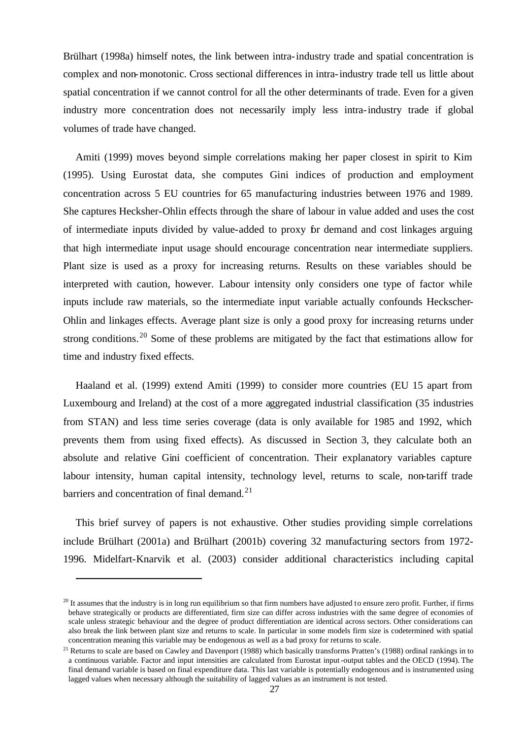Brülhart (1998a) himself notes, the link between intra-industry trade and spatial concentration is complex and non-monotonic. Cross sectional differences in intra-industry trade tell us little about spatial concentration if we cannot control for all the other determinants of trade. Even for a given industry more concentration does not necessarily imply less intra-industry trade if global volumes of trade have changed.

Amiti (1999) moves beyond simple correlations making her paper closest in spirit to Kim (1995). Using Eurostat data, she computes Gini indices of production and employment concentration across 5 EU countries for 65 manufacturing industries between 1976 and 1989. She captures Hecksher-Ohlin effects through the share of labour in value added and uses the cost of intermediate inputs divided by value-added to proxy for demand and cost linkages arguing that high intermediate input usage should encourage concentration near intermediate suppliers. Plant size is used as a proxy for increasing returns. Results on these variables should be interpreted with caution, however. Labour intensity only considers one type of factor while inputs include raw materials, so the intermediate input variable actually confounds Heckscher-Ohlin and linkages effects. Average plant size is only a good proxy for increasing returns under strong conditions.<sup>20</sup> Some of these problems are mitigated by the fact that estimations allow for time and industry fixed effects.

Haaland et al. (1999) extend Amiti (1999) to consider more countries (EU 15 apart from Luxembourg and Ireland) at the cost of a more aggregated industrial classification (35 industries from STAN) and less time series coverage (data is only available for 1985 and 1992, which prevents them from using fixed effects). As discussed in Section 3, they calculate both an absolute and relative Gini coefficient of concentration. Their explanatory variables capture labour intensity, human capital intensity, technology level, returns to scale, non-tariff trade barriers and concentration of final demand. $21$ 

This brief survey of papers is not exhaustive. Other studies providing simple correlations include Brülhart (2001a) and Brülhart (2001b) covering 32 manufacturing sectors from 1972- 1996. Midelfart-Knarvik et al. (2003) consider additional characteristics including capital

 $^{20}$  It assumes that the industry is in long run equilibrium so that firm numbers have adjusted to ensure zero profit. Further, if firms behave strategically or products are differentiated, firm size can differ across industries with the same degree of economies of scale unless strategic behaviour and the degree of product differentiation are identical across sectors. Other considerations can also break the link between plant size and returns to scale. In particular in some models firm size is codetermined with spatial concentration meaning this variable may be endogenous as well as a bad proxy for returns to scale.

<sup>&</sup>lt;sup>21</sup> Returns to scale are based on Cawley and Davenport (1988) which basically transforms Pratten's (1988) ordinal rankings in to a continuous variable. Factor and input intensities are calculated from Eurostat input-output tables and the OECD (1994). The final demand variable is based on final expenditure data. This last variable is potentially endogenous and is instrumented using lagged values when necessary although the suitability of lagged values as an instrument is not tested.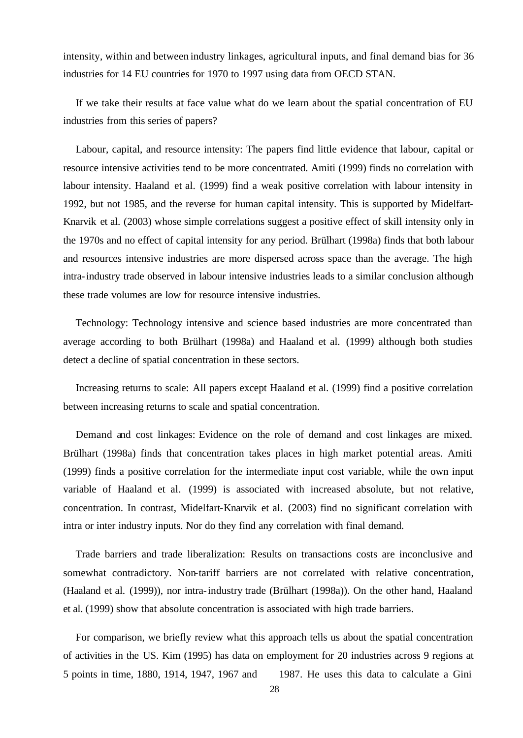intensity, within and between industry linkages, agricultural inputs, and final demand bias for 36 industries for 14 EU countries for 1970 to 1997 using data from OECD STAN.

If we take their results at face value what do we learn about the spatial concentration of EU industries from this series of papers?

Labour, capital, and resource intensity: The papers find little evidence that labour, capital or resource intensive activities tend to be more concentrated. Amiti (1999) finds no correlation with labour intensity. Haaland et al. (1999) find a weak positive correlation with labour intensity in 1992, but not 1985, and the reverse for human capital intensity. This is supported by Midelfart-Knarvik et al. (2003) whose simple correlations suggest a positive effect of skill intensity only in the 1970s and no effect of capital intensity for any period. Brülhart (1998a) finds that both labour and resources intensive industries are more dispersed across space than the average. The high intra-industry trade observed in labour intensive industries leads to a similar conclusion although these trade volumes are low for resource intensive industries.

Technology: Technology intensive and science based industries are more concentrated than average according to both Brülhart (1998a) and Haaland et al. (1999) although both studies detect a decline of spatial concentration in these sectors.

Increasing returns to scale: All papers except Haaland et al. (1999) find a positive correlation between increasing returns to scale and spatial concentration.

Demand and cost linkages: Evidence on the role of demand and cost linkages are mixed. Brülhart (1998a) finds that concentration takes places in high market potential areas. Amiti (1999) finds a positive correlation for the intermediate input cost variable, while the own input variable of Haaland et al. (1999) is associated with increased absolute, but not relative, concentration. In contrast, Midelfart-Knarvik et al. (2003) find no significant correlation with intra or inter industry inputs. Nor do they find any correlation with final demand.

Trade barriers and trade liberalization: Results on transactions costs are inconclusive and somewhat contradictory. Non-tariff barriers are not correlated with relative concentration, (Haaland et al. (1999)), nor intra-industry trade (Brülhart (1998a)). On the other hand, Haaland et al. (1999) show that absolute concentration is associated with high trade barriers.

For comparison, we briefly review what this approach tells us about the spatial concentration of activities in the US. Kim (1995) has data on employment for 20 industries across 9 regions at 5 points in time, 1880, 1914, 1947, 1967 and 1987. He uses this data to calculate a Gini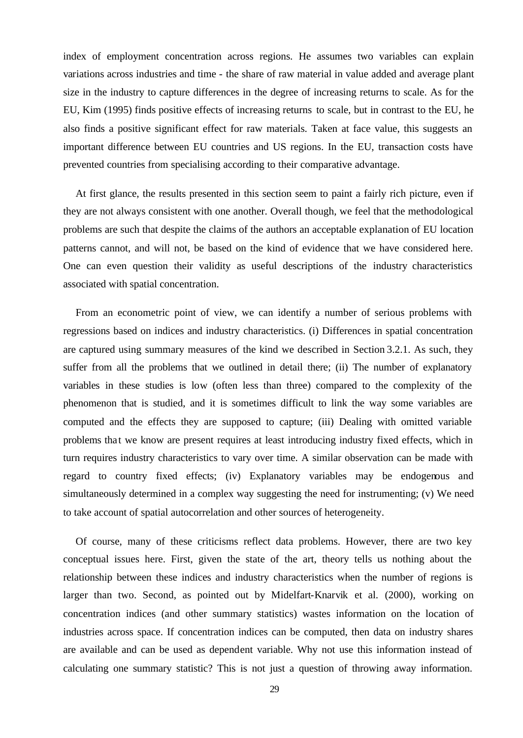index of employment concentration across regions. He assumes two variables can explain variations across industries and time - the share of raw material in value added and average plant size in the industry to capture differences in the degree of increasing returns to scale. As for the EU, Kim (1995) finds positive effects of increasing returns to scale, but in contrast to the EU, he also finds a positive significant effect for raw materials. Taken at face value, this suggests an important difference between EU countries and US regions. In the EU, transaction costs have prevented countries from specialising according to their comparative advantage.

At first glance, the results presented in this section seem to paint a fairly rich picture, even if they are not always consistent with one another. Overall though, we feel that the methodological problems are such that despite the claims of the authors an acceptable explanation of EU location patterns cannot, and will not, be based on the kind of evidence that we have considered here. One can even question their validity as useful descriptions of the industry characteristics associated with spatial concentration.

From an econometric point of view, we can identify a number of serious problems with regressions based on indices and industry characteristics. (i) Differences in spatial concentration are captured using summary measures of the kind we described in Section 3.2.1. As such, they suffer from all the problems that we outlined in detail there; (ii) The number of explanatory variables in these studies is low (often less than three) compared to the complexity of the phenomenon that is studied, and it is sometimes difficult to link the way some variables are computed and the effects they are supposed to capture; (iii) Dealing with omitted variable problems tha t we know are present requires at least introducing industry fixed effects, which in turn requires industry characteristics to vary over time. A similar observation can be made with regard to country fixed effects; (iv) Explanatory variables may be endogenous and simultaneously determined in a complex way suggesting the need for instrumenting; (v) We need to take account of spatial autocorrelation and other sources of heterogeneity.

Of course, many of these criticisms reflect data problems. However, there are two key conceptual issues here. First, given the state of the art, theory tells us nothing about the relationship between these indices and industry characteristics when the number of regions is larger than two. Second, as pointed out by Midelfart-Knarvik et al. (2000), working on concentration indices (and other summary statistics) wastes information on the location of industries across space. If concentration indices can be computed, then data on industry shares are available and can be used as dependent variable. Why not use this information instead of calculating one summary statistic? This is not just a question of throwing away information.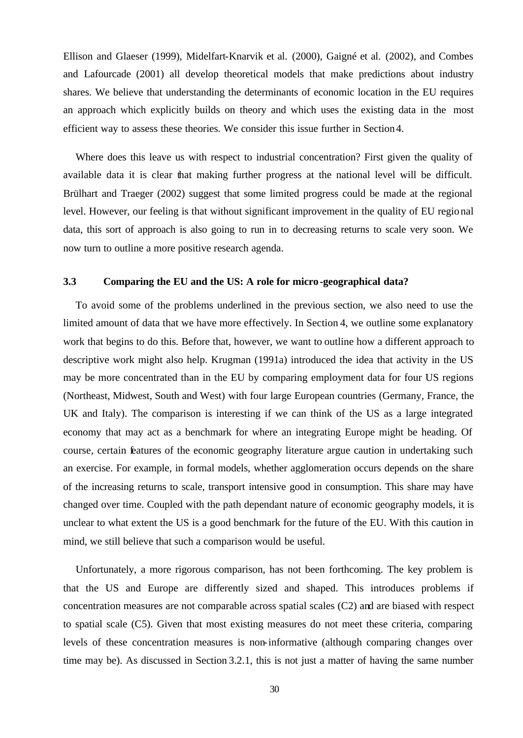Ellison and Glaeser (1999), Midelfart-Knarvik et al. (2000), Gaigné et al. (2002), and Combes and Lafourcade (2001) all develop theoretical models that make predictions about industry shares. We believe that understanding the determinants of economic location in the EU requires an approach which explicitly builds on theory and which uses the existing data in the most efficient way to assess these theories. We consider this issue further in Section 4.

Where does this leave us with respect to industrial concentration? First given the quality of available data it is clear that making further progress at the national level will be difficult. Brülhart and Traeger (2002) suggest that some limited progress could be made at the regional level. However, our feeling is that without significant improvement in the quality of EU regional data, this sort of approach is also going to run in to decreasing returns to scale very soon. We now turn to outline a more positive research agenda.

#### **3.3 Comparing the EU and the US: A role for micro-geographical data?**

To avoid some of the problems underlined in the previous section, we also need to use the limited amount of data that we have more effectively. In Section 4, we outline some explanatory work that begins to do this. Before that, however, we want to outline how a different approach to descriptive work might also help. Krugman (1991a) introduced the idea that activity in the US may be more concentrated than in the EU by comparing employment data for four US regions (Northeast, Midwest, South and West) with four large European countries (Germany, France, the UK and Italy). The comparison is interesting if we can think of the US as a large integrated economy that may act as a benchmark for where an integrating Europe might be heading. Of course, certain features of the economic geography literature argue caution in undertaking such an exercise. For example, in formal models, whether agglomeration occurs depends on the share of the increasing returns to scale, transport intensive good in consumption. This share may have changed over time. Coupled with the path dependant nature of economic geography models, it is unclear to what extent the US is a good benchmark for the future of the EU. With this caution in mind, we still believe that such a comparison would be useful.

Unfortunately, a more rigorous comparison, has not been forthcoming. The key problem is that the US and Europe are differently sized and shaped. This introduces problems if concentration measures are not comparable across spatial scales (C2) and are biased with respect to spatial scale (C5). Given that most existing measures do not meet these criteria, comparing levels of these concentration measures is non-informative (although comparing changes over time may be). As discussed in Section 3.2.1, this is not just a matter of having the same number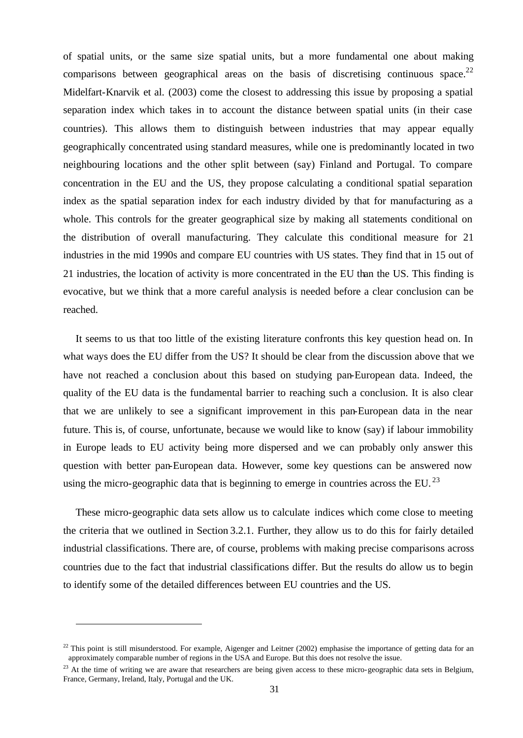of spatial units, or the same size spatial units, but a more fundamental one about making comparisons between geographical areas on the basis of discretising continuous space.<sup>22</sup> Midelfart-Knarvik et al. (2003) come the closest to addressing this issue by proposing a spatial separation index which takes in to account the distance between spatial units (in their case countries). This allows them to distinguish between industries that may appear equally geographically concentrated using standard measures, while one is predominantly located in two neighbouring locations and the other split between (say) Finland and Portugal. To compare concentration in the EU and the US, they propose calculating a conditional spatial separation index as the spatial separation index for each industry divided by that for manufacturing as a whole. This controls for the greater geographical size by making all statements conditional on the distribution of overall manufacturing. They calculate this conditional measure for 21 industries in the mid 1990s and compare EU countries with US states. They find that in 15 out of 21 industries, the location of activity is more concentrated in the EU than the US. This finding is evocative, but we think that a more careful analysis is needed before a clear conclusion can be reached.

It seems to us that too little of the existing literature confronts this key question head on. In what ways does the EU differ from the US? It should be clear from the discussion above that we have not reached a conclusion about this based on studying pan-European data. Indeed, the quality of the EU data is the fundamental barrier to reaching such a conclusion. It is also clear that we are unlikely to see a significant improvement in this pan-European data in the near future. This is, of course, unfortunate, because we would like to know (say) if labour immobility in Europe leads to EU activity being more dispersed and we can probably only answer this question with better pan-European data. However, some key questions can be answered now using the micro-geographic data that is beginning to emerge in countries across the EU.<sup>23</sup>

These micro-geographic data sets allow us to calculate indices which come close to meeting the criteria that we outlined in Section 3.2.1. Further, they allow us to do this for fairly detailed industrial classifications. There are, of course, problems with making precise comparisons across countries due to the fact that industrial classifications differ. But the results do allow us to begin to identify some of the detailed differences between EU countries and the US.

 $^{22}$  This point is still misunderstood. For example, Aigenger and Leitner (2002) emphasise the importance of getting data for an approximately comparable number of regions in the USA and Europe. But this does not resolve the issue.

 $^{23}$  At the time of writing we are aware that researchers are being given access to these micro-geographic data sets in Belgium, France, Germany, Ireland, Italy, Portugal and the UK.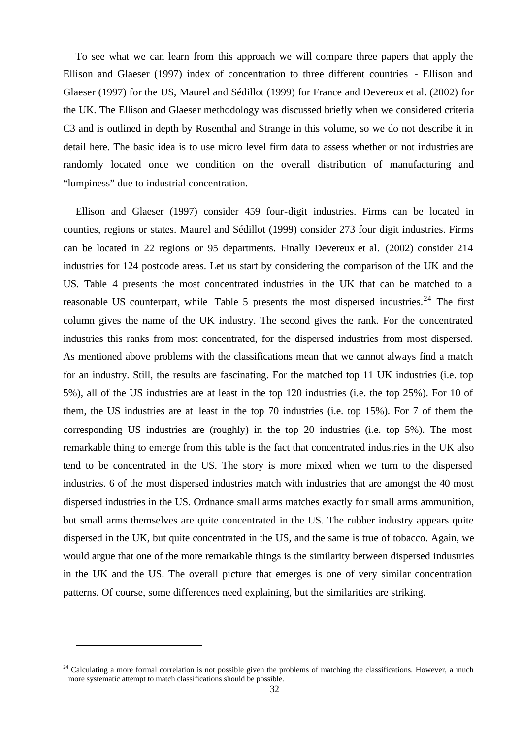To see what we can learn from this approach we will compare three papers that apply the Ellison and Glaeser (1997) index of concentration to three different countries - Ellison and Glaeser (1997) for the US, Maurel and Sédillot (1999) for France and Devereux et al. (2002) for the UK. The Ellison and Glaeser methodology was discussed briefly when we considered criteria C3 and is outlined in depth by Rosenthal and Strange in this volume, so we do not describe it in detail here. The basic idea is to use micro level firm data to assess whether or not industries are randomly located once we condition on the overall distribution of manufacturing and "lumpiness" due to industrial concentration.

Ellison and Glaeser (1997) consider 459 four-digit industries. Firms can be located in counties, regions or states. Maurel and Sédillot (1999) consider 273 four digit industries. Firms can be located in 22 regions or 95 departments. Finally Devereux et al. (2002) consider 214 industries for 124 postcode areas. Let us start by considering the comparison of the UK and the US. Table 4 presents the most concentrated industries in the UK that can be matched to a reasonable US counterpart, while Table 5 presents the most dispersed industries.<sup>24</sup> The first column gives the name of the UK industry. The second gives the rank. For the concentrated industries this ranks from most concentrated, for the dispersed industries from most dispersed. As mentioned above problems with the classifications mean that we cannot always find a match for an industry. Still, the results are fascinating. For the matched top 11 UK industries (i.e. top 5%), all of the US industries are at least in the top 120 industries (i.e. the top 25%). For 10 of them, the US industries are at least in the top 70 industries (i.e. top 15%). For 7 of them the corresponding US industries are (roughly) in the top 20 industries (i.e. top 5%). The most remarkable thing to emerge from this table is the fact that concentrated industries in the UK also tend to be concentrated in the US. The story is more mixed when we turn to the dispersed industries. 6 of the most dispersed industries match with industries that are amongst the 40 most dispersed industries in the US. Ordnance small arms matches exactly for small arms ammunition, but small arms themselves are quite concentrated in the US. The rubber industry appears quite dispersed in the UK, but quite concentrated in the US, and the same is true of tobacco. Again, we would argue that one of the more remarkable things is the similarity between dispersed industries in the UK and the US. The overall picture that emerges is one of very similar concentration patterns. Of course, some differences need explaining, but the similarities are striking.

 $24$  Calculating a more formal correlation is not possible given the problems of matching the classifications. However, a much more systematic attempt to match classifications should be possible.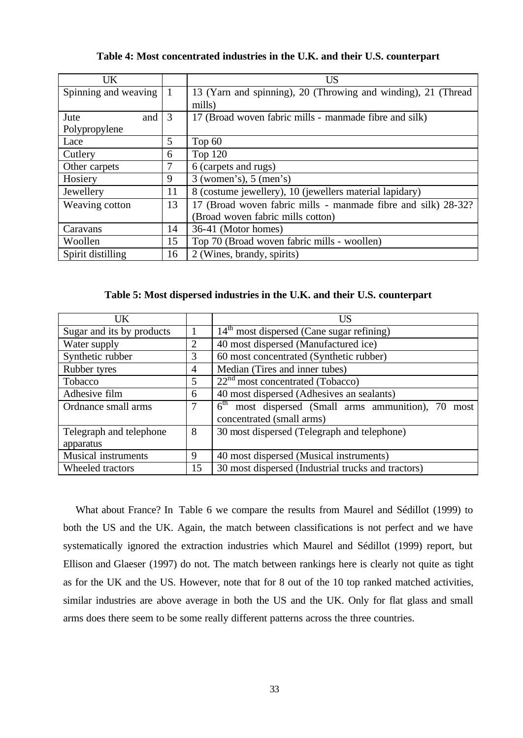| UK                   |    | <b>US</b>                                                     |  |
|----------------------|----|---------------------------------------------------------------|--|
| Spinning and weaving |    | 13 (Yarn and spinning), 20 (Throwing and winding), 21 (Thread |  |
|                      |    | mills)                                                        |  |
| Jute<br>and          | 3  | 17 (Broad woven fabric mills - manmade fibre and silk)        |  |
| Polypropylene        |    |                                                               |  |
| Lace                 | 5  | Top $60$                                                      |  |
| Cutlery              | 6  | <b>Top 120</b>                                                |  |
| Other carpets        |    | 6 (carpets and rugs)                                          |  |
| Hosiery              | 9  | $3$ (women's), $5$ (men's)                                    |  |
| Jewellery            | 11 | 8 (costume jewellery), 10 (jewellers material lapidary)       |  |
| Weaving cotton       | 13 | 17 (Broad woven fabric mills - manmade fibre and silk) 28-32? |  |
|                      |    | (Broad woven fabric mills cotton)                             |  |
| Caravans             | 14 | 36-41 (Motor homes)                                           |  |
| Woollen              | 15 | Top 70 (Broad woven fabric mills - woollen)                   |  |
| Spirit distilling    | 16 | 2 (Wines, brandy, spirits)                                    |  |

**Table 4: Most concentrated industries in the U.K. and their U.S. counterpart**

**Table 5: Most dispersed industries in the U.K. and their U.S. counterpart**

| <b>UK</b>                            |    | US                                                                                                 |  |  |
|--------------------------------------|----|----------------------------------------------------------------------------------------------------|--|--|
| Sugar and its by products            |    | $14th$ most dispersed (Cane sugar refining)                                                        |  |  |
| Water supply                         | 2  | 40 most dispersed (Manufactured ice)                                                               |  |  |
| Synthetic rubber                     | 3  | 60 most concentrated (Synthetic rubber)                                                            |  |  |
| Rubber tyres                         | 4  | Median (Tires and inner tubes)                                                                     |  |  |
| Tobacco                              | 5  | $22nd$ most concentrated (Tobacco)                                                                 |  |  |
| Adhesive film                        | 6  | 40 most dispersed (Adhesives an sealants)                                                          |  |  |
| Ordnance small arms                  | 7  | 6 <sup>th</sup><br>most dispersed (Small arms ammunition), 70<br>most<br>concentrated (small arms) |  |  |
| Telegraph and telephone<br>apparatus | 8  | 30 most dispersed (Telegraph and telephone)                                                        |  |  |
| <b>Musical instruments</b>           | 9  | 40 most dispersed (Musical instruments)                                                            |  |  |
| Wheeled tractors                     | 15 | 30 most dispersed (Industrial trucks and tractors)                                                 |  |  |

What about France? In Table 6 we compare the results from Maurel and Sédillot (1999) to both the US and the UK. Again, the match between classifications is not perfect and we have systematically ignored the extraction industries which Maurel and Sédillot (1999) report, but Ellison and Glaeser (1997) do not. The match between rankings here is clearly not quite as tight as for the UK and the US. However, note that for 8 out of the 10 top ranked matched activities, similar industries are above average in both the US and the UK. Only for flat glass and small arms does there seem to be some really different patterns across the three countries.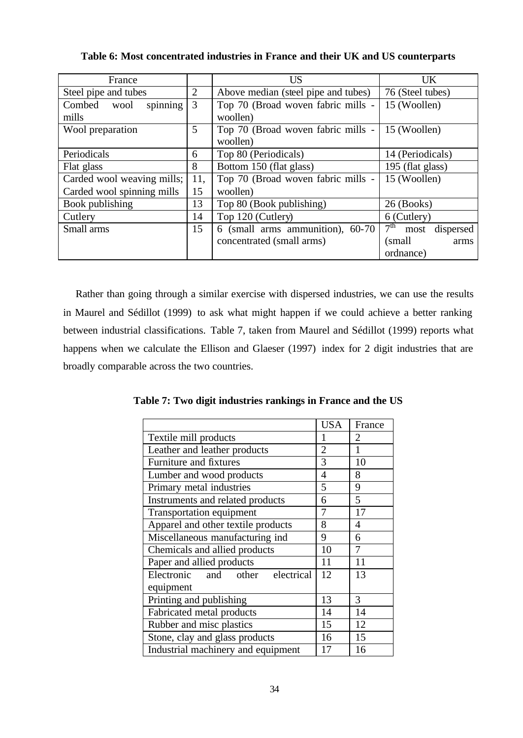| France                     |     | <b>US</b>                           | <b>UK</b>                            |  |
|----------------------------|-----|-------------------------------------|--------------------------------------|--|
| Steel pipe and tubes       | 2   | Above median (steel pipe and tubes) | 76 (Steel tubes)                     |  |
| Combed<br>wool<br>spinning | 3   | Top 70 (Broad woven fabric mills -  | 15 (Woollen)                         |  |
| mills                      |     | woollen)                            |                                      |  |
| Wool preparation           | 5   | Top 70 (Broad woven fabric mills -  | 15 (Woollen)                         |  |
|                            |     | woollen)                            |                                      |  |
| Periodicals                | 6   | Top 80 (Periodicals)                | 14 (Periodicals)                     |  |
| Flat glass                 | 8   | Bottom 150 (flat glass)             | 195 (flat glass)                     |  |
| Carded wool weaving mills; | 11, | Top 70 (Broad woven fabric mills -  | 15 (Woollen)                         |  |
| Carded wool spinning mills | 15  | woollen)                            |                                      |  |
| Book publishing            | 13  | Top 80 (Book publishing)            | $26$ (Books)                         |  |
| Cutlery                    | 14  | Top 120 (Cutlery)                   | 6 (Cutlery)                          |  |
| Small arms                 | 15  | 6 (small arms ammunition), 60-70    | 7 <sup>th</sup><br>dispersed<br>most |  |
|                            |     | concentrated (small arms)           | (small)<br>arms                      |  |
|                            |     |                                     | ordnance)                            |  |

**Table 6: Most concentrated industries in France and their UK and US counterparts**

Rather than going through a similar exercise with dispersed industries, we can use the results in Maurel and Sédillot (1999) to ask what might happen if we could achieve a better ranking between industrial classifications. Table 7, taken from Maurel and Sédillot (1999) reports what happens when we calculate the Ellison and Glaeser (1997) index for 2 digit industries that are broadly comparable across the two countries.

**Table 7: Two digit industries rankings in France and the US**

|                                       | <b>USA</b>     | France         |
|---------------------------------------|----------------|----------------|
| Textile mill products                 | 1              | $\overline{2}$ |
| Leather and leather products          | $\overline{2}$ | 1              |
| Furniture and fixtures                | 3              | 10             |
| Lumber and wood products              | 4              | 8              |
| Primary metal industries              | 5              | 9              |
| Instruments and related products      | 6              | 5              |
| <b>Transportation equipment</b>       | 7              | 17             |
| Apparel and other textile products    | 8              | 4              |
| Miscellaneous manufacturing ind       | 9              | 6              |
| Chemicals and allied products         | 10             | 7              |
| Paper and allied products             | 11             | 11             |
| other electrical<br>Electronic<br>and | 12             | 13             |
| equipment                             |                |                |
| Printing and publishing               | 13             | 3              |
| Fabricated metal products             | 14             | 14             |
| Rubber and misc plastics              | 15             | 12             |
| Stone, clay and glass products        | 16             | 15             |
| Industrial machinery and equipment    | 17             | 16             |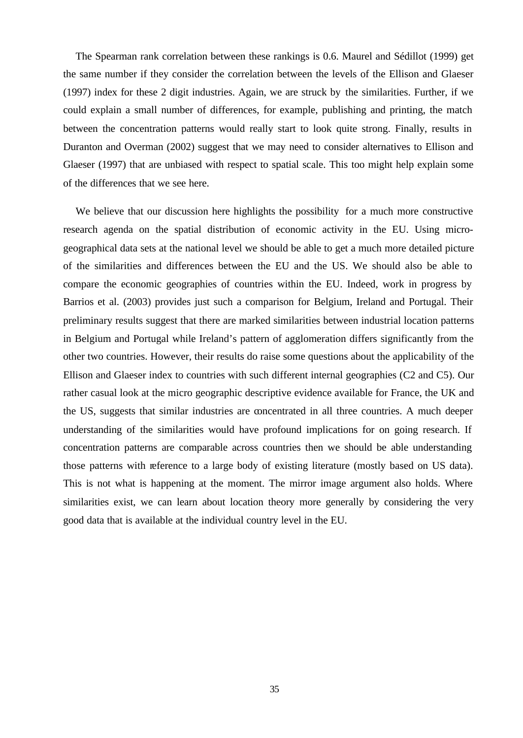The Spearman rank correlation between these rankings is 0.6. Maurel and Sédillot (1999) get the same number if they consider the correlation between the levels of the Ellison and Glaeser (1997) index for these 2 digit industries. Again, we are struck by the similarities. Further, if we could explain a small number of differences, for example, publishing and printing, the match between the concentration patterns would really start to look quite strong. Finally, results in Duranton and Overman (2002) suggest that we may need to consider alternatives to Ellison and Glaeser (1997) that are unbiased with respect to spatial scale. This too might help explain some of the differences that we see here.

We believe that our discussion here highlights the possibility for a much more constructive research agenda on the spatial distribution of economic activity in the EU. Using microgeographical data sets at the national level we should be able to get a much more detailed picture of the similarities and differences between the EU and the US. We should also be able to compare the economic geographies of countries within the EU. Indeed, work in progress by Barrios et al. (2003) provides just such a comparison for Belgium, Ireland and Portugal. Their preliminary results suggest that there are marked similarities between industrial location patterns in Belgium and Portugal while Ireland's pattern of agglomeration differs significantly from the other two countries. However, their results do raise some questions about the applicability of the Ellison and Glaeser index to countries with such different internal geographies (C2 and C5). Our rather casual look at the micro geographic descriptive evidence available for France, the UK and the US, suggests that similar industries are concentrated in all three countries. A much deeper understanding of the similarities would have profound implications for on going research. If concentration patterns are comparable across countries then we should be able understanding those patterns with reference to a large body of existing literature (mostly based on US data). This is not what is happening at the moment. The mirror image argument also holds. Where similarities exist, we can learn about location theory more generally by considering the very good data that is available at the individual country level in the EU.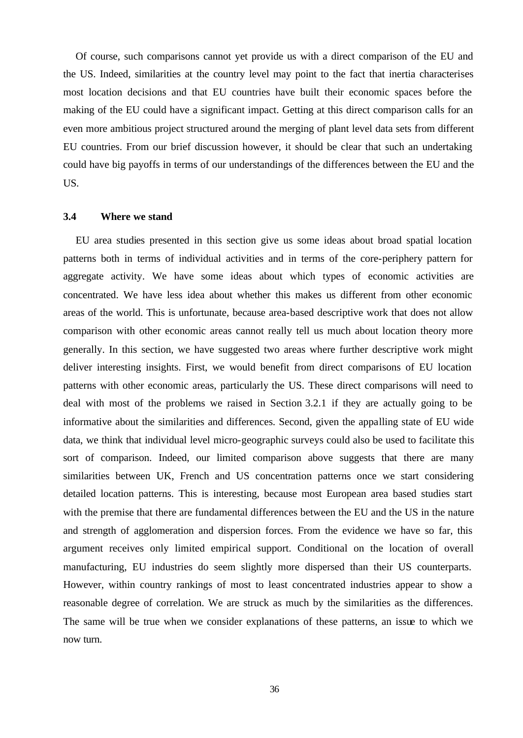Of course, such comparisons cannot yet provide us with a direct comparison of the EU and the US. Indeed, similarities at the country level may point to the fact that inertia characterises most location decisions and that EU countries have built their economic spaces before the making of the EU could have a significant impact. Getting at this direct comparison calls for an even more ambitious project structured around the merging of plant level data sets from different EU countries. From our brief discussion however, it should be clear that such an undertaking could have big payoffs in terms of our understandings of the differences between the EU and the US.

### **3.4 Where we stand**

EU area studies presented in this section give us some ideas about broad spatial location patterns both in terms of individual activities and in terms of the core-periphery pattern for aggregate activity. We have some ideas about which types of economic activities are concentrated. We have less idea about whether this makes us different from other economic areas of the world. This is unfortunate, because area-based descriptive work that does not allow comparison with other economic areas cannot really tell us much about location theory more generally. In this section, we have suggested two areas where further descriptive work might deliver interesting insights. First, we would benefit from direct comparisons of EU location patterns with other economic areas, particularly the US. These direct comparisons will need to deal with most of the problems we raised in Section 3.2.1 if they are actually going to be informative about the similarities and differences. Second, given the appalling state of EU wide data, we think that individual level micro-geographic surveys could also be used to facilitate this sort of comparison. Indeed, our limited comparison above suggests that there are many similarities between UK, French and US concentration patterns once we start considering detailed location patterns. This is interesting, because most European area based studies start with the premise that there are fundamental differences between the EU and the US in the nature and strength of agglomeration and dispersion forces. From the evidence we have so far, this argument receives only limited empirical support. Conditional on the location of overall manufacturing, EU industries do seem slightly more dispersed than their US counterparts. However, within country rankings of most to least concentrated industries appear to show a reasonable degree of correlation. We are struck as much by the similarities as the differences. The same will be true when we consider explanations of these patterns, an issue to which we now turn.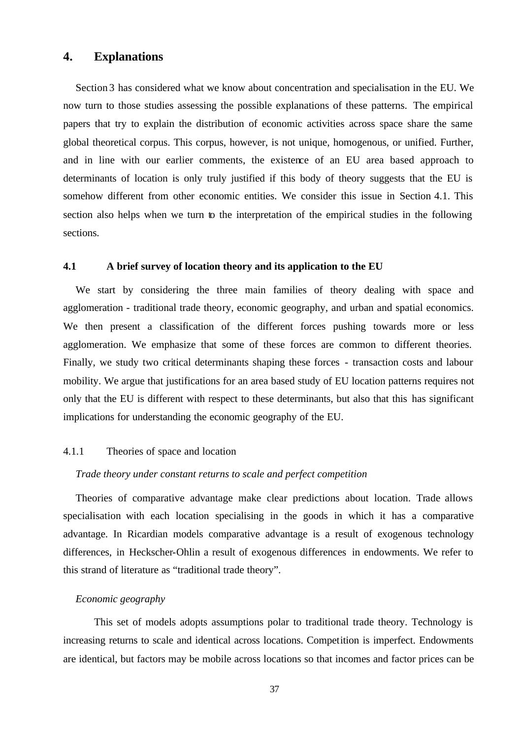# **4. Explanations**

Section 3 has considered what we know about concentration and specialisation in the EU. We now turn to those studies assessing the possible explanations of these patterns. The empirical papers that try to explain the distribution of economic activities across space share the same global theoretical corpus. This corpus, however, is not unique, homogenous, or unified. Further, and in line with our earlier comments, the existence of an EU area based approach to determinants of location is only truly justified if this body of theory suggests that the EU is somehow different from other economic entities. We consider this issue in Section 4.1. This section also helps when we turn to the interpretation of the empirical studies in the following sections.

# **4.1 A brief survey of location theory and its application to the EU**

We start by considering the three main families of theory dealing with space and agglomeration - traditional trade theory, economic geography, and urban and spatial economics. We then present a classification of the different forces pushing towards more or less agglomeration. We emphasize that some of these forces are common to different theories. Finally, we study two critical determinants shaping these forces - transaction costs and labour mobility. We argue that justifications for an area based study of EU location patterns requires not only that the EU is different with respect to these determinants, but also that this has significant implications for understanding the economic geography of the EU.

### 4.1.1 Theories of space and location

### *Trade theory under constant returns to scale and perfect competition*

Theories of comparative advantage make clear predictions about location. Trade allows specialisation with each location specialising in the goods in which it has a comparative advantage. In Ricardian models comparative advantage is a result of exogenous technology differences, in Heckscher-Ohlin a result of exogenous differences in endowments. We refer to this strand of literature as "traditional trade theory".

# *Economic geography*

This set of models adopts assumptions polar to traditional trade theory. Technology is increasing returns to scale and identical across locations. Competition is imperfect. Endowments are identical, but factors may be mobile across locations so that incomes and factor prices can be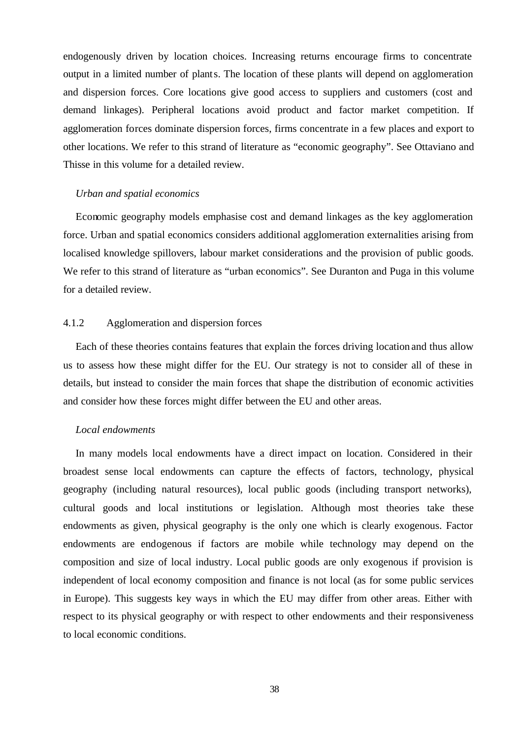endogenously driven by location choices. Increasing returns encourage firms to concentrate output in a limited number of plants. The location of these plants will depend on agglomeration and dispersion forces. Core locations give good access to suppliers and customers (cost and demand linkages). Peripheral locations avoid product and factor market competition. If agglomeration forces dominate dispersion forces, firms concentrate in a few places and export to other locations. We refer to this strand of literature as "economic geography". See Ottaviano and Thisse in this volume for a detailed review.

### *Urban and spatial economics*

Economic geography models emphasise cost and demand linkages as the key agglomeration force. Urban and spatial economics considers additional agglomeration externalities arising from localised knowledge spillovers, labour market considerations and the provision of public goods. We refer to this strand of literature as "urban economics". See Duranton and Puga in this volume for a detailed review.

# 4.1.2 Agglomeration and dispersion forces

Each of these theories contains features that explain the forces driving location and thus allow us to assess how these might differ for the EU. Our strategy is not to consider all of these in details, but instead to consider the main forces that shape the distribution of economic activities and consider how these forces might differ between the EU and other areas.

### *Local endowments*

In many models local endowments have a direct impact on location. Considered in their broadest sense local endowments can capture the effects of factors, technology, physical geography (including natural resources), local public goods (including transport networks), cultural goods and local institutions or legislation. Although most theories take these endowments as given, physical geography is the only one which is clearly exogenous. Factor endowments are endogenous if factors are mobile while technology may depend on the composition and size of local industry. Local public goods are only exogenous if provision is independent of local economy composition and finance is not local (as for some public services in Europe). This suggests key ways in which the EU may differ from other areas. Either with respect to its physical geography or with respect to other endowments and their responsiveness to local economic conditions.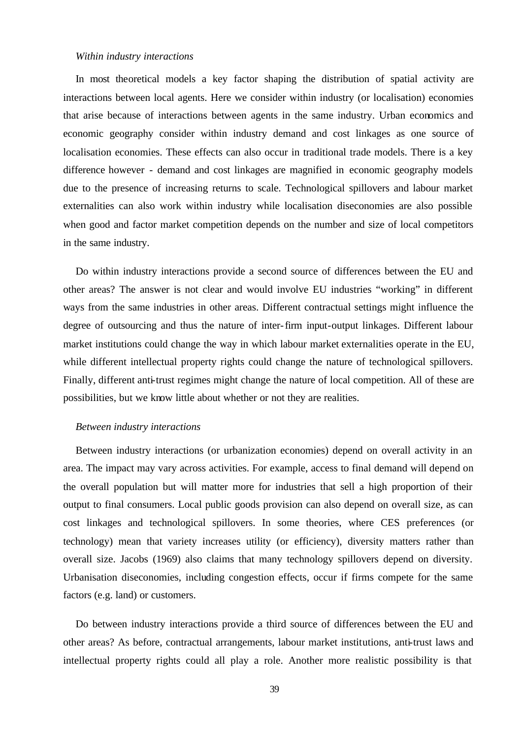#### *Within industry interactions*

In most theoretical models a key factor shaping the distribution of spatial activity are interactions between local agents. Here we consider within industry (or localisation) economies that arise because of interactions between agents in the same industry. Urban economics and economic geography consider within industry demand and cost linkages as one source of localisation economies. These effects can also occur in traditional trade models. There is a key difference however - demand and cost linkages are magnified in economic geography models due to the presence of increasing returns to scale. Technological spillovers and labour market externalities can also work within industry while localisation diseconomies are also possible when good and factor market competition depends on the number and size of local competitors in the same industry.

Do within industry interactions provide a second source of differences between the EU and other areas? The answer is not clear and would involve EU industries "working" in different ways from the same industries in other areas. Different contractual settings might influence the degree of outsourcing and thus the nature of inter-firm input-output linkages. Different labour market institutions could change the way in which labour market externalities operate in the EU, while different intellectual property rights could change the nature of technological spillovers. Finally, different anti-trust regimes might change the nature of local competition. All of these are possibilities, but we know little about whether or not they are realities.

### *Between industry interactions*

Between industry interactions (or urbanization economies) depend on overall activity in an area. The impact may vary across activities. For example, access to final demand will depend on the overall population but will matter more for industries that sell a high proportion of their output to final consumers. Local public goods provision can also depend on overall size, as can cost linkages and technological spillovers. In some theories, where CES preferences (or technology) mean that variety increases utility (or efficiency), diversity matters rather than overall size. Jacobs (1969) also claims that many technology spillovers depend on diversity. Urbanisation diseconomies, including congestion effects, occur if firms compete for the same factors (e.g. land) or customers.

Do between industry interactions provide a third source of differences between the EU and other areas? As before, contractual arrangements, labour market institutions, anti-trust laws and intellectual property rights could all play a role. Another more realistic possibility is that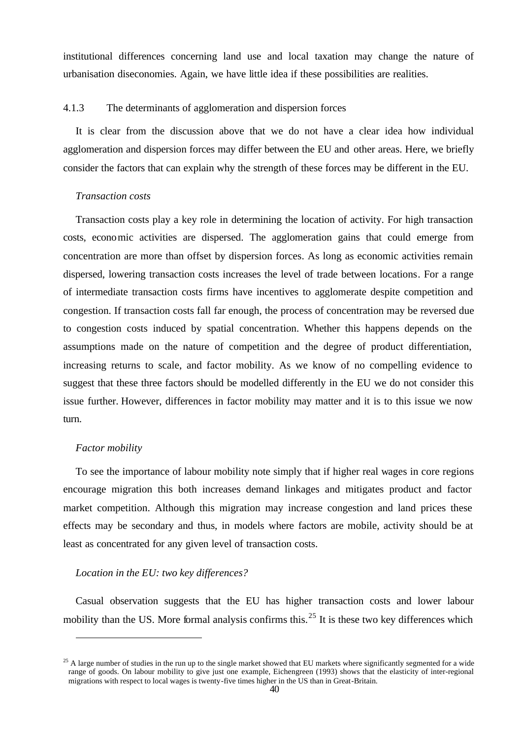institutional differences concerning land use and local taxation may change the nature of urbanisation diseconomies. Again, we have little idea if these possibilities are realities.

# 4.1.3 The determinants of agglomeration and dispersion forces

It is clear from the discussion above that we do not have a clear idea how individual agglomeration and dispersion forces may differ between the EU and other areas. Here, we briefly consider the factors that can explain why the strength of these forces may be different in the EU.

### *Transaction costs*

Transaction costs play a key role in determining the location of activity. For high transaction costs, economic activities are dispersed. The agglomeration gains that could emerge from concentration are more than offset by dispersion forces. As long as economic activities remain dispersed, lowering transaction costs increases the level of trade between locations. For a range of intermediate transaction costs firms have incentives to agglomerate despite competition and congestion. If transaction costs fall far enough, the process of concentration may be reversed due to congestion costs induced by spatial concentration. Whether this happens depends on the assumptions made on the nature of competition and the degree of product differentiation, increasing returns to scale, and factor mobility. As we know of no compelling evidence to suggest that these three factors should be modelled differently in the EU we do not consider this issue further. However, differences in factor mobility may matter and it is to this issue we now turn.

### *Factor mobility*

l

To see the importance of labour mobility note simply that if higher real wages in core regions encourage migration this both increases demand linkages and mitigates product and factor market competition. Although this migration may increase congestion and land prices these effects may be secondary and thus, in models where factors are mobile, activity should be at least as concentrated for any given level of transaction costs.

# *Location in the EU: two key differences?*

Casual observation suggests that the EU has higher transaction costs and lower labour mobility than the US. More formal analysis confirms this.<sup>25</sup> It is these two key differences which

 $25$  A large number of studies in the run up to the single market showed that EU markets where significantly segmented for a wide range of goods. On labour mobility to give just one example, Eichengreen (1993) shows that the elasticity of inter-regional migrations with respect to local wages is twenty-five times higher in the US than in Great-Britain.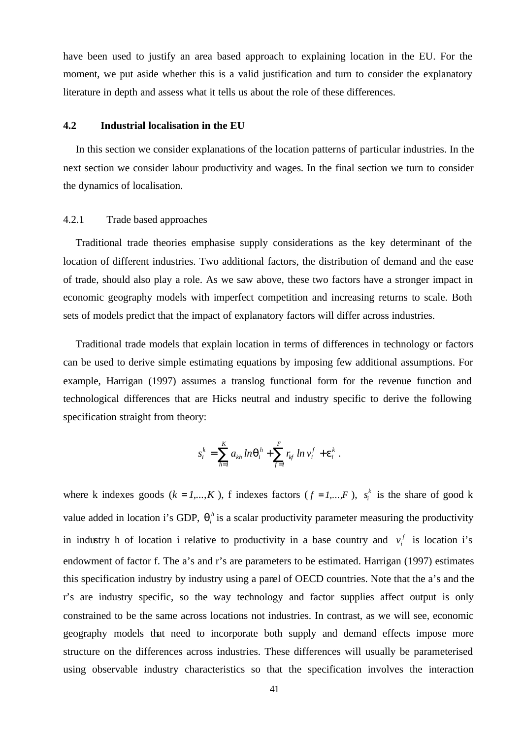have been used to justify an area based approach to explaining location in the EU. For the moment, we put aside whether this is a valid justification and turn to consider the explanatory literature in depth and assess what it tells us about the role of these differences.

#### **4.2 Industrial localisation in the EU**

In this section we consider explanations of the location patterns of particular industries. In the next section we consider labour productivity and wages. In the final section we turn to consider the dynamics of localisation.

# 4.2.1 Trade based approaches

Traditional trade theories emphasise supply considerations as the key determinant of the location of different industries. Two additional factors, the distribution of demand and the ease of trade, should also play a role. As we saw above, these two factors have a stronger impact in economic geography models with imperfect competition and increasing returns to scale. Both sets of models predict that the impact of explanatory factors will differ across industries.

Traditional trade models that explain location in terms of differences in technology or factors can be used to derive simple estimating equations by imposing few additional assumptions. For example, Harrigan (1997) assumes a translog functional form for the revenue function and technological differences that are Hicks neutral and industry specific to derive the following specification straight from theory:

$$
s_i^k = \sum_{h=1}^K a_{kh} \ln \mathbf{q}_i^h + \sum_{f=1}^F r_{kf} \ln v_i^f + \mathbf{e}_i^k.
$$

where k indexes goods ( $k = 1,...,K$ ), f indexes factors ( $f = 1,...,F$ ),  $s_i^k$  is the share of good k value added in location i's GDP,  $q_i^h$  is a scalar productivity parameter measuring the productivity in industry h of location i relative to productivity in a base country and  $v_i^f$  is location i's endowment of factor f. The a's and r's are parameters to be estimated. Harrigan (1997) estimates this specification industry by industry using a panel of OECD countries. Note that the a's and the r's are industry specific, so the way technology and factor supplies affect output is only constrained to be the same across locations not industries. In contrast, as we will see, economic geography models that need to incorporate both supply and demand effects impose more structure on the differences across industries. These differences will usually be parameterised using observable industry characteristics so that the specification involves the interaction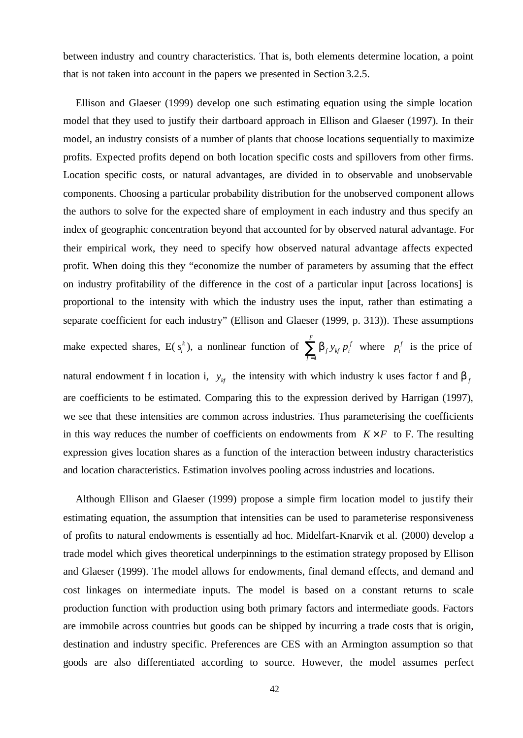between industry and country characteristics. That is, both elements determine location, a point that is not taken into account in the papers we presented in Section3.2.5.

Ellison and Glaeser (1999) develop one such estimating equation using the simple location model that they used to justify their dartboard approach in Ellison and Glaeser (1997). In their model, an industry consists of a number of plants that choose locations sequentially to maximize profits. Expected profits depend on both location specific costs and spillovers from other firms. Location specific costs, or natural advantages, are divided in to observable and unobservable components. Choosing a particular probability distribution for the unobserved component allows the authors to solve for the expected share of employment in each industry and thus specify an index of geographic concentration beyond that accounted for by observed natural advantage. For their empirical work, they need to specify how observed natural advantage affects expected profit. When doing this they "economize the number of parameters by assuming that the effect on industry profitability of the difference in the cost of a particular input [across locations] is proportional to the intensity with which the industry uses the input, rather than estimating a separate coefficient for each industry" (Ellison and Glaeser (1999, p. 313)). These assumptions

make expected shares, E( *<sup>k</sup> i*  $s_i^k$ ), a nonlinear function of  $\sum_{f=1}^F$  $f = l$  $\mathbf{b}_f y_{kf} p_i^f$  where  $p_i^f$  is the price of natural endowment f in location i,  $y_{k}$  the intensity with which industry k uses factor f and  $\mathbf{b}_f$ are coefficients to be estimated. Comparing this to the expression derived by Harrigan (1997), we see that these intensities are common across industries. Thus parameterising the coefficients in this way reduces the number of coefficients on endowments from  $K \times F$  to F. The resulting expression gives location shares as a function of the interaction between industry characteristics and location characteristics. Estimation involves pooling across industries and locations.

Although Ellison and Glaeser (1999) propose a simple firm location model to justify their estimating equation, the assumption that intensities can be used to parameterise responsiveness of profits to natural endowments is essentially ad hoc. Midelfart-Knarvik et al. (2000) develop a trade model which gives theoretical underpinnings to the estimation strategy proposed by Ellison and Glaeser (1999). The model allows for endowments, final demand effects, and demand and cost linkages on intermediate inputs. The model is based on a constant returns to scale production function with production using both primary factors and intermediate goods. Factors are immobile across countries but goods can be shipped by incurring a trade costs that is origin, destination and industry specific. Preferences are CES with an Armington assumption so that goods are also differentiated according to source. However, the model assumes perfect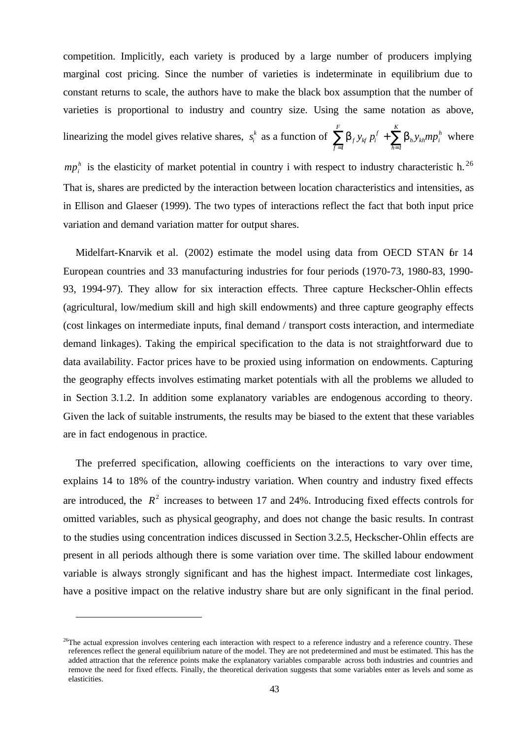competition. Implicitly, each variety is produced by a large number of producers implying marginal cost pricing. Since the number of varieties is indeterminate in equilibrium due to constant returns to scale, the authors have to make the black box assumption that the number of varieties is proportional to industry and country size. Using the same notation as above, linearizing the model gives relative shares,  $s_i^k$  $s_i^k$  as a function of  $\sum_{f=1}^F \mathbf{b}_f y_{kf} p_i^f + \sum_{h=1}^K$ *h*  $h Y k h^{\prime \prime \prime} P_i$ *F*  $\mathbf{b}_f y_{kf} p_i^f + \sum \mathbf{b}_h y_{kh} m p_i^h$  where

 $mp<sub>i</sub><sup>h</sup>$  is the elasticity of market potential in country i with respect to industry characteristic h.<sup>26</sup> That is, shares are predicted by the interaction between location characteristics and intensities, as in Ellison and Glaeser (1999). The two types of interactions reflect the fact that both input price variation and demand variation matter for output shares.

*h 1*

*f 1*

Midelfart-Knarvik et al. (2002) estimate the model using data from OECD STAN for 14 European countries and 33 manufacturing industries for four periods (1970-73, 1980-83, 1990- 93, 1994-97). They allow for six interaction effects. Three capture Heckscher-Ohlin effects (agricultural, low/medium skill and high skill endowments) and three capture geography effects (cost linkages on intermediate inputs, final demand / transport costs interaction, and intermediate demand linkages). Taking the empirical specification to the data is not straightforward due to data availability. Factor prices have to be proxied using information on endowments. Capturing the geography effects involves estimating market potentials with all the problems we alluded to in Section 3.1.2. In addition some explanatory variables are endogenous according to theory. Given the lack of suitable instruments, the results may be biased to the extent that these variables are in fact endogenous in practice.

The preferred specification, allowing coefficients on the interactions to vary over time, explains 14 to 18% of the country-industry variation. When country and industry fixed effects are introduced, the  $R^2$  increases to between 17 and 24%. Introducing fixed effects controls for omitted variables, such as physical geography, and does not change the basic results. In contrast to the studies using concentration indices discussed in Section 3.2.5, Heckscher-Ohlin effects are present in all periods although there is some variation over time. The skilled labour endowment variable is always strongly significant and has the highest impact. Intermediate cost linkages, have a positive impact on the relative industry share but are only significant in the final period.

l

 $^{26}$ The actual expression involves centering each interaction with respect to a reference industry and a reference country. These references reflect the general equilibrium nature of the model. They are not predetermined and must be estimated. This has the added attraction that the reference points make the explanatory variables comparable across both industries and countries and remove the need for fixed effects. Finally, the theoretical derivation suggests that some variables enter as levels and some as elasticities.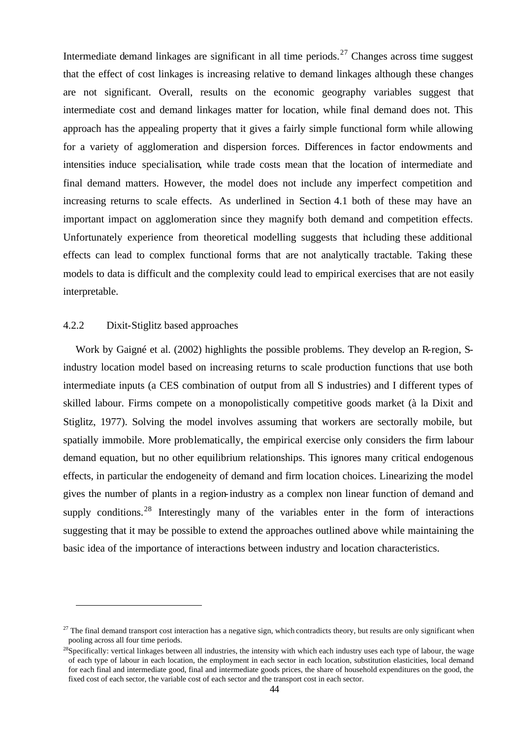Intermediate demand linkages are significant in all time periods.<sup>27</sup> Changes across time suggest that the effect of cost linkages is increasing relative to demand linkages although these changes are not significant. Overall, results on the economic geography variables suggest that intermediate cost and demand linkages matter for location, while final demand does not. This approach has the appealing property that it gives a fairly simple functional form while allowing for a variety of agglomeration and dispersion forces. Differences in factor endowments and intensities induce specialisation, while trade costs mean that the location of intermediate and final demand matters. However, the model does not include any imperfect competition and increasing returns to scale effects. As underlined in Section 4.1 both of these may have an important impact on agglomeration since they magnify both demand and competition effects. Unfortunately experience from theoretical modelling suggests that including these additional effects can lead to complex functional forms that are not analytically tractable. Taking these models to data is difficult and the complexity could lead to empirical exercises that are not easily interpretable.

# 4.2.2 Dixit-Stiglitz based approaches

l

Work by Gaigné et al. (2002) highlights the possible problems. They develop an R-region, Sindustry location model based on increasing returns to scale production functions that use both intermediate inputs (a CES combination of output from all S industries) and I different types of skilled labour. Firms compete on a monopolistically competitive goods market (à la Dixit and Stiglitz, 1977). Solving the model involves assuming that workers are sectorally mobile, but spatially immobile. More problematically, the empirical exercise only considers the firm labour demand equation, but no other equilibrium relationships. This ignores many critical endogenous effects, in particular the endogeneity of demand and firm location choices. Linearizing the model gives the number of plants in a region-industry as a complex non linear function of demand and supply conditions.<sup>28</sup> Interestingly many of the variables enter in the form of interactions suggesting that it may be possible to extend the approaches outlined above while maintaining the basic idea of the importance of interactions between industry and location characteristics.

 $27$  The final demand transport cost interaction has a negative sign, which contradicts theory, but results are only significant when pooling across all four time periods.

 $28$ Specifically: vertical linkages between all industries, the intensity with which each industry uses each type of labour, the wage of each type of labour in each location, the employment in each sector in each location, substitution elasticities, local demand for each final and intermediate good, final and intermediate goods prices, the share of household expenditures on the good, the fixed cost of each sector, the variable cost of each sector and the transport cost in each sector.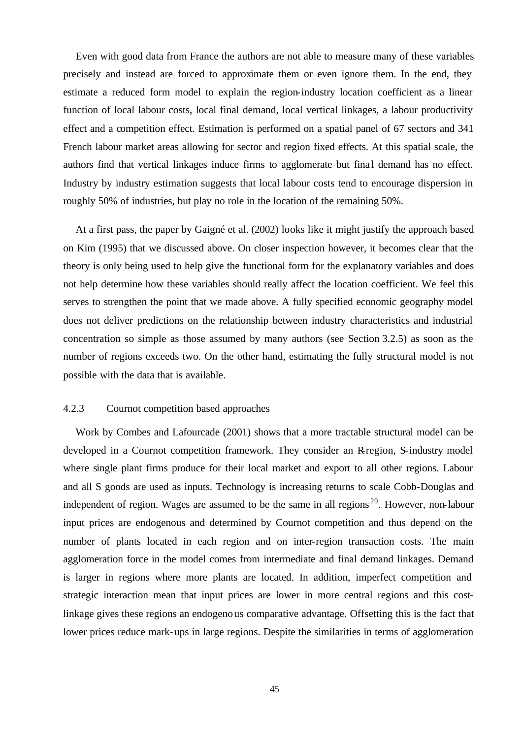Even with good data from France the authors are not able to measure many of these variables precisely and instead are forced to approximate them or even ignore them. In the end, they estimate a reduced form model to explain the region-industry location coefficient as a linear function of local labour costs, local final demand, local vertical linkages, a labour productivity effect and a competition effect. Estimation is performed on a spatial panel of 67 sectors and 341 French labour market areas allowing for sector and region fixed effects. At this spatial scale, the authors find that vertical linkages induce firms to agglomerate but fina l demand has no effect. Industry by industry estimation suggests that local labour costs tend to encourage dispersion in roughly 50% of industries, but play no role in the location of the remaining 50%.

At a first pass, the paper by Gaigné et al. (2002) looks like it might justify the approach based on Kim (1995) that we discussed above. On closer inspection however, it becomes clear that the theory is only being used to help give the functional form for the explanatory variables and does not help determine how these variables should really affect the location coefficient. We feel this serves to strengthen the point that we made above. A fully specified economic geography model does not deliver predictions on the relationship between industry characteristics and industrial concentration so simple as those assumed by many authors (see Section 3.2.5) as soon as the number of regions exceeds two. On the other hand, estimating the fully structural model is not possible with the data that is available.

# 4.2.3 Cournot competition based approaches

Work by Combes and Lafourcade (2001) shows that a more tractable structural model can be developed in a Cournot competition framework. They consider an R-region, S-industry model where single plant firms produce for their local market and export to all other regions. Labour and all S goods are used as inputs. Technology is increasing returns to scale Cobb-Douglas and independent of region. Wages are assumed to be the same in all regions<sup>29</sup>. However, non-labour input prices are endogenous and determined by Cournot competition and thus depend on the number of plants located in each region and on inter-region transaction costs. The main agglomeration force in the model comes from intermediate and final demand linkages. Demand is larger in regions where more plants are located. In addition, imperfect competition and strategic interaction mean that input prices are lower in more central regions and this costlinkage gives these regions an endogenous comparative advantage. Offsetting this is the fact that lower prices reduce mark-ups in large regions. Despite the similarities in terms of agglomeration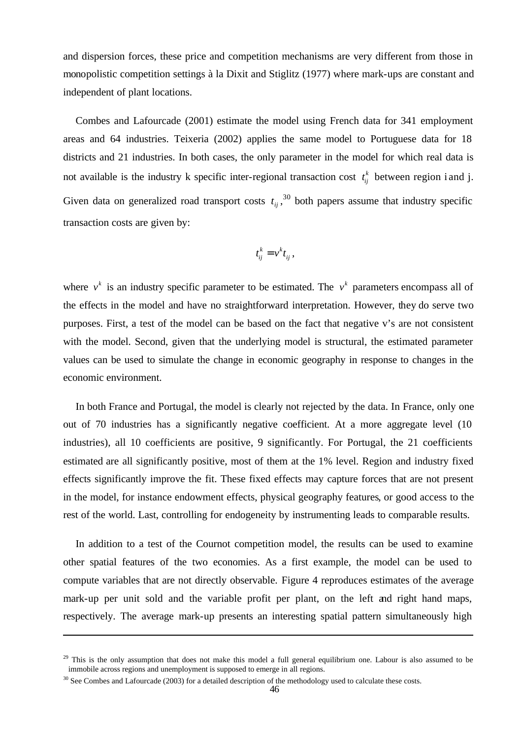and dispersion forces, these price and competition mechanisms are very different from those in monopolistic competition settings à la Dixit and Stiglitz (1977) where mark-ups are constant and independent of plant locations.

Combes and Lafourcade (2001) estimate the model using French data for 341 employment areas and 64 industries. Teixeria (2002) applies the same model to Portuguese data for 18 districts and 21 industries. In both cases, the only parameter in the model for which real data is not available is the industry k specific inter-regional transaction cost  $t_{ij}^k$  between region i and j. Given data on generalized road transport costs  $t_{ij}$ ,<sup>30</sup> both papers assume that industry specific transaction costs are given by:

$$
t_{ij}^k = v^k t_{ij},
$$

where  $v^k$  is an industry specific parameter to be estimated. The  $v^k$  parameters encompass all of the effects in the model and have no straightforward interpretation. However, they do serve two purposes. First, a test of the model can be based on the fact that negative v's are not consistent with the model. Second, given that the underlying model is structural, the estimated parameter values can be used to simulate the change in economic geography in response to changes in the economic environment.

In both France and Portugal, the model is clearly not rejected by the data. In France, only one out of 70 industries has a significantly negative coefficient. At a more aggregate level (10 industries), all 10 coefficients are positive, 9 significantly. For Portugal, the 21 coefficients estimated are all significantly positive, most of them at the 1% level. Region and industry fixed effects significantly improve the fit. These fixed effects may capture forces that are not present in the model, for instance endowment effects, physical geography features, or good access to the rest of the world. Last, controlling for endogeneity by instrumenting leads to comparable results.

In addition to a test of the Cournot competition model, the results can be used to examine other spatial features of the two economies. As a first example, the model can be used to compute variables that are not directly observable. Figure 4 reproduces estimates of the average mark-up per unit sold and the variable profit per plant, on the left and right hand maps, respectively. The average mark-up presents an interesting spatial pattern simultaneously high

l

 $29$  This is the only assumption that does not make this model a full general equilibrium one. Labour is also assumed to be immobile across regions and unemployment is supposed to emerge in all regions.

 $30$  See Combes and Lafourcade (2003) for a detailed description of the methodology used to calculate these costs.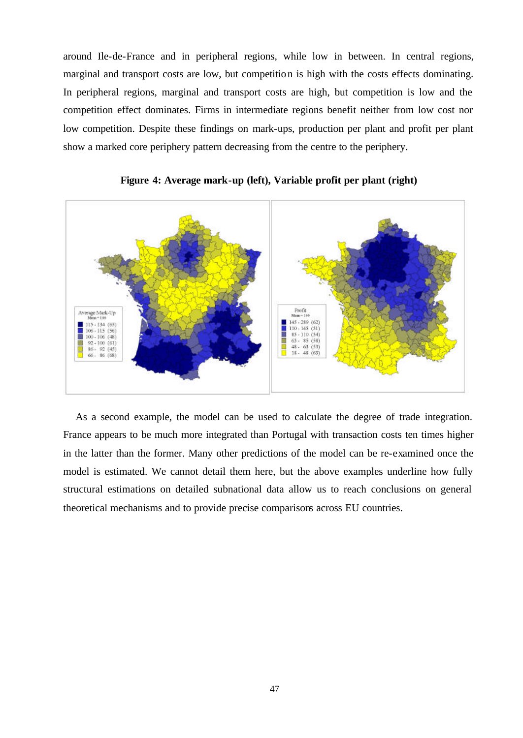around Ile-de-France and in peripheral regions, while low in between. In central regions, marginal and transport costs are low, but competition is high with the costs effects dominating. In peripheral regions, marginal and transport costs are high, but competition is low and the competition effect dominates. Firms in intermediate regions benefit neither from low cost nor low competition. Despite these findings on mark-ups, production per plant and profit per plant show a marked core periphery pattern decreasing from the centre to the periphery.



**Figure 4: Average mark-up (left), Variable profit per plant (right)**

As a second example, the model can be used to calculate the degree of trade integration. France appears to be much more integrated than Portugal with transaction costs ten times higher in the latter than the former. Many other predictions of the model can be re-examined once the model is estimated. We cannot detail them here, but the above examples underline how fully structural estimations on detailed subnational data allow us to reach conclusions on general theoretical mechanisms and to provide precise comparisons across EU countries.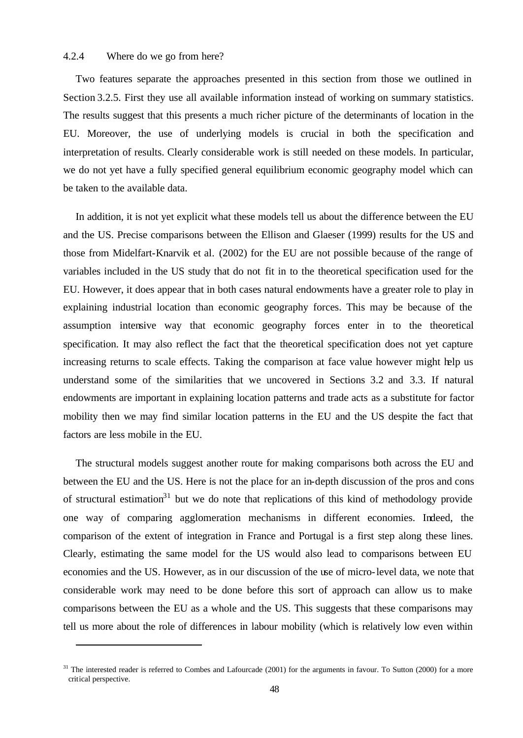### 4.2.4 Where do we go from here?

l

Two features separate the approaches presented in this section from those we outlined in Section 3.2.5. First they use all available information instead of working on summary statistics. The results suggest that this presents a much richer picture of the determinants of location in the EU. Moreover, the use of underlying models is crucial in both the specification and interpretation of results. Clearly considerable work is still needed on these models. In particular, we do not yet have a fully specified general equilibrium economic geography model which can be taken to the available data.

In addition, it is not yet explicit what these models tell us about the difference between the EU and the US. Precise comparisons between the Ellison and Glaeser (1999) results for the US and those from Midelfart-Knarvik et al. (2002) for the EU are not possible because of the range of variables included in the US study that do not fit in to the theoretical specification used for the EU. However, it does appear that in both cases natural endowments have a greater role to play in explaining industrial location than economic geography forces. This may be because of the assumption intensive way that economic geography forces enter in to the theoretical specification. It may also reflect the fact that the theoretical specification does not yet capture increasing returns to scale effects. Taking the comparison at face value however might help us understand some of the similarities that we uncovered in Sections 3.2 and 3.3. If natural endowments are important in explaining location patterns and trade acts as a substitute for factor mobility then we may find similar location patterns in the EU and the US despite the fact that factors are less mobile in the EU.

The structural models suggest another route for making comparisons both across the EU and between the EU and the US. Here is not the place for an in-depth discussion of the pros and cons of structural estimation<sup>31</sup> but we do note that replications of this kind of methodology provide one way of comparing agglomeration mechanisms in different economies. Indeed, the comparison of the extent of integration in France and Portugal is a first step along these lines. Clearly, estimating the same model for the US would also lead to comparisons between EU economies and the US. However, as in our discussion of the use of micro-level data, we note that considerable work may need to be done before this sort of approach can allow us to make comparisons between the EU as a whole and the US. This suggests that these comparisons may tell us more about the role of differences in labour mobility (which is relatively low even within

 $31$  The interested reader is referred to Combes and Lafourcade (2001) for the arguments in favour. To Sutton (2000) for a more critical perspective.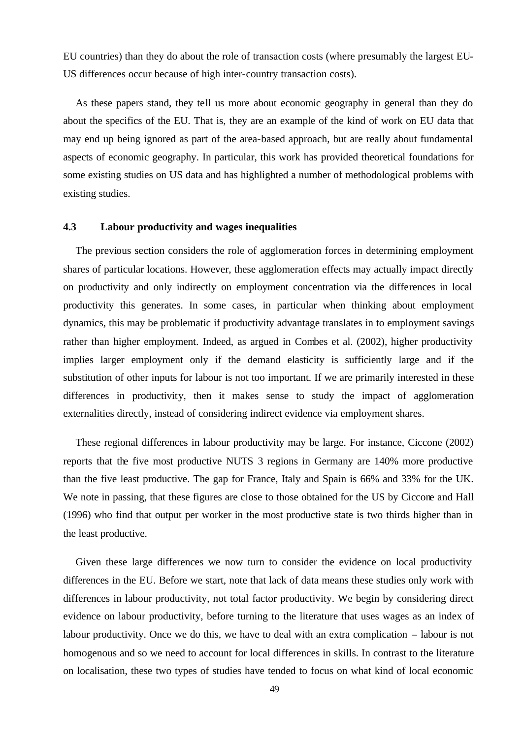EU countries) than they do about the role of transaction costs (where presumably the largest EU-US differences occur because of high inter-country transaction costs).

As these papers stand, they tell us more about economic geography in general than they do about the specifics of the EU. That is, they are an example of the kind of work on EU data that may end up being ignored as part of the area-based approach, but are really about fundamental aspects of economic geography. In particular, this work has provided theoretical foundations for some existing studies on US data and has highlighted a number of methodological problems with existing studies.

# **4.3 Labour productivity and wages inequalities**

The previous section considers the role of agglomeration forces in determining employment shares of particular locations. However, these agglomeration effects may actually impact directly on productivity and only indirectly on employment concentration via the differences in local productivity this generates. In some cases, in particular when thinking about employment dynamics, this may be problematic if productivity advantage translates in to employment savings rather than higher employment. Indeed, as argued in Combes et al. (2002), higher productivity implies larger employment only if the demand elasticity is sufficiently large and if the substitution of other inputs for labour is not too important. If we are primarily interested in these differences in productivity, then it makes sense to study the impact of agglomeration externalities directly, instead of considering indirect evidence via employment shares.

These regional differences in labour productivity may be large. For instance, Ciccone (2002) reports that the five most productive NUTS 3 regions in Germany are 140% more productive than the five least productive. The gap for France, Italy and Spain is 66% and 33% for the UK. We note in passing, that these figures are close to those obtained for the US by Ciccone and Hall (1996) who find that output per worker in the most productive state is two thirds higher than in the least productive.

Given these large differences we now turn to consider the evidence on local productivity differences in the EU. Before we start, note that lack of data means these studies only work with differences in labour productivity, not total factor productivity. We begin by considering direct evidence on labour productivity, before turning to the literature that uses wages as an index of labour productivity. Once we do this, we have to deal with an extra complication – labour is not homogenous and so we need to account for local differences in skills. In contrast to the literature on localisation, these two types of studies have tended to focus on what kind of local economic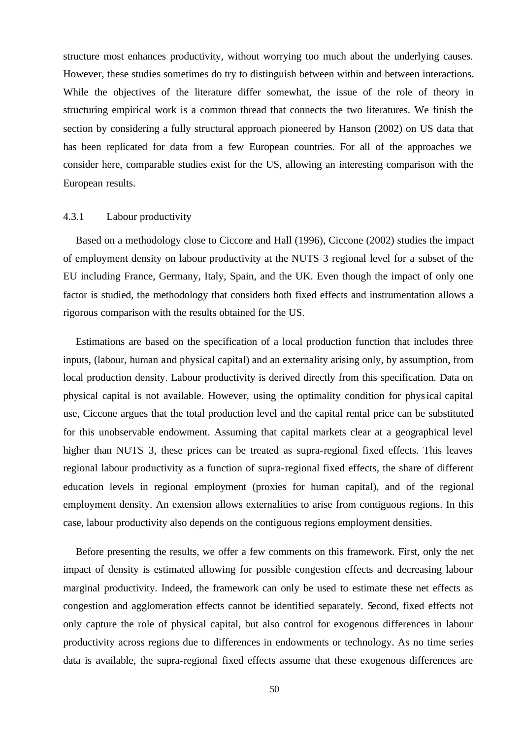structure most enhances productivity, without worrying too much about the underlying causes. However, these studies sometimes do try to distinguish between within and between interactions. While the objectives of the literature differ somewhat, the issue of the role of theory in structuring empirical work is a common thread that connects the two literatures. We finish the section by considering a fully structural approach pioneered by Hanson (2002) on US data that has been replicated for data from a few European countries. For all of the approaches we consider here, comparable studies exist for the US, allowing an interesting comparison with the European results.

### 4.3.1 Labour productivity

Based on a methodology close to Ciccone and Hall (1996), Ciccone (2002) studies the impact of employment density on labour productivity at the NUTS 3 regional level for a subset of the EU including France, Germany, Italy, Spain, and the UK. Even though the impact of only one factor is studied, the methodology that considers both fixed effects and instrumentation allows a rigorous comparison with the results obtained for the US.

Estimations are based on the specification of a local production function that includes three inputs, (labour, human and physical capital) and an externality arising only, by assumption, from local production density. Labour productivity is derived directly from this specification. Data on physical capital is not available. However, using the optimality condition for physical capital use, Ciccone argues that the total production level and the capital rental price can be substituted for this unobservable endowment. Assuming that capital markets clear at a geographical level higher than NUTS 3, these prices can be treated as supra-regional fixed effects. This leaves regional labour productivity as a function of supra-regional fixed effects, the share of different education levels in regional employment (proxies for human capital), and of the regional employment density. An extension allows externalities to arise from contiguous regions. In this case, labour productivity also depends on the contiguous regions employment densities.

Before presenting the results, we offer a few comments on this framework. First, only the net impact of density is estimated allowing for possible congestion effects and decreasing labour marginal productivity. Indeed, the framework can only be used to estimate these net effects as congestion and agglomeration effects cannot be identified separately. Second, fixed effects not only capture the role of physical capital, but also control for exogenous differences in labour productivity across regions due to differences in endowments or technology. As no time series data is available, the supra-regional fixed effects assume that these exogenous differences are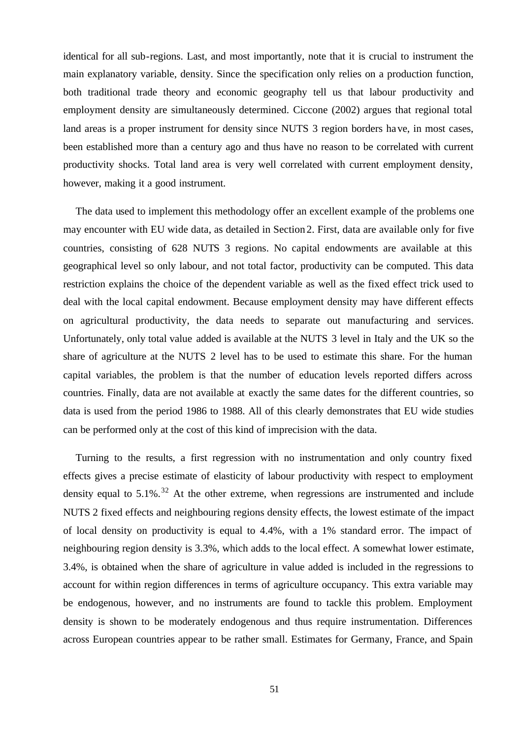identical for all sub-regions. Last, and most importantly, note that it is crucial to instrument the main explanatory variable, density. Since the specification only relies on a production function, both traditional trade theory and economic geography tell us that labour productivity and employment density are simultaneously determined. Ciccone (2002) argues that regional total land areas is a proper instrument for density since NUTS 3 region borders have, in most cases, been established more than a century ago and thus have no reason to be correlated with current productivity shocks. Total land area is very well correlated with current employment density, however, making it a good instrument.

The data used to implement this methodology offer an excellent example of the problems one may encounter with EU wide data, as detailed in Section 2. First, data are available only for five countries, consisting of 628 NUTS 3 regions. No capital endowments are available at this geographical level so only labour, and not total factor, productivity can be computed. This data restriction explains the choice of the dependent variable as well as the fixed effect trick used to deal with the local capital endowment. Because employment density may have different effects on agricultural productivity, the data needs to separate out manufacturing and services. Unfortunately, only total value added is available at the NUTS 3 level in Italy and the UK so the share of agriculture at the NUTS 2 level has to be used to estimate this share. For the human capital variables, the problem is that the number of education levels reported differs across countries. Finally, data are not available at exactly the same dates for the different countries, so data is used from the period 1986 to 1988. All of this clearly demonstrates that EU wide studies can be performed only at the cost of this kind of imprecision with the data.

Turning to the results, a first regression with no instrumentation and only country fixed effects gives a precise estimate of elasticity of labour productivity with respect to employment density equal to  $5.1\%$ .<sup>32</sup> At the other extreme, when regressions are instrumented and include NUTS 2 fixed effects and neighbouring regions density effects, the lowest estimate of the impact of local density on productivity is equal to 4.4%, with a 1% standard error. The impact of neighbouring region density is 3.3%, which adds to the local effect. A somewhat lower estimate, 3.4%, is obtained when the share of agriculture in value added is included in the regressions to account for within region differences in terms of agriculture occupancy. This extra variable may be endogenous, however, and no instruments are found to tackle this problem. Employment density is shown to be moderately endogenous and thus require instrumentation. Differences across European countries appear to be rather small. Estimates for Germany, France, and Spain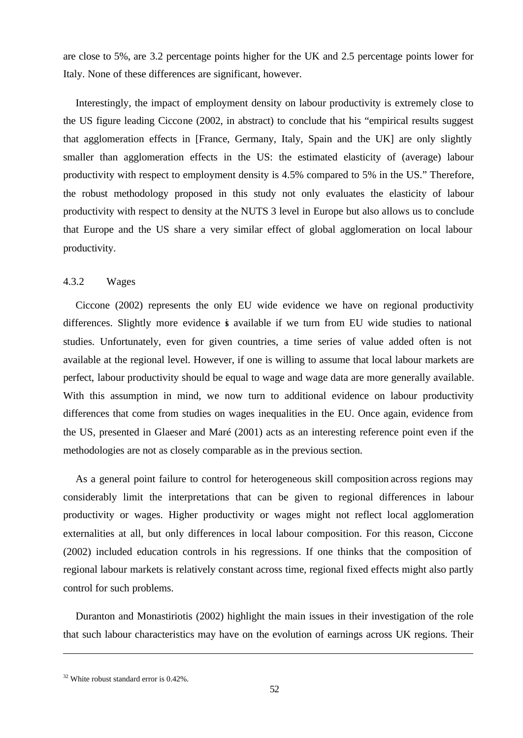are close to 5%, are 3.2 percentage points higher for the UK and 2.5 percentage points lower for Italy. None of these differences are significant, however.

Interestingly, the impact of employment density on labour productivity is extremely close to the US figure leading Ciccone (2002, in abstract) to conclude that his "empirical results suggest that agglomeration effects in [France, Germany, Italy, Spain and the UK] are only slightly smaller than agglomeration effects in the US: the estimated elasticity of (average) labour productivity with respect to employment density is 4.5% compared to 5% in the US." Therefore, the robust methodology proposed in this study not only evaluates the elasticity of labour productivity with respect to density at the NUTS 3 level in Europe but also allows us to conclude that Europe and the US share a very similar effect of global agglomeration on local labour productivity.

## 4.3.2 Wages

Ciccone (2002) represents the only EU wide evidence we have on regional productivity differences. Slightly more evidence is available if we turn from EU wide studies to national studies. Unfortunately, even for given countries, a time series of value added often is not available at the regional level. However, if one is willing to assume that local labour markets are perfect, labour productivity should be equal to wage and wage data are more generally available. With this assumption in mind, we now turn to additional evidence on labour productivity differences that come from studies on wages inequalities in the EU. Once again, evidence from the US, presented in Glaeser and Maré (2001) acts as an interesting reference point even if the methodologies are not as closely comparable as in the previous section.

As a general point failure to control for heterogeneous skill composition across regions may considerably limit the interpretations that can be given to regional differences in labour productivity or wages. Higher productivity or wages might not reflect local agglomeration externalities at all, but only differences in local labour composition. For this reason, Ciccone (2002) included education controls in his regressions. If one thinks that the composition of regional labour markets is relatively constant across time, regional fixed effects might also partly control for such problems.

Duranton and Monastiriotis (2002) highlight the main issues in their investigation of the role that such labour characteristics may have on the evolution of earnings across UK regions. Their

l

<sup>32</sup> White robust standard error is 0.42%.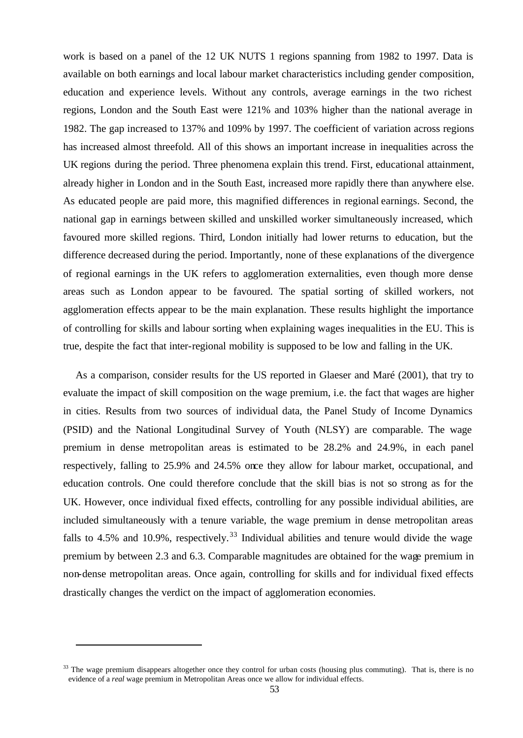work is based on a panel of the 12 UK NUTS 1 regions spanning from 1982 to 1997. Data is available on both earnings and local labour market characteristics including gender composition, education and experience levels. Without any controls, average earnings in the two richest regions, London and the South East were 121% and 103% higher than the national average in 1982. The gap increased to 137% and 109% by 1997. The coefficient of variation across regions has increased almost threefold. All of this shows an important increase in inequalities across the UK regions during the period. Three phenomena explain this trend. First, educational attainment, already higher in London and in the South East, increased more rapidly there than anywhere else. As educated people are paid more, this magnified differences in regional earnings. Second, the national gap in earnings between skilled and unskilled worker simultaneously increased, which favoured more skilled regions. Third, London initially had lower returns to education, but the difference decreased during the period. Importantly, none of these explanations of the divergence of regional earnings in the UK refers to agglomeration externalities, even though more dense areas such as London appear to be favoured. The spatial sorting of skilled workers, not agglomeration effects appear to be the main explanation. These results highlight the importance of controlling for skills and labour sorting when explaining wages inequalities in the EU. This is true, despite the fact that inter-regional mobility is supposed to be low and falling in the UK.

As a comparison, consider results for the US reported in Glaeser and Maré (2001), that try to evaluate the impact of skill composition on the wage premium, i.e. the fact that wages are higher in cities. Results from two sources of individual data, the Panel Study of Income Dynamics (PSID) and the National Longitudinal Survey of Youth (NLSY) are comparable. The wage premium in dense metropolitan areas is estimated to be 28.2% and 24.9%, in each panel respectively, falling to 25.9% and 24.5% once they allow for labour market, occupational, and education controls. One could therefore conclude that the skill bias is not so strong as for the UK. However, once individual fixed effects, controlling for any possible individual abilities, are included simultaneously with a tenure variable, the wage premium in dense metropolitan areas falls to 4.5% and 10.9%, respectively.<sup>33</sup> Individual abilities and tenure would divide the wage premium by between 2.3 and 6.3. Comparable magnitudes are obtained for the wage premium in non-dense metropolitan areas. Once again, controlling for skills and for individual fixed effects drastically changes the verdict on the impact of agglomeration economies.

l

 $33$  The wage premium disappears altogether once they control for urban costs (housing plus commuting). That is, there is no evidence of a *real* wage premium in Metropolitan Areas once we allow for individual effects.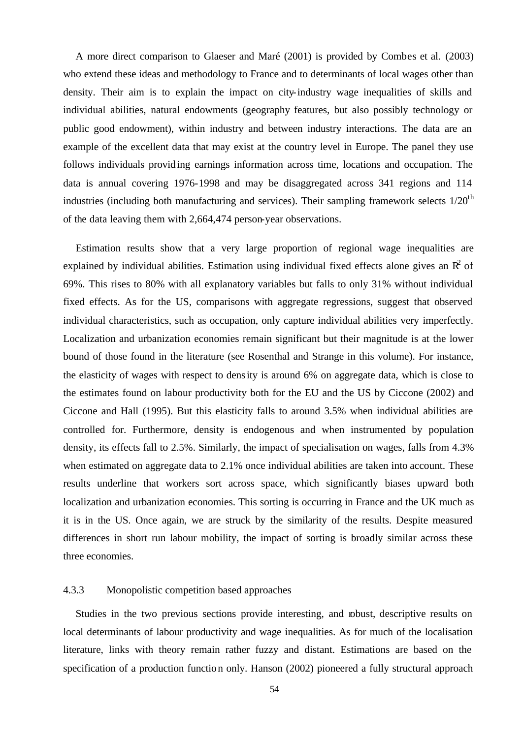A more direct comparison to Glaeser and Maré (2001) is provided by Combes et al. (2003) who extend these ideas and methodology to France and to determinants of local wages other than density. Their aim is to explain the impact on city-industry wage inequalities of skills and individual abilities, natural endowments (geography features, but also possibly technology or public good endowment), within industry and between industry interactions. The data are an example of the excellent data that may exist at the country level in Europe. The panel they use follows individuals providing earnings information across time, locations and occupation. The data is annual covering 1976-1998 and may be disaggregated across 341 regions and 114 industries (including both manufacturing and services). Their sampling framework selects  $1/20<sup>th</sup>$ of the data leaving them with 2,664,474 person-year observations.

Estimation results show that a very large proportion of regional wage inequalities are explained by individual abilities. Estimation using individual fixed effects alone gives an  $\mathbb{R}^2$  of 69%. This rises to 80% with all explanatory variables but falls to only 31% without individual fixed effects. As for the US, comparisons with aggregate regressions, suggest that observed individual characteristics, such as occupation, only capture individual abilities very imperfectly. Localization and urbanization economies remain significant but their magnitude is at the lower bound of those found in the literature (see Rosenthal and Strange in this volume). For instance, the elasticity of wages with respect to density is around 6% on aggregate data, which is close to the estimates found on labour productivity both for the EU and the US by Ciccone (2002) and Ciccone and Hall (1995). But this elasticity falls to around 3.5% when individual abilities are controlled for. Furthermore, density is endogenous and when instrumented by population density, its effects fall to 2.5%. Similarly, the impact of specialisation on wages, falls from 4.3% when estimated on aggregate data to 2.1% once individual abilities are taken into account. These results underline that workers sort across space, which significantly biases upward both localization and urbanization economies. This sorting is occurring in France and the UK much as it is in the US. Once again, we are struck by the similarity of the results. Despite measured differences in short run labour mobility, the impact of sorting is broadly similar across these three economies.

## 4.3.3 Monopolistic competition based approaches

Studies in the two previous sections provide interesting, and robust, descriptive results on local determinants of labour productivity and wage inequalities. As for much of the localisation literature, links with theory remain rather fuzzy and distant. Estimations are based on the specification of a production function only. Hanson (2002) pioneered a fully structural approach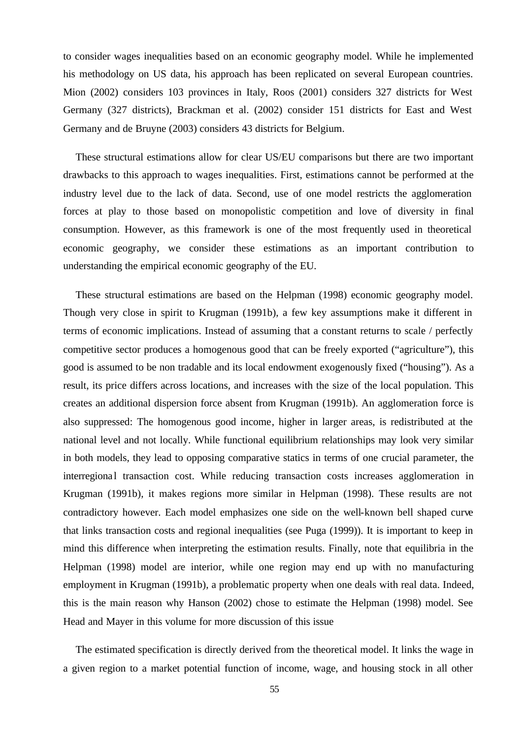to consider wages inequalities based on an economic geography model. While he implemented his methodology on US data, his approach has been replicated on several European countries. Mion (2002) considers 103 provinces in Italy, Roos (2001) considers 327 districts for West Germany (327 districts), Brackman et al. (2002) consider 151 districts for East and West Germany and de Bruyne (2003) considers 43 districts for Belgium.

These structural estimations allow for clear US/EU comparisons but there are two important drawbacks to this approach to wages inequalities. First, estimations cannot be performed at the industry level due to the lack of data. Second, use of one model restricts the agglomeration forces at play to those based on monopolistic competition and love of diversity in final consumption. However, as this framework is one of the most frequently used in theoretical economic geography, we consider these estimations as an important contribution to understanding the empirical economic geography of the EU.

These structural estimations are based on the Helpman (1998) economic geography model. Though very close in spirit to Krugman (1991b), a few key assumptions make it different in terms of economic implications. Instead of assuming that a constant returns to scale / perfectly competitive sector produces a homogenous good that can be freely exported ("agriculture"), this good is assumed to be non tradable and its local endowment exogenously fixed ("housing"). As a result, its price differs across locations, and increases with the size of the local population. This creates an additional dispersion force absent from Krugman (1991b). An agglomeration force is also suppressed: The homogenous good income, higher in larger areas, is redistributed at the national level and not locally. While functional equilibrium relationships may look very similar in both models, they lead to opposing comparative statics in terms of one crucial parameter, the interregional transaction cost. While reducing transaction costs increases agglomeration in Krugman (1991b), it makes regions more similar in Helpman (1998). These results are not contradictory however. Each model emphasizes one side on the well-known bell shaped curve that links transaction costs and regional inequalities (see Puga (1999)). It is important to keep in mind this difference when interpreting the estimation results. Finally, note that equilibria in the Helpman (1998) model are interior, while one region may end up with no manufacturing employment in Krugman (1991b), a problematic property when one deals with real data. Indeed, this is the main reason why Hanson (2002) chose to estimate the Helpman (1998) model. See Head and Mayer in this volume for more discussion of this issue

The estimated specification is directly derived from the theoretical model. It links the wage in a given region to a market potential function of income, wage, and housing stock in all other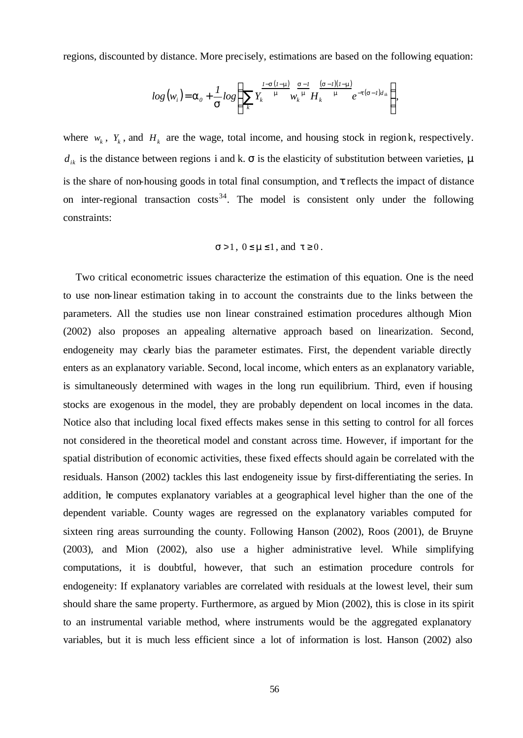regions, discounted by distance. More precisely, estimations are based on the following equation:

$$
log(w_i) = \mathbf{a}_0 + \frac{1}{\mathbf{S}}log\left(\sum_k Y_k^{\frac{1-\mathbf{S}(1-\mathbf{m})}{\mathbf{m}}} w_k^{\frac{\mathbf{S}-1}{\mathbf{m}}} H_k^{\frac{(\mathbf{S}-1)(1-\mathbf{m})}{\mathbf{m}}} e^{-t(\mathbf{S}-1)d_{ik}}\right),
$$

where  $w_k$ ,  $Y_k$ , and  $H_k$  are the wage, total income, and housing stock in regionk, respectively.  $d_{ik}$  is the distance between regions i and k.  $\sigma$  is the elasticity of substitution between varieties,  $\mu$ is the share of non-housing goods in total final consumption, and  $\tau$  reflects the impact of distance on inter-regional transaction  $\cos t s^{34}$ . The model is consistent only under the following constraints:

 $\sigma > 1$ ,  $0 \leq \mu \leq 1$ , and  $\tau \geq 0$ .

Two critical econometric issues characterize the estimation of this equation. One is the need to use non-linear estimation taking in to account the constraints due to the links between the parameters. All the studies use non linear constrained estimation procedures although Mion (2002) also proposes an appealing alternative approach based on linearization. Second, endogeneity may clearly bias the parameter estimates. First, the dependent variable directly enters as an explanatory variable. Second, local income, which enters as an explanatory variable, is simultaneously determined with wages in the long run equilibrium. Third, even if housing stocks are exogenous in the model, they are probably dependent on local incomes in the data. Notice also that including local fixed effects makes sense in this setting to control for all forces not considered in the theoretical model and constant across time. However, if important for the spatial distribution of economic activities, these fixed effects should again be correlated with the residuals. Hanson (2002) tackles this last endogeneity issue by first-differentiating the series. In addition, he computes explanatory variables at a geographical level higher than the one of the dependent variable. County wages are regressed on the explanatory variables computed for sixteen ring areas surrounding the county. Following Hanson (2002), Roos (2001), de Bruyne (2003), and Mion (2002), also use a higher administrative level. While simplifying computations, it is doubtful, however, that such an estimation procedure controls for endogeneity: If explanatory variables are correlated with residuals at the lowest level, their sum should share the same property. Furthermore, as argued by Mion (2002), this is close in its spirit to an instrumental variable method, where instruments would be the aggregated explanatory variables, but it is much less efficient since a lot of information is lost. Hanson (2002) also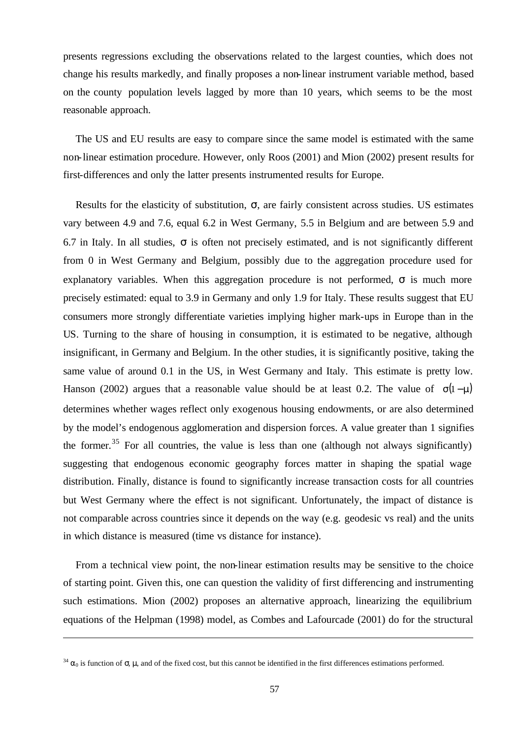presents regressions excluding the observations related to the largest counties, which does not change his results markedly, and finally proposes a non-linear instrument variable method, based on the county population levels lagged by more than 10 years, which seems to be the most reasonable approach.

The US and EU results are easy to compare since the same model is estimated with the same non-linear estimation procedure. However, only Roos (2001) and Mion (2002) present results for first-differences and only the latter presents instrumented results for Europe.

Results for the elasticity of substitution,  $\sigma$ , are fairly consistent across studies. US estimates vary between 4.9 and 7.6, equal 6.2 in West Germany, 5.5 in Belgium and are between 5.9 and 6.7 in Italy. In all studies,  $\sigma$  is often not precisely estimated, and is not significantly different from 0 in West Germany and Belgium, possibly due to the aggregation procedure used for explanatory variables. When this aggregation procedure is not performed,  $\sigma$  is much more precisely estimated: equal to 3.9 in Germany and only 1.9 for Italy. These results suggest that EU consumers more strongly differentiate varieties implying higher mark-ups in Europe than in the US. Turning to the share of housing in consumption, it is estimated to be negative, although insignificant, in Germany and Belgium. In the other studies, it is significantly positive, taking the same value of around 0.1 in the US, in West Germany and Italy. This estimate is pretty low. Hanson (2002) argues that a reasonable value should be at least 0.2. The value of  $\sigma(1-\mu)$ determines whether wages reflect only exogenous housing endowments, or are also determined by the model's endogenous agglomeration and dispersion forces. A value greater than 1 signifies the former.<sup>35</sup> For all countries, the value is less than one (although not always significantly) suggesting that endogenous economic geography forces matter in shaping the spatial wage distribution. Finally, distance is found to significantly increase transaction costs for all countries but West Germany where the effect is not significant. Unfortunately, the impact of distance is not comparable across countries since it depends on the way (e.g. geodesic vs real) and the units in which distance is measured (time vs distance for instance).

From a technical view point, the non-linear estimation results may be sensitive to the choice of starting point. Given this, one can question the validity of first differencing and instrumenting such estimations. Mion (2002) proposes an alternative approach, linearizing the equilibrium equations of the Helpman (1998) model, as Combes and Lafourcade (2001) do for the structural

l

<sup>&</sup>lt;sup>34</sup>  $\alpha_0$  is function of  $\sigma$ ,  $\mu$ , and of the fixed cost, but this cannot be identified in the first differences estimations performed.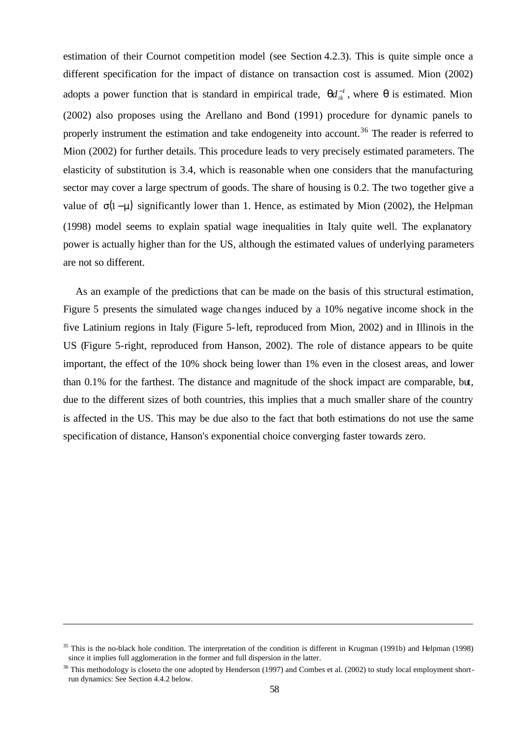estimation of their Cournot competition model (see Section 4.2.3). This is quite simple once a different specification for the impact of distance on transaction cost is assumed. Mion (2002) adopts a power function that is standard in empirical trade,  $qd_{ik}^{-1}$ , where  $\theta$  is estimated. Mion (2002) also proposes using the Arellano and Bond (1991) procedure for dynamic panels to properly instrument the estimation and take endogeneity into account.<sup>36</sup> The reader is referred to Mion (2002) for further details. This procedure leads to very precisely estimated parameters. The elasticity of substitution is 3.4, which is reasonable when one considers that the manufacturing sector may cover a large spectrum of goods. The share of housing is 0.2. The two together give a value of  $\sigma(1-\mu)$  significantly lower than 1. Hence, as estimated by Mion (2002), the Helpman (1998) model seems to explain spatial wage inequalities in Italy quite well. The explanatory power is actually higher than for the US, although the estimated values of underlying parameters are not so different.

As an example of the predictions that can be made on the basis of this structural estimation, Figure 5 presents the simulated wage changes induced by a 10% negative income shock in the five Latinium regions in Italy (Figure 5-left, reproduced from Mion, 2002) and in Illinois in the US (Figure 5-right, reproduced from Hanson, 2002). The role of distance appears to be quite important, the effect of the 10% shock being lower than 1% even in the closest areas, and lower than 0.1% for the farthest. The distance and magnitude of the shock impact are comparable, but, due to the different sizes of both countries, this implies that a much smaller share of the country is affected in the US. This may be due also to the fact that both estimations do not use the same specification of distance, Hanson's exponential choice converging faster towards zero.

l

 $35$  This is the no-black hole condition. The interpretation of the condition is different in Krugman (1991b) and Helpman (1998) since it implies full agglomeration in the former and full dispersion in the latter.

 $36$  This methodology is closeto the one adopted by Henderson (1997) and Combes et al. (2002) to study local employment shortrun dynamics: See Section 4.4.2 below.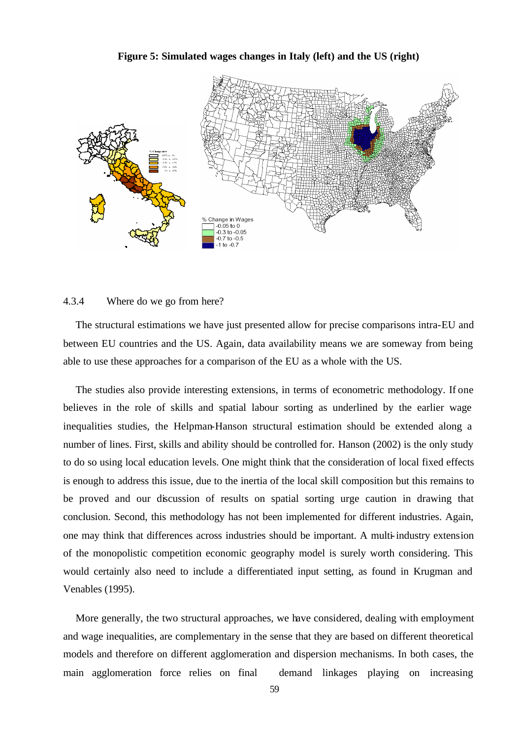**Figure 5: Simulated wages changes in Italy (left) and the US (right)**



### 4.3.4 Where do we go from here?

The structural estimations we have just presented allow for precise comparisons intra-EU and between EU countries and the US. Again, data availability means we are someway from being able to use these approaches for a comparison of the EU as a whole with the US.

The studies also provide interesting extensions, in terms of econometric methodology. If one believes in the role of skills and spatial labour sorting as underlined by the earlier wage inequalities studies, the Helpman-Hanson structural estimation should be extended along a number of lines. First, skills and ability should be controlled for. Hanson (2002) is the only study to do so using local education levels. One might think that the consideration of local fixed effects is enough to address this issue, due to the inertia of the local skill composition but this remains to be proved and our discussion of results on spatial sorting urge caution in drawing that conclusion. Second, this methodology has not been implemented for different industries. Again, one may think that differences across industries should be important. A multi-industry extension of the monopolistic competition economic geography model is surely worth considering. This would certainly also need to include a differentiated input setting, as found in Krugman and Venables (1995).

More generally, the two structural approaches, we have considered, dealing with employment and wage inequalities, are complementary in the sense that they are based on different theoretical models and therefore on different agglomeration and dispersion mechanisms. In both cases, the main agglomeration force relies on final demand linkages playing on increasing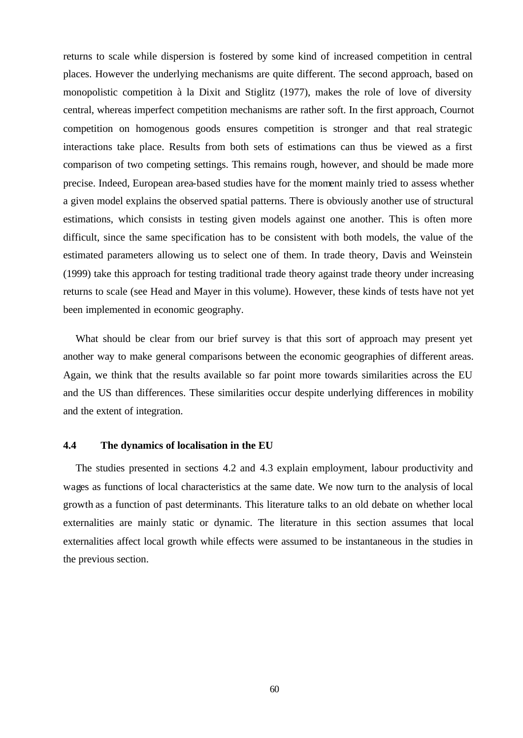returns to scale while dispersion is fostered by some kind of increased competition in central places. However the underlying mechanisms are quite different. The second approach, based on monopolistic competition à la Dixit and Stiglitz (1977), makes the role of love of diversity central, whereas imperfect competition mechanisms are rather soft. In the first approach, Cournot competition on homogenous goods ensures competition is stronger and that real strategic interactions take place. Results from both sets of estimations can thus be viewed as a first comparison of two competing settings. This remains rough, however, and should be made more precise. Indeed, European area-based studies have for the moment mainly tried to assess whether a given model explains the observed spatial patterns. There is obviously another use of structural estimations, which consists in testing given models against one another. This is often more difficult, since the same specification has to be consistent with both models, the value of the estimated parameters allowing us to select one of them. In trade theory, Davis and Weinstein (1999) take this approach for testing traditional trade theory against trade theory under increasing returns to scale (see Head and Mayer in this volume). However, these kinds of tests have not yet been implemented in economic geography.

What should be clear from our brief survey is that this sort of approach may present yet another way to make general comparisons between the economic geographies of different areas. Again, we think that the results available so far point more towards similarities across the EU and the US than differences. These similarities occur despite underlying differences in mobility and the extent of integration.

# **4.4 The dynamics of localisation in the EU**

The studies presented in sections 4.2 and 4.3 explain employment, labour productivity and wages as functions of local characteristics at the same date. We now turn to the analysis of local growth as a function of past determinants. This literature talks to an old debate on whether local externalities are mainly static or dynamic. The literature in this section assumes that local externalities affect local growth while effects were assumed to be instantaneous in the studies in the previous section.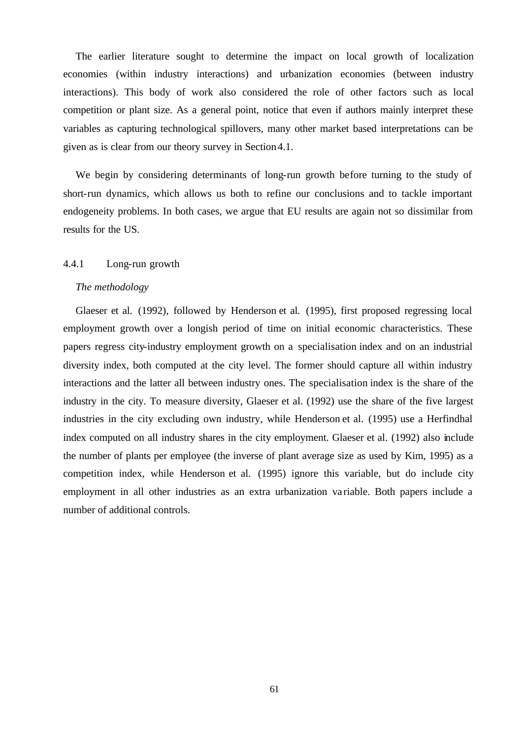The earlier literature sought to determine the impact on local growth of localization economies (within industry interactions) and urbanization economies (between industry interactions). This body of work also considered the role of other factors such as local competition or plant size. As a general point, notice that even if authors mainly interpret these variables as capturing technological spillovers, many other market based interpretations can be given as is clear from our theory survey in Section4.1.

We begin by considering determinants of long-run growth before turning to the study of short-run dynamics, which allows us both to refine our conclusions and to tackle important endogeneity problems. In both cases, we argue that EU results are again not so dissimilar from results for the US.

# 4.4.1 Long-run growth

### *The methodology*

Glaeser et al. (1992), followed by Henderson et al. (1995), first proposed regressing local employment growth over a longish period of time on initial economic characteristics. These papers regress city-industry employment growth on a specialisation index and on an industrial diversity index, both computed at the city level. The former should capture all within industry interactions and the latter all between industry ones. The specialisation index is the share of the industry in the city. To measure diversity, Glaeser et al. (1992) use the share of the five largest industries in the city excluding own industry, while Henderson et al. (1995) use a Herfindhal index computed on all industry shares in the city employment. Glaeser et al. (1992) also include the number of plants per employee (the inverse of plant average size as used by Kim, 1995) as a competition index, while Henderson et al. (1995) ignore this variable, but do include city employment in all other industries as an extra urbanization va riable. Both papers include a number of additional controls.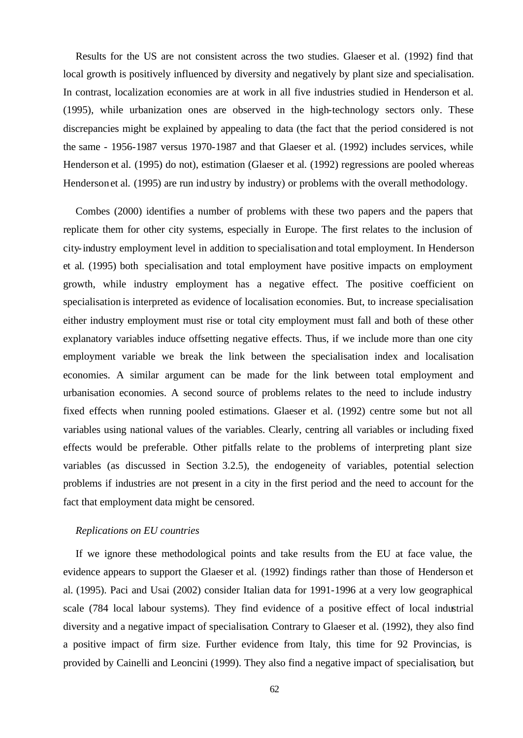Results for the US are not consistent across the two studies. Glaeser et al. (1992) find that local growth is positively influenced by diversity and negatively by plant size and specialisation. In contrast, localization economies are at work in all five industries studied in Henderson et al. (1995), while urbanization ones are observed in the high-technology sectors only. These discrepancies might be explained by appealing to data (the fact that the period considered is not the same - 1956-1987 versus 1970-1987 and that Glaeser et al. (1992) includes services, while Henderson et al. (1995) do not), estimation (Glaeser et al. (1992) regressions are pooled whereas Henderson et al. (1995) are run industry by industry) or problems with the overall methodology.

Combes (2000) identifies a number of problems with these two papers and the papers that replicate them for other city systems, especially in Europe. The first relates to the inclusion of city-industry employment level in addition to specialisation and total employment. In Henderson et al. (1995) both specialisation and total employment have positive impacts on employment growth, while industry employment has a negative effect. The positive coefficient on specialisation is interpreted as evidence of localisation economies. But, to increase specialisation either industry employment must rise or total city employment must fall and both of these other explanatory variables induce offsetting negative effects. Thus, if we include more than one city employment variable we break the link between the specialisation index and localisation economies. A similar argument can be made for the link between total employment and urbanisation economies. A second source of problems relates to the need to include industry fixed effects when running pooled estimations. Glaeser et al. (1992) centre some but not all variables using national values of the variables. Clearly, centring all variables or including fixed effects would be preferable. Other pitfalls relate to the problems of interpreting plant size variables (as discussed in Section 3.2.5), the endogeneity of variables, potential selection problems if industries are not present in a city in the first period and the need to account for the fact that employment data might be censored.

#### *Replications on EU countries*

If we ignore these methodological points and take results from the EU at face value, the evidence appears to support the Glaeser et al. (1992) findings rather than those of Henderson et al. (1995). Paci and Usai (2002) consider Italian data for 1991-1996 at a very low geographical scale (784 local labour systems). They find evidence of a positive effect of local industrial diversity and a negative impact of specialisation. Contrary to Glaeser et al. (1992), they also find a positive impact of firm size. Further evidence from Italy, this time for 92 Provincias, is provided by Cainelli and Leoncini (1999). They also find a negative impact of specialisation, but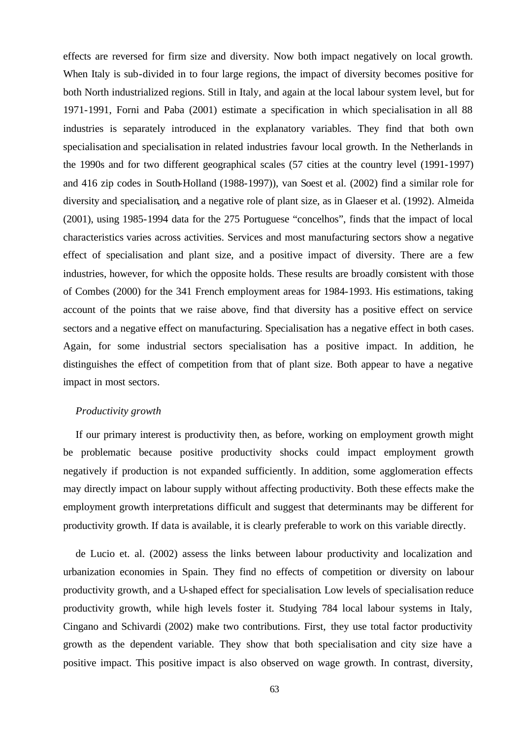effects are reversed for firm size and diversity. Now both impact negatively on local growth. When Italy is sub-divided in to four large regions, the impact of diversity becomes positive for both North industrialized regions. Still in Italy, and again at the local labour system level, but for 1971-1991, Forni and Paba (2001) estimate a specification in which specialisation in all 88 industries is separately introduced in the explanatory variables. They find that both own specialisation and specialisation in related industries favour local growth. In the Netherlands in the 1990s and for two different geographical scales (57 cities at the country level (1991-1997) and 416 zip codes in South-Holland (1988-1997)), van Soest et al. (2002) find a similar role for diversity and specialisation, and a negative role of plant size, as in Glaeser et al. (1992). Almeida (2001), using 1985-1994 data for the 275 Portuguese "concelhos", finds that the impact of local characteristics varies across activities. Services and most manufacturing sectors show a negative effect of specialisation and plant size, and a positive impact of diversity. There are a few industries, however, for which the opposite holds. These results are broadly consistent with those of Combes (2000) for the 341 French employment areas for 1984-1993. His estimations, taking account of the points that we raise above, find that diversity has a positive effect on service sectors and a negative effect on manufacturing. Specialisation has a negative effect in both cases. Again, for some industrial sectors specialisation has a positive impact. In addition, he distinguishes the effect of competition from that of plant size. Both appear to have a negative impact in most sectors.

### *Productivity growth*

If our primary interest is productivity then, as before, working on employment growth might be problematic because positive productivity shocks could impact employment growth negatively if production is not expanded sufficiently. In addition, some agglomeration effects may directly impact on labour supply without affecting productivity. Both these effects make the employment growth interpretations difficult and suggest that determinants may be different for productivity growth. If data is available, it is clearly preferable to work on this variable directly.

de Lucio et. al. (2002) assess the links between labour productivity and localization and urbanization economies in Spain. They find no effects of competition or diversity on labour productivity growth, and a U-shaped effect for specialisation. Low levels of specialisation reduce productivity growth, while high levels foster it. Studying 784 local labour systems in Italy, Cingano and Schivardi (2002) make two contributions. First, they use total factor productivity growth as the dependent variable. They show that both specialisation and city size have a positive impact. This positive impact is also observed on wage growth. In contrast, diversity,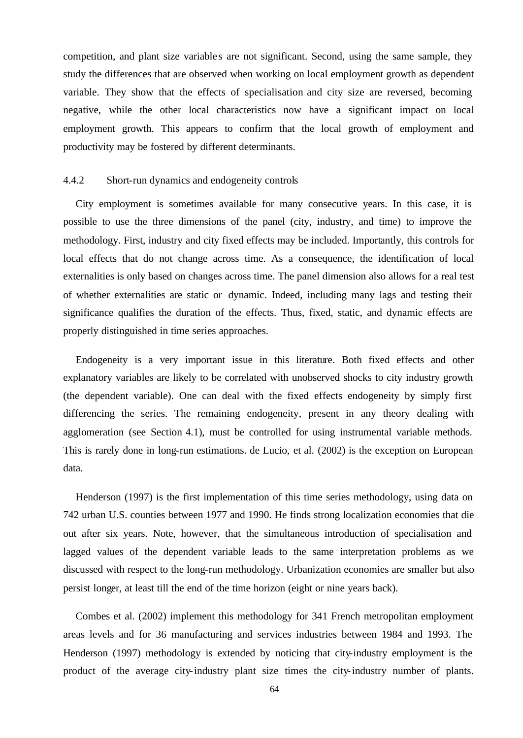competition, and plant size variables are not significant. Second, using the same sample, they study the differences that are observed when working on local employment growth as dependent variable. They show that the effects of specialisation and city size are reversed, becoming negative, while the other local characteristics now have a significant impact on local employment growth. This appears to confirm that the local growth of employment and productivity may be fostered by different determinants.

# 4.4.2 Short-run dynamics and endogeneity controls

City employment is sometimes available for many consecutive years. In this case, it is possible to use the three dimensions of the panel (city, industry, and time) to improve the methodology. First, industry and city fixed effects may be included. Importantly, this controls for local effects that do not change across time. As a consequence, the identification of local externalities is only based on changes across time. The panel dimension also allows for a real test of whether externalities are static or dynamic. Indeed, including many lags and testing their significance qualifies the duration of the effects. Thus, fixed, static, and dynamic effects are properly distinguished in time series approaches.

Endogeneity is a very important issue in this literature. Both fixed effects and other explanatory variables are likely to be correlated with unobserved shocks to city industry growth (the dependent variable). One can deal with the fixed effects endogeneity by simply first differencing the series. The remaining endogeneity, present in any theory dealing with agglomeration (see Section 4.1), must be controlled for using instrumental variable methods. This is rarely done in long-run estimations. de Lucio, et al. (2002) is the exception on European data.

Henderson (1997) is the first implementation of this time series methodology, using data on 742 urban U.S. counties between 1977 and 1990. He finds strong localization economies that die out after six years. Note, however, that the simultaneous introduction of specialisation and lagged values of the dependent variable leads to the same interpretation problems as we discussed with respect to the long-run methodology. Urbanization economies are smaller but also persist longer, at least till the end of the time horizon (eight or nine years back).

Combes et al. (2002) implement this methodology for 341 French metropolitan employment areas levels and for 36 manufacturing and services industries between 1984 and 1993. The Henderson (1997) methodology is extended by noticing that city-industry employment is the product of the average city-industry plant size times the city-industry number of plants.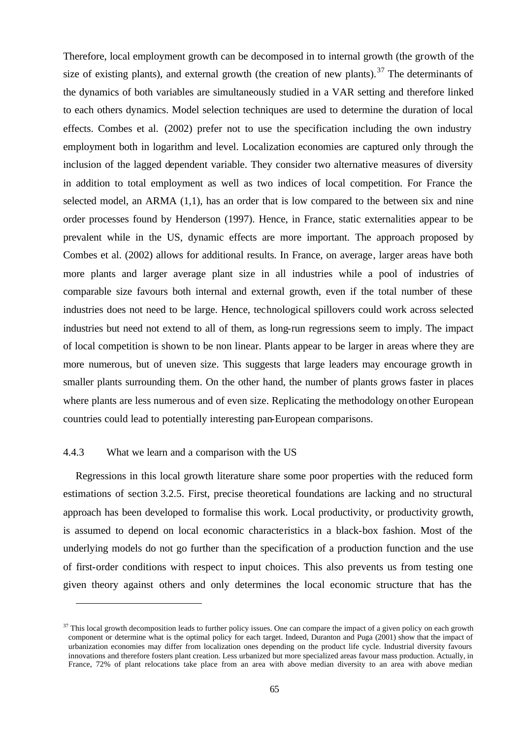Therefore, local employment growth can be decomposed in to internal growth (the growth of the size of existing plants), and external growth (the creation of new plants). $37$  The determinants of the dynamics of both variables are simultaneously studied in a VAR setting and therefore linked to each others dynamics. Model selection techniques are used to determine the duration of local effects. Combes et al. (2002) prefer not to use the specification including the own industry employment both in logarithm and level. Localization economies are captured only through the inclusion of the lagged dependent variable. They consider two alternative measures of diversity in addition to total employment as well as two indices of local competition. For France the selected model, an ARMA (1,1), has an order that is low compared to the between six and nine order processes found by Henderson (1997). Hence, in France, static externalities appear to be prevalent while in the US, dynamic effects are more important. The approach proposed by Combes et al. (2002) allows for additional results. In France, on average, larger areas have both more plants and larger average plant size in all industries while a pool of industries of comparable size favours both internal and external growth, even if the total number of these industries does not need to be large. Hence, technological spillovers could work across selected industries but need not extend to all of them, as long-run regressions seem to imply. The impact of local competition is shown to be non linear. Plants appear to be larger in areas where they are more numerous, but of uneven size. This suggests that large leaders may encourage growth in smaller plants surrounding them. On the other hand, the number of plants grows faster in places where plants are less numerous and of even size. Replicating the methodology on other European countries could lead to potentially interesting pan-European comparisons.

### 4.4.3 What we learn and a comparison with the US

l

Regressions in this local growth literature share some poor properties with the reduced form estimations of section 3.2.5. First, precise theoretical foundations are lacking and no structural approach has been developed to formalise this work. Local productivity, or productivity growth, is assumed to depend on local economic characteristics in a black-box fashion. Most of the underlying models do not go further than the specification of a production function and the use of first-order conditions with respect to input choices. This also prevents us from testing one given theory against others and only determines the local economic structure that has the

 $37$  This local growth decomposition leads to further policy issues. One can compare the impact of a given policy on each growth component or determine what is the optimal policy for each target. Indeed, Duranton and Puga (2001) show that the impact of urbanization economies may differ from localization ones depending on the product life cycle. Industrial diversity favours innovations and therefore fosters plant creation. Less urbanized but more specialized areas favour mass production. Actually, in France, 72% of plant relocations take place from an area with above median diversity to an area with above median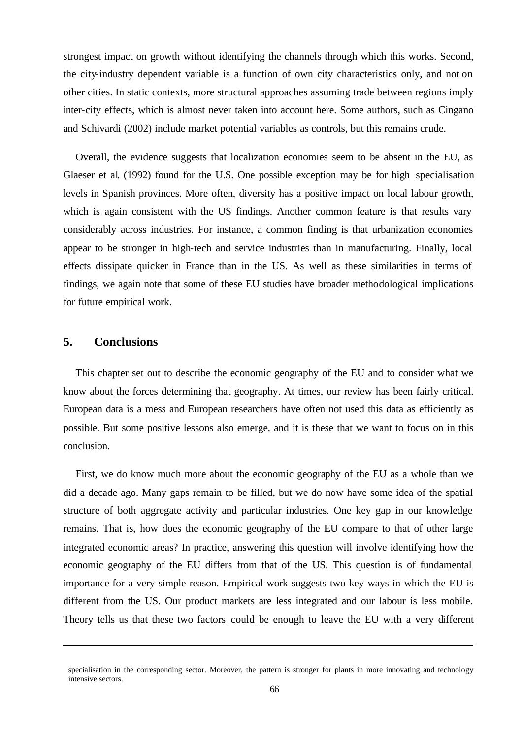strongest impact on growth without identifying the channels through which this works. Second, the city-industry dependent variable is a function of own city characteristics only, and not on other cities. In static contexts, more structural approaches assuming trade between regions imply inter-city effects, which is almost never taken into account here. Some authors, such as Cingano and Schivardi (2002) include market potential variables as controls, but this remains crude.

Overall, the evidence suggests that localization economies seem to be absent in the EU, as Glaeser et al. (1992) found for the U.S. One possible exception may be for high specialisation levels in Spanish provinces. More often, diversity has a positive impact on local labour growth, which is again consistent with the US findings. Another common feature is that results vary considerably across industries. For instance, a common finding is that urbanization economies appear to be stronger in high-tech and service industries than in manufacturing. Finally, local effects dissipate quicker in France than in the US. As well as these similarities in terms of findings, we again note that some of these EU studies have broader methodological implications for future empirical work.

# **5. Conclusions**

l

This chapter set out to describe the economic geography of the EU and to consider what we know about the forces determining that geography. At times, our review has been fairly critical. European data is a mess and European researchers have often not used this data as efficiently as possible. But some positive lessons also emerge, and it is these that we want to focus on in this conclusion.

First, we do know much more about the economic geography of the EU as a whole than we did a decade ago. Many gaps remain to be filled, but we do now have some idea of the spatial structure of both aggregate activity and particular industries. One key gap in our knowledge remains. That is, how does the economic geography of the EU compare to that of other large integrated economic areas? In practice, answering this question will involve identifying how the economic geography of the EU differs from that of the US. This question is of fundamental importance for a very simple reason. Empirical work suggests two key ways in which the EU is different from the US. Our product markets are less integrated and our labour is less mobile. Theory tells us that these two factors could be enough to leave the EU with a very different

specialisation in the corresponding sector. Moreover, the pattern is stronger for plants in more innovating and technology intensive sectors.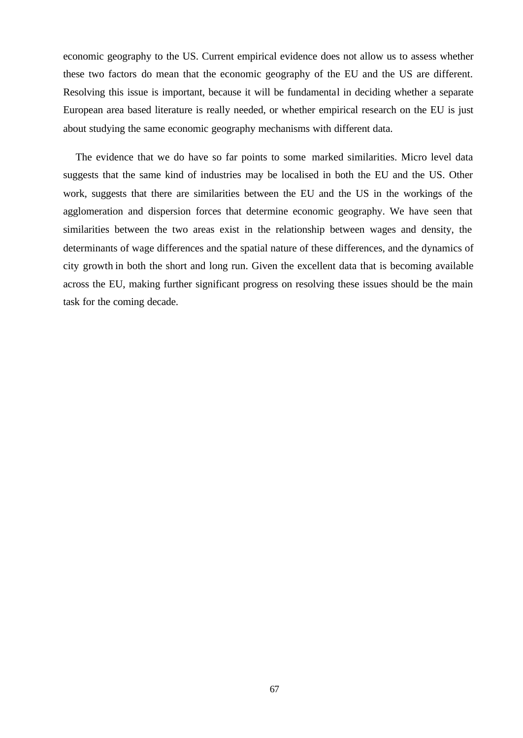economic geography to the US. Current empirical evidence does not allow us to assess whether these two factors do mean that the economic geography of the EU and the US are different. Resolving this issue is important, because it will be fundamental in deciding whether a separate European area based literature is really needed, or whether empirical research on the EU is just about studying the same economic geography mechanisms with different data.

The evidence that we do have so far points to some marked similarities. Micro level data suggests that the same kind of industries may be localised in both the EU and the US. Other work, suggests that there are similarities between the EU and the US in the workings of the agglomeration and dispersion forces that determine economic geography. We have seen that similarities between the two areas exist in the relationship between wages and density, the determinants of wage differences and the spatial nature of these differences, and the dynamics of city growth in both the short and long run. Given the excellent data that is becoming available across the EU, making further significant progress on resolving these issues should be the main task for the coming decade.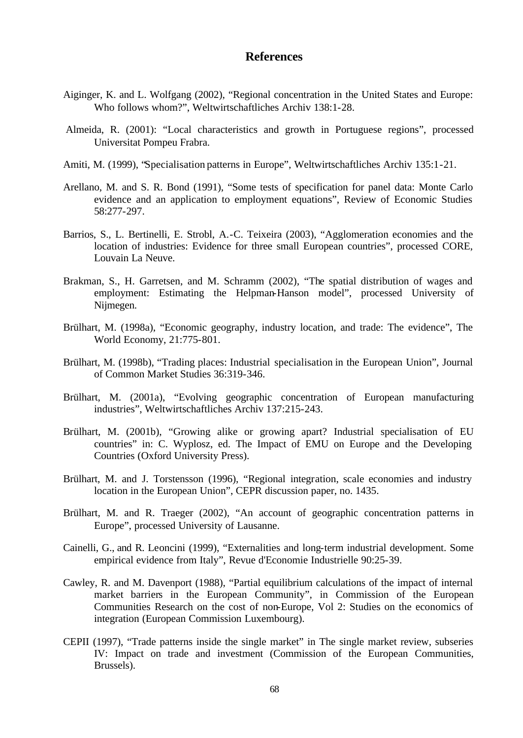# **References**

- Aiginger, K. and L. Wolfgang (2002), "Regional concentration in the United States and Europe: Who follows whom?", Weltwirtschaftliches Archiv 138:1-28.
- Almeida, R. (2001): "Local characteristics and growth in Portuguese regions", processed Universitat Pompeu Frabra.
- Amiti, M. (1999), "Specialisation patterns in Europe", Weltwirtschaftliches Archiv 135:1-21.
- Arellano, M. and S. R. Bond (1991), "Some tests of specification for panel data: Monte Carlo evidence and an application to employment equations", Review of Economic Studies 58:277-297.
- Barrios, S., L. Bertinelli, E. Strobl, A.-C. Teixeira (2003), "Agglomeration economies and the location of industries: Evidence for three small European countries", processed CORE, Louvain La Neuve.
- Brakman, S., H. Garretsen, and M. Schramm (2002), "The spatial distribution of wages and employment: Estimating the Helpman-Hanson model", processed University of Nijmegen.
- Brülhart, M. (1998a), "Economic geography, industry location, and trade: The evidence", The World Economy, 21:775-801.
- Brülhart, M. (1998b), "Trading places: Industrial specialisation in the European Union", Journal of Common Market Studies 36:319-346.
- Brülhart, M. (2001a), "Evolving geographic concentration of European manufacturing industries", Weltwirtschaftliches Archiv 137:215-243.
- Brülhart, M. (2001b), "Growing alike or growing apart? Industrial specialisation of EU countries" in: C. Wyplosz, ed. The Impact of EMU on Europe and the Developing Countries (Oxford University Press).
- Brülhart, M. and J. Torstensson (1996), "Regional integration, scale economies and industry location in the European Union", CEPR discussion paper, no. 1435.
- Brülhart, M. and R. Traeger (2002), "An account of geographic concentration patterns in Europe", processed University of Lausanne.
- Cainelli, G., and R. Leoncini (1999), "Externalities and long-term industrial development. Some empirical evidence from Italy", Revue d'Economie Industrielle 90:25-39.
- Cawley, R. and M. Davenport (1988), "Partial equilibrium calculations of the impact of internal market barriers in the European Community", in Commission of the European Communities Research on the cost of non-Europe, Vol 2: Studies on the economics of integration (European Commission Luxembourg).
- CEPII (1997), "Trade patterns inside the single market" in The single market review, subseries IV: Impact on trade and investment (Commission of the European Communities, Brussels).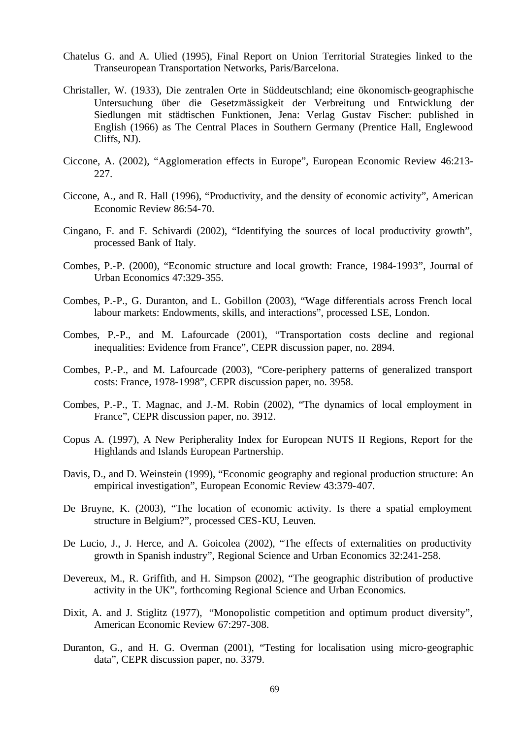- Chatelus G. and A. Ulied (1995), Final Report on Union Territorial Strategies linked to the Transeuropean Transportation Networks, Paris/Barcelona.
- Christaller, W. (1933), Die zentralen Orte in Süddeutschland; eine ökonomisch-geographische Untersuchung über die Gesetzmässigkeit der Verbreitung und Entwicklung der Siedlungen mit städtischen Funktionen, Jena: Verlag Gustav Fischer: published in English (1966) as The Central Places in Southern Germany (Prentice Hall, Englewood Cliffs, NJ).
- Ciccone, A. (2002), "Agglomeration effects in Europe", European Economic Review 46:213- 227.
- Ciccone, A., and R. Hall (1996), "Productivity, and the density of economic activity", American Economic Review 86:54-70.
- Cingano, F. and F. Schivardi (2002), "Identifying the sources of local productivity growth", processed Bank of Italy.
- Combes, P.-P. (2000), "Economic structure and local growth: France, 1984-1993", Journal of Urban Economics 47:329-355.
- Combes, P.-P., G. Duranton, and L. Gobillon (2003), "Wage differentials across French local labour markets: Endowments, skills, and interactions", processed LSE, London.
- Combes, P.-P., and M. Lafourcade (2001), "Transportation costs decline and regional inequalities: Evidence from France", CEPR discussion paper, no. 2894.
- Combes, P.-P., and M. Lafourcade (2003), "Core-periphery patterns of generalized transport costs: France, 1978-1998", CEPR discussion paper, no. 3958.
- Combes, P.-P., T. Magnac, and J.-M. Robin (2002), "The dynamics of local employment in France", CEPR discussion paper, no. 3912.
- Copus A. (1997), A New Peripherality Index for European NUTS II Regions, Report for the Highlands and Islands European Partnership.
- Davis, D., and D. Weinstein (1999), "Economic geography and regional production structure: An empirical investigation", European Economic Review 43:379-407.
- De Bruyne, K. (2003), "The location of economic activity. Is there a spatial employment structure in Belgium?", processed CES-KU, Leuven.
- De Lucio, J., J. Herce, and A. Goicolea (2002), "The effects of externalities on productivity growth in Spanish industry", Regional Science and Urban Economics 32:241-258.
- Devereux, M., R. Griffith, and H. Simpson (2002), "The geographic distribution of productive activity in the UK", forthcoming Regional Science and Urban Economics.
- Dixit, A. and J. Stiglitz (1977), "Monopolistic competition and optimum product diversity", American Economic Review 67:297-308.
- Duranton, G., and H. G. Overman (2001), "Testing for localisation using micro-geographic data", CEPR discussion paper, no. 3379.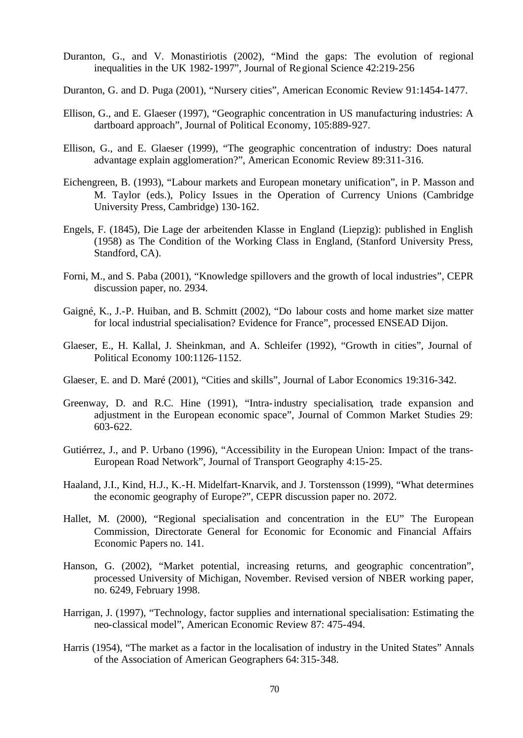- Duranton, G., and V. Monastiriotis (2002), "Mind the gaps: The evolution of regional inequalities in the UK 1982-1997", Journal of Regional Science 42:219-256
- Duranton, G. and D. Puga (2001), "Nursery cities", American Economic Review 91:1454-1477.
- Ellison, G., and E. Glaeser (1997), "Geographic concentration in US manufacturing industries: A dartboard approach", Journal of Political Economy, 105:889-927.
- Ellison, G., and E. Glaeser (1999), "The geographic concentration of industry: Does natural advantage explain agglomeration?", American Economic Review 89:311-316.
- Eichengreen, B. (1993), "Labour markets and European monetary unification", in P. Masson and M. Taylor (eds.), Policy Issues in the Operation of Currency Unions (Cambridge University Press, Cambridge) 130-162.
- Engels, F. (1845), Die Lage der arbeitenden Klasse in England (Liepzig): published in English (1958) as The Condition of the Working Class in England, (Stanford University Press, Standford, CA).
- Forni, M., and S. Paba (2001), "Knowledge spillovers and the growth of local industries", CEPR discussion paper, no. 2934.
- Gaigné, K., J.-P. Huiban, and B. Schmitt (2002), "Do labour costs and home market size matter for local industrial specialisation? Evidence for France", processed ENSEAD Dijon.
- Glaeser, E., H. Kallal, J. Sheinkman, and A. Schleifer (1992), "Growth in cities", Journal of Political Economy 100:1126-1152.
- Glaeser, E. and D. Maré (2001), "Cities and skills", Journal of Labor Economics 19:316-342.
- Greenway, D. and R.C. Hine (1991), "Intra-industry specialisation, trade expansion and adjustment in the European economic space", Journal of Common Market Studies 29: 603-622.
- Gutiérrez, J., and P. Urbano (1996), "Accessibility in the European Union: Impact of the trans-European Road Network", Journal of Transport Geography 4:15-25.
- Haaland, J.I., Kind, H.J., K.-H. Midelfart-Knarvik, and J. Torstensson (1999), "What determines the economic geography of Europe?", CEPR discussion paper no. 2072.
- Hallet, M. (2000), "Regional specialisation and concentration in the EU" The European Commission, Directorate General for Economic for Economic and Financial Affairs Economic Papers no. 141.
- Hanson, G. (2002), "Market potential, increasing returns, and geographic concentration", processed University of Michigan, November. Revised version of NBER working paper, no. 6249, February 1998.
- Harrigan, J. (1997), "Technology, factor supplies and international specialisation: Estimating the neo-classical model", American Economic Review 87: 475-494.
- Harris (1954), "The market as a factor in the localisation of industry in the United States" Annals of the Association of American Geographers 64: 315-348.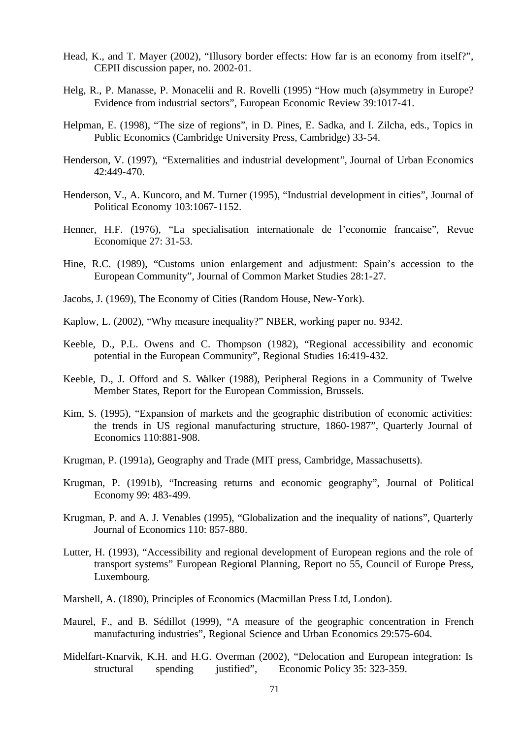- Head, K., and T. Mayer (2002), "Illusory border effects: How far is an economy from itself?", CEPII discussion paper, no. 2002-01.
- Helg, R., P. Manasse, P. Monacelii and R. Rovelli (1995) "How much (a)symmetry in Europe? Evidence from industrial sectors", European Economic Review 39:1017-41.
- Helpman, E. (1998), "The size of regions", in D. Pines, E. Sadka, and I. Zilcha, eds., Topics in Public Economics (Cambridge University Press, Cambridge) 33-54.
- Henderson, V. (1997), "Externalities and industrial development", Journal of Urban Economics 42:449-470.
- Henderson, V., A. Kuncoro, and M. Turner (1995), "Industrial development in cities", Journal of Political Economy 103:1067-1152.
- Henner, H.F. (1976), "La specialisation internationale de l'economie francaise", Revue Economique 27: 31-53.
- Hine, R.C. (1989), "Customs union enlargement and adjustment: Spain's accession to the European Community", Journal of Common Market Studies 28:1-27.
- Jacobs, J. (1969), The Economy of Cities (Random House, New-York).
- Kaplow, L. (2002), "Why measure inequality?" NBER, working paper no. 9342.
- Keeble, D., P.L. Owens and C. Thompson (1982), "Regional accessibility and economic potential in the European Community", Regional Studies 16:419-432.
- Keeble, D., J. Offord and S. Walker (1988), Peripheral Regions in a Community of Twelve Member States, Report for the European Commission, Brussels.
- Kim, S. (1995), "Expansion of markets and the geographic distribution of economic activities: the trends in US regional manufacturing structure, 1860-1987", Quarterly Journal of Economics 110:881-908.
- Krugman, P. (1991a), Geography and Trade (MIT press, Cambridge, Massachusetts).
- Krugman, P. (1991b), "Increasing returns and economic geography", Journal of Political Economy 99: 483-499.
- Krugman, P. and A. J. Venables (1995), "Globalization and the inequality of nations", Quarterly Journal of Economics 110: 857-880.
- Lutter, H. (1993), "Accessibility and regional development of European regions and the role of transport systems" European Regional Planning, Report no 55, Council of Europe Press, Luxembourg.
- Marshell, A. (1890), Principles of Economics (Macmillan Press Ltd, London).
- Maurel, F., and B. Sédillot (1999), "A measure of the geographic concentration in French manufacturing industries", Regional Science and Urban Economics 29:575-604.
- Midelfart-Knarvik, K.H. and H.G. Overman (2002), "Delocation and European integration: Is structural spending justified", Economic Policy 35: 323-359.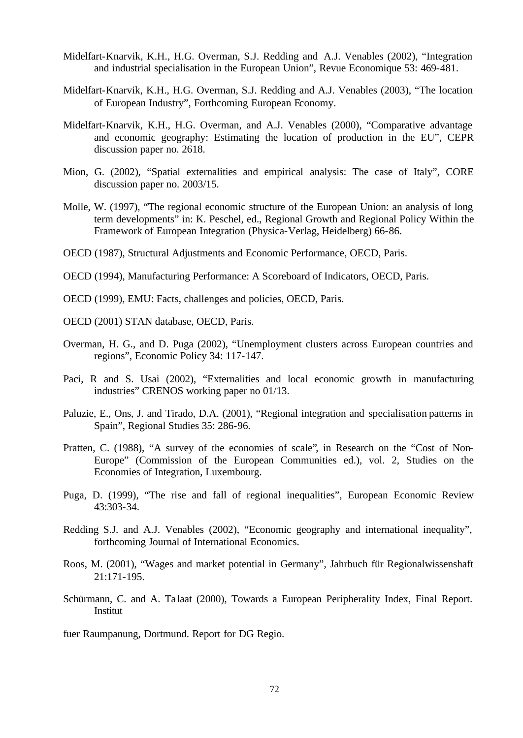- Midelfart-Knarvik, K.H., H.G. Overman, S.J. Redding and A.J. Venables (2002), "Integration and industrial specialisation in the European Union", Revue Economique 53: 469-481.
- Midelfart-Knarvik, K.H., H.G. Overman, S.J. Redding and A.J. Venables (2003), "The location of European Industry", Forthcoming European Economy.
- Midelfart-Knarvik, K.H., H.G. Overman, and A.J. Venables (2000), "Comparative advantage and economic geography: Estimating the location of production in the EU", CEPR discussion paper no. 2618.
- Mion, G. (2002), "Spatial externalities and empirical analysis: The case of Italy", CORE discussion paper no. 2003/15.
- Molle, W. (1997), "The regional economic structure of the European Union: an analysis of long term developments" in: K. Peschel, ed., Regional Growth and Regional Policy Within the Framework of European Integration (Physica-Verlag, Heidelberg) 66-86.
- OECD (1987), Structural Adjustments and Economic Performance, OECD, Paris.
- OECD (1994), Manufacturing Performance: A Scoreboard of Indicators, OECD, Paris.
- OECD (1999), EMU: Facts, challenges and policies, OECD, Paris.
- OECD (2001) STAN database, OECD, Paris.
- Overman, H. G., and D. Puga (2002), "Unemployment clusters across European countries and regions", Economic Policy 34: 117-147.
- Paci, R and S. Usai (2002), "Externalities and local economic growth in manufacturing industries" CRENOS working paper no 01/13.
- Paluzie, E., Ons, J. and Tirado, D.A. (2001), "Regional integration and specialisation patterns in Spain", Regional Studies 35: 286-96.
- Pratten, C. (1988), "A survey of the economies of scale", in Research on the "Cost of Non-Europe" (Commission of the European Communities ed.), vol. 2, Studies on the Economies of Integration, Luxembourg.
- Puga, D. (1999), "The rise and fall of regional inequalities", European Economic Review 43:303-34.
- Redding S.J. and A.J. Venables (2002), "Economic geography and international inequality", forthcoming Journal of International Economics.
- Roos, M. (2001), "Wages and market potential in Germany", Jahrbuch für Regionalwissenshaft 21:171-195.
- Schürmann, C. and A. Ta laat (2000), Towards a European Peripherality Index, Final Report. **Institut**
- fuer Raumpanung, Dortmund. Report for DG Regio.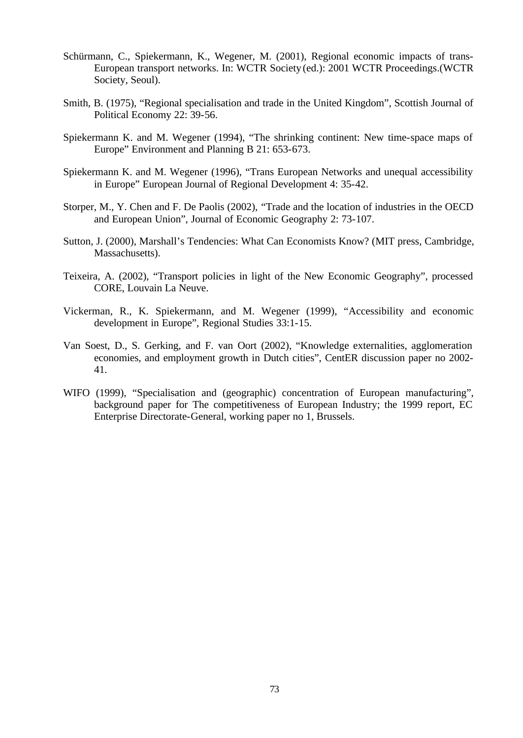- Schürmann, C., Spiekermann, K., Wegener, M. (2001), Regional economic impacts of trans-European transport networks. In: WCTR Society (ed.): 2001 WCTR Proceedings.(WCTR Society, Seoul).
- Smith, B. (1975), "Regional specialisation and trade in the United Kingdom", Scottish Journal of Political Economy 22: 39-56.
- Spiekermann K. and M. Wegener (1994), "The shrinking continent: New time-space maps of Europe" Environment and Planning B 21: 653-673.
- Spiekermann K. and M. Wegener (1996), "Trans European Networks and unequal accessibility in Europe" European Journal of Regional Development 4: 35-42.
- Storper, M., Y. Chen and F. De Paolis (2002), "Trade and the location of industries in the OECD and European Union", Journal of Economic Geography 2: 73-107.
- Sutton, J. (2000), Marshall's Tendencies: What Can Economists Know? (MIT press, Cambridge, Massachusetts).
- Teixeira, A. (2002), "Transport policies in light of the New Economic Geography", processed CORE, Louvain La Neuve.
- Vickerman, R., K. Spiekermann, and M. Wegener (1999), "Accessibility and economic development in Europe", Regional Studies 33:1-15.
- Van Soest, D., S. Gerking, and F. van Oort (2002), "Knowledge externalities, agglomeration economies, and employment growth in Dutch cities", CentER discussion paper no 2002- 41.
- WIFO (1999), "Specialisation and (geographic) concentration of European manufacturing", background paper for The competitiveness of European Industry; the 1999 report, EC Enterprise Directorate-General, working paper no 1, Brussels.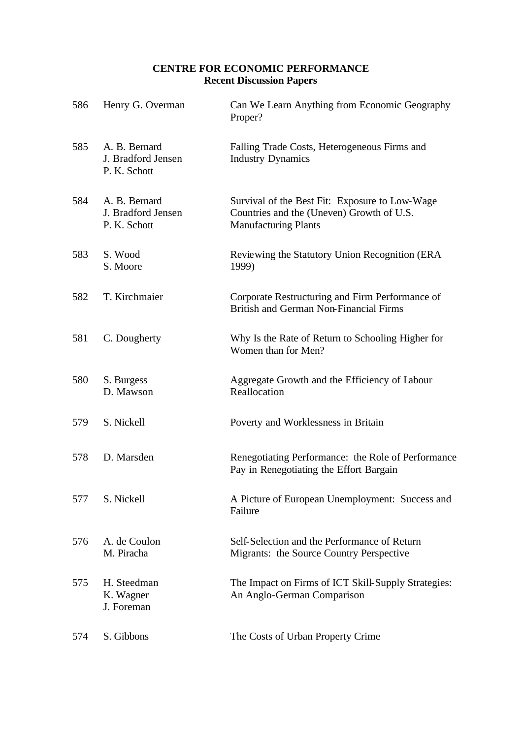## **CENTRE FOR ECONOMIC PERFORMANCE Recent Discussion Papers**

| 586 | Henry G. Overman                                    | Can We Learn Anything from Economic Geography<br>Proper?                                                                   |
|-----|-----------------------------------------------------|----------------------------------------------------------------------------------------------------------------------------|
| 585 | A. B. Bernard<br>J. Bradford Jensen<br>P. K. Schott | Falling Trade Costs, Heterogeneous Firms and<br><b>Industry Dynamics</b>                                                   |
| 584 | A. B. Bernard<br>J. Bradford Jensen<br>P. K. Schott | Survival of the Best Fit: Exposure to Low-Wage<br>Countries and the (Uneven) Growth of U.S.<br><b>Manufacturing Plants</b> |
| 583 | S. Wood<br>S. Moore                                 | Reviewing the Statutory Union Recognition (ERA)<br>1999)                                                                   |
| 582 | T. Kirchmaier                                       | Corporate Restructuring and Firm Performance of<br><b>British and German Non-Financial Firms</b>                           |
| 581 | C. Dougherty                                        | Why Is the Rate of Return to Schooling Higher for<br>Women than for Men?                                                   |
| 580 | S. Burgess<br>D. Mawson                             | Aggregate Growth and the Efficiency of Labour<br>Reallocation                                                              |
| 579 | S. Nickell                                          | Poverty and Worklessness in Britain                                                                                        |
| 578 | D. Marsden                                          | Renegotiating Performance: the Role of Performance<br>Pay in Renegotiating the Effort Bargain                              |
| 577 | S. Nickell                                          | A Picture of European Unemployment: Success and<br>Failure                                                                 |
| 576 | A. de Coulon<br>M. Piracha                          | Self-Selection and the Performance of Return<br>Migrants: the Source Country Perspective                                   |
| 575 | H. Steedman<br>K. Wagner<br>J. Foreman              | The Impact on Firms of ICT Skill-Supply Strategies:<br>An Anglo-German Comparison                                          |
| 574 | S. Gibbons                                          | The Costs of Urban Property Crime                                                                                          |